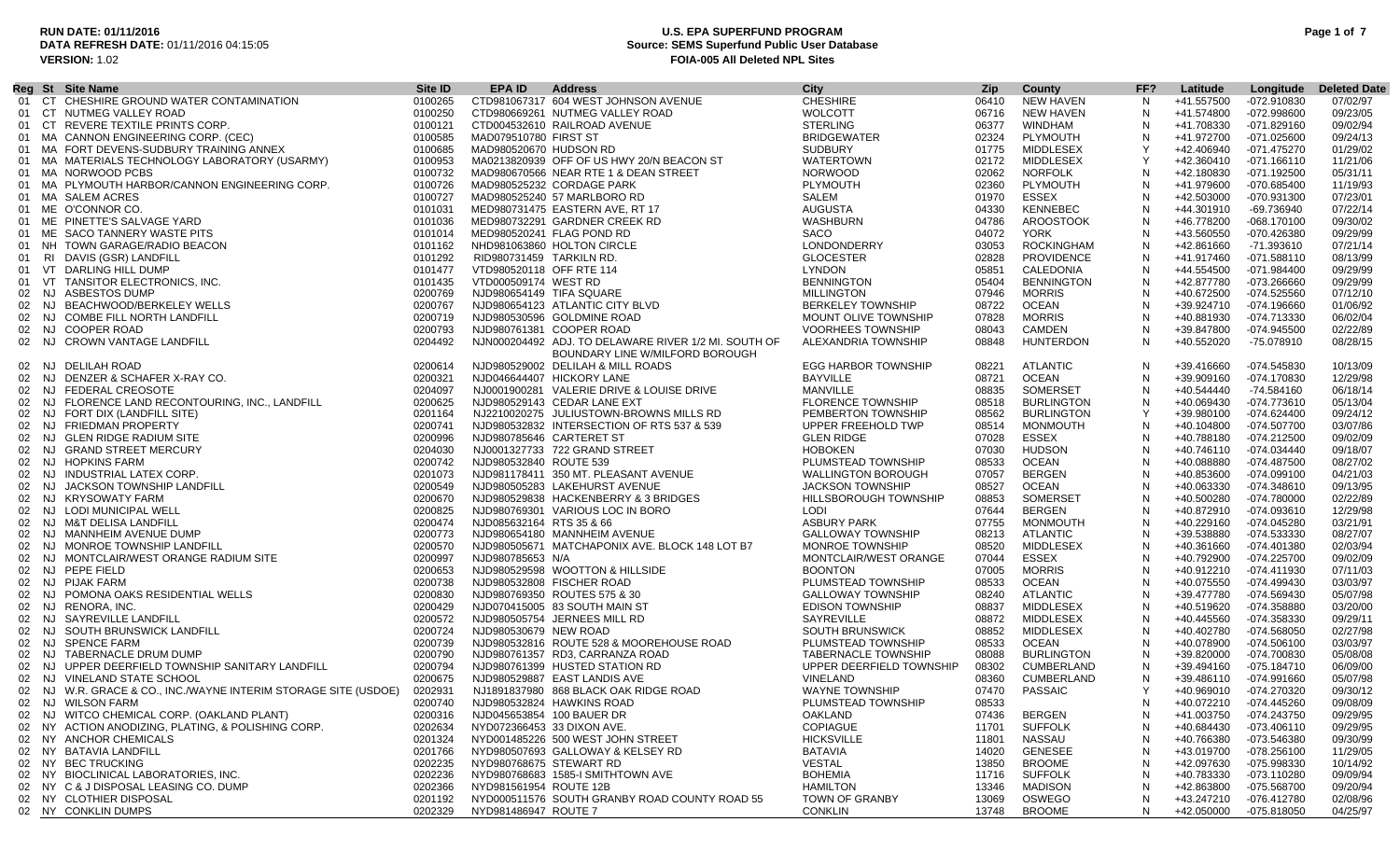### **RUN DATE: 01/11/2016 U.S. EPA SUPERFUND PROGRAM Page 1 of 7 Source: SEMS Superfund Public User Database VERSION:** 1.02 **FOIA-005 All Deleted NPL Sites**

|       |     | Reg St Site Name                                                | Site ID | EPA ID                   | <b>Address</b>                                       | City                       | Zip.  | County            | FF?          | Latitude   | Longitude     | <b>Deleted Date</b> |
|-------|-----|-----------------------------------------------------------------|---------|--------------------------|------------------------------------------------------|----------------------------|-------|-------------------|--------------|------------|---------------|---------------------|
|       |     | 01 CT CHESHIRE GROUND WATER CONTAMINATION                       | 0100265 |                          | CTD981067317 604 WEST JOHNSON AVENUE                 | <b>CHESHIRE</b>            | 06410 | NEW HAVEN         | N            | +41.557500 | -072.910830   | 07/02/97            |
|       |     | 01 CT NUTMEG VALLEY ROAD                                        | 0100250 |                          | CTD980669261 NUTMEG VALLEY ROAD                      | <b>WOLCOTT</b>             | 06716 | <b>NEW HAVEN</b>  | N            | +41.574800 | -072.998600   | 09/23/05            |
|       |     | 01 CT REVERE TEXTILE PRINTS CORP.                               | 0100121 |                          | CTD004532610 RAILROAD AVENUE                         | <b>STERLING</b>            | 06377 | WINDHAM           | N            | +41.708330 | $-071.829160$ | 09/02/94            |
|       |     | 01 MA CANNON ENGINEERING CORP. (CEC)                            | 0100585 | MAD079510780 FIRST ST    |                                                      | <b>BRIDGEWATER</b>         | 02324 | PLYMOUTH          | N            | +41.972700 | -071.025600   | 09/24/13            |
|       |     | 01 MA FORT DEVENS-SUDBURY TRAINING ANNEX                        | 0100685 | MAD980520670 HUDSON RD   |                                                      | <b>SUDBURY</b>             | 01775 | MIDDLESEX         | -Y           | +42.406940 | -071.475270   | 01/29/02            |
|       |     | 01 MA MATERIALS TECHNOLOGY LABORATORY (USARMY)                  | 0100953 |                          | MA0213820939 OFF OF US HWY 20/N BEACON ST            | <b>WATERTOWN</b>           | 02172 | MIDDLESEX         |              | +42.360410 | $-071.166110$ | 11/21/06            |
|       |     | 01 MA NORWOOD PCBS                                              | 0100732 |                          | MAD980670566 NEAR RTE 1 & DEAN STREET                | <b>NORWOOD</b>             | 02062 | <b>NORFOLK</b>    | N            | +42.180830 | -071.192500   | 05/31/11            |
|       |     | 01 MA PLYMOUTH HARBOR/CANNON ENGINEERING CORP.                  | 0100726 |                          | MAD980525232 CORDAGE PARK                            | PLYMOUTH                   | 02360 | PLYMOUTH          | N            | +41.979600 | -070.685400   | 11/19/93            |
|       |     | 01 MA SALEM ACRES                                               | 0100727 |                          | MAD980525240 57 MARLBORO RD                          | SALEM                      | 01970 | ESSEX             | $\mathsf{N}$ | +42.503000 | -070.931300   | 07/23/01            |
|       |     | 01 ME O'CONNOR CO.                                              | 0101031 |                          | MED980731475 EASTERN AVE, RT 17                      | AUGUSTA                    | 04330 | KENNEBEC          | N            | +44.301910 | -69.736940    | 07/22/14            |
|       |     | 01 ME PINETTE'S SALVAGE YARD                                    |         |                          |                                                      | <b>WASHBURN</b>            |       | AROOSTOOK         | N            |            |               | 09/30/02            |
|       |     |                                                                 | 0101036 |                          | MED980732291 GARDNER CREEK RD                        |                            | 04786 |                   |              | +46.778200 | -068.170100   |                     |
| 01    | ME  | SACO TANNERY WASTE PITS                                         | 0101014 |                          | MED980520241 FLAG POND RD                            | <b>SACO</b>                | 04072 | <b>YORK</b>       | N            | +43.560550 | -070.426380   | 09/29/99            |
| 01    |     | NH TOWN GARAGE/RADIO BEACON                                     | 0101162 |                          | NHD981063860 HOLTON CIRCLE                           | LONDONDERRY                | 03053 | <b>ROCKINGHAM</b> | N            | +42.861660 | -71.393610    | 07/21/14            |
|       |     | 01 RI DAVIS (GSR) LANDFILL                                      | 0101292 | RID980731459 TARKILN RD. |                                                      | <b>GLOCESTER</b>           | 02828 | <b>PROVIDENCE</b> | N            | +41.917460 | $-071.588110$ | 08/13/99            |
|       |     | 01 VT DARLING HILL DUMP                                         | 0101477 | VTD980520118 OFF RTE 114 |                                                      | <b>LYNDON</b>              | 05851 | CALEDONIA         | N            | +44.554500 | -071.984400   | 09/29/99            |
|       |     | 01 VT TANSITOR ELECTRONICS, INC.                                | 0101435 | VTD000509174 WEST RD     |                                                      | <b>BENNINGTON</b>          | 05404 | <b>BENNINGTON</b> | N            | +42.877780 | -073.266660   | 09/29/99            |
| 02    |     | NJ ASBESTOS DUMP                                                | 0200769 | NJD980654149 TIFA SQUARE |                                                      | <b>MILLINGTON</b>          | 07946 | <b>MORRIS</b>     |              | +40.672500 | -074.525560   | 07/12/10            |
|       |     | 02 NJ BEACHWOOD/BERKELEY WELLS                                  | 0200767 |                          | NJD980654123 ATLANTIC CITY BLVD                      | <b>BERKELEY TOWNSHIP</b>   | 08722 | <b>OCEAN</b>      | $\sqrt{ }$   | +39.924710 | -074.196660   | 01/06/92            |
| 02    | NJ  | <b>COMBE FILL NORTH LANDFILL</b>                                | 0200719 |                          | NJD980530596 GOLDMINE ROAD                           | MOUNT OLIVE TOWNSHIP       | 07828 | <b>MORRIS</b>     | N            | +40.881930 | -074.713330   | 06/02/04            |
|       |     | 02 NJ COOPER ROAD                                               | 0200793 |                          | NJD980761381 COOPER ROAD                             | <b>VOORHEES TOWNSHIP</b>   | 08043 | <b>CAMDEN</b>     | N            | +39.847800 | -074.945500   | 02/22/89            |
|       |     | 02 NJ CROWN VANTAGE LANDFILL                                    | 0204492 |                          | NJN000204492 ADJ. TO DELAWARE RIVER 1/2 MI. SOUTH OF | ALEXANDRIA TOWNSHIP        | 08848 | <b>HUNTERDON</b>  | N            | +40.552020 | -75.078910    | 08/28/15            |
|       |     |                                                                 |         |                          | BOUNDARY LINE W/MILFORD BOROUGH                      |                            |       |                   |              |            |               |                     |
|       |     | 02 NJ DELILAH ROAD                                              | 0200614 |                          | NJD980529002 DELILAH & MILL ROADS                    | <b>EGG HARBOR TOWNSHIP</b> | 08221 | <b>ATLANTIC</b>   | N            | +39.416660 | -074.545830   | 10/13/09            |
| 02    | NJ  | DENZER & SCHAFER X-RAY CO.                                      | 0200321 |                          | NJD046644407 HICKORY LANE                            | <b>BAYVILLE</b>            | 08721 | <b>OCEAN</b>      | N            | +39.909160 | -074.170830   | 12/29/98            |
|       |     | 02 NJ FEDERAL CREOSOTE                                          | 0204097 |                          | NJ0001900281 VALERIE DRIVE & LOUISE DRIVE            | MANVILLE                   | 08835 | SOMERSET          | N            | +40.544440 | -74.584160    | 06/18/14            |
| 02    |     | NJ FLORENCE LAND RECONTOURING, INC., LANDFILL                   | 0200625 |                          | NJD980529143 CEDAR LANE EXT                          | <b>FLORENCE TOWNSHIP</b>   | 08518 | <b>BURLINGTON</b> | N            | +40.069430 | -074.773610   | 05/13/04            |
|       |     | 02 NJ FORT DIX (LANDFILL SITE)                                  | 0201164 |                          | NJ2210020275 JULIUSTOWN-BROWNS MILLS RD              | PEMBERTON TOWNSHIP         | 08562 | <b>BURLINGTON</b> | - Y          | +39.980100 | $-074.624400$ | 09/24/12            |
| 02    | NJ  | <b>FRIEDMAN PROPERTY</b>                                        | 0200741 |                          | NJD980532832 INTERSECTION OF RTS 537 & 539           | UPPER FREEHOLD TWP         | 08514 | MONMOUTH          | N            | +40.104800 | -074.507700   | 03/07/86            |
|       |     | 02 NJ GLEN RIDGE RADIUM SITE                                    | 0200996 | NJD980785646 CARTERET ST |                                                      | <b>GLEN RIDGE</b>          | 07028 | <b>ESSEX</b>      | N            | +40.788180 | $-074.212500$ | 09/02/09            |
|       |     |                                                                 |         |                          |                                                      |                            |       |                   | N            |            |               |                     |
| 02    | NJ. | <b>GRAND STREET MERCURY</b>                                     | 0204030 |                          | NJ0001327733 722 GRAND STREET                        | <b>HOBOKEN</b>             | 07030 | <b>HUDSON</b>     |              | +40.746110 | -074.034440   | 09/18/07            |
|       |     | 02 NJ HOPKINS FARM                                              | 0200742 | NJD980532840 ROUTE 539   |                                                      | PLUMSTEAD TOWNSHIP         | 08533 | <b>OCEAN</b>      | N            | +40.088880 | -074.487500   | 08/27/02            |
|       |     | 02 NJ INDUSTRIAL LATEX CORP.                                    | 0201073 |                          | NJD981178411 350 MT. PLEASANT AVENUE                 | <b>WALLINGTON BOROUGH</b>  | 07057 | <b>BERGEN</b>     | <b>N</b>     | +40.853600 | -074.099100   | 04/21/03            |
|       |     | 02 NJ JACKSON TOWNSHIP LANDFILL                                 | 0200549 |                          | NJD980505283 LAKEHURST AVENUE                        | <b>JACKSON TOWNSHIP</b>    | 08527 | <b>OCEAN</b>      | N            | +40.063330 | -074.348610   | 09/13/95            |
|       |     | 02 NJ KRYSOWATY FARM                                            | 0200670 |                          | NJD980529838 HACKENBERRY & 3 BRIDGES                 | HILLSBOROUGH TOWNSHIP      | 08853 | SOMERSET          | <b>N</b>     | +40.500280 | $-074.780000$ | 02/22/89            |
| 02    |     | NJ LODI MUNICIPAL WELL                                          | 0200825 |                          | NJD980769301 VARIOUS LOC IN BORO                     | LODI                       | 07644 | <b>BERGEN</b>     |              | +40.872910 | -074.093610   | 12/29/98            |
|       |     | 02 NJ M&T DELISA LANDFILL                                       | 0200474 | NJD085632164 RTS 35 & 66 |                                                      | <b>ASBURY PARK</b>         | 07755 | MONMOUTH          | N            | +40.229160 | -074.045280   | 03/21/91            |
| 02    |     | NJ MANNHEIM AVENUE DUMP                                         | 0200773 |                          | NJD980654180 MANNHEIM AVENUE                         | <b>GALLOWAY TOWNSHIP</b>   | 08213 | ATLANTIC          | N            | +39.538880 | -074.533330   | 08/27/07            |
| 02    |     | NJ MONROE TOWNSHIP LANDFILL                                     | 0200570 |                          | NJD980505671 MATCHAPONIX AVE. BLOCK 148 LOT B7       | <b>MONROE TOWNSHIP</b>     | 08520 | <b>MIDDLESEX</b>  | N            | +40.361660 | -074.401380   | 02/03/94            |
|       |     | 02 NJ MONTCLAIR/WEST ORANGE RADIUM SITE                         | 0200997 | NJD980785653 N/A         |                                                      | MONTCLAIR/WEST ORANGE      | 07044 | <b>ESSEX</b>      | N            | +40.792900 | -074.225700   | 09/02/09            |
|       |     | 02 NJ PEPE FIELD                                                | 0200653 |                          | NJD980529598 WOOTTON & HILLSIDE                      | <b>BOONTON</b>             | 07005 | <b>MORRIS</b>     | <b>N</b>     | +40.912210 | -074.411930   | 07/11/03            |
|       |     | 02 NJ PIJAK FARM                                                | 0200738 |                          | NJD980532808 FISCHER ROAD                            | PLUMSTEAD TOWNSHIP         | 08533 | <b>OCEAN</b>      | N            | +40.075550 | -074.499430   | 03/03/97            |
|       |     | 02 NJ POMONA OAKS RESIDENTIAL WELLS                             | 0200830 |                          | NJD980769350 ROUTES 575 & 30                         | <b>GALLOWAY TOWNSHIP</b>   | 08240 | ATLANTIC          | $\mathsf{N}$ | +39.477780 | -074.569430   | 05/07/98            |
|       |     | 02 NJ RENORA, INC.                                              | 0200429 |                          | NJD070415005 83 SOUTH MAIN ST                        | EDISON TOWNSHIP            | 08837 | <b>MIDDLESEX</b>  | N            | +40.519620 | -074.358880   | 03/20/00            |
|       |     | 02 NJ SAYREVILLE LANDFILL                                       | 0200572 |                          | NJD980505754 JERNEES MILL RD                         | <b>SAYREVILLE</b>          | 08872 | MIDDLESEX         | N            | +40.445560 | -074.358330   | 09/29/11            |
|       |     | 02 NJ SOUTH BRUNSWICK LANDFILL                                  | 0200724 | NJD980530679 NEW ROAD    |                                                      | SOUTH BRUNSWICK            | 08852 | MIDDLESEX         | N            | +40.402780 | -074.568050   | 02/27/98            |
| 02 NJ |     | <b>SPENCE FARM</b>                                              | 0200739 |                          | NJD980532816 ROUTE 528 & MOOREHOUSE ROAD             | PLUMSTEAD TOWNSHIP         | 08533 | <b>OCEAN</b>      | N            | +40.078900 | -074.506100   | 03/03/97            |
|       |     | 02 NJ TABERNACLE DRUM DUMP                                      | 0200790 |                          | NJD980761357 RD3, CARRANZA ROAD                      | <b>TABERNACLE TOWNSHIP</b> | 08088 | <b>BURLINGTON</b> | N            | +39.820000 | -074.700830   | 05/08/08            |
| 02 NJ |     | UPPER DEERFIELD TOWNSHIP SANITARY LANDFILL                      | 0200794 |                          | NJD980761399 HUSTED STATION RD                       | UPPER DEERFIELD TOWNSHIP   | 08302 | <b>CUMBERLAND</b> | N            | +39.494160 | $-075.184710$ | 06/09/00            |
|       |     | 02 NJ VINELAND STATE SCHOOL                                     | 0200675 |                          | NJD980529887 EAST LANDIS AVE                         | VINELAND                   | 08360 | <b>CUMBERLAND</b> | N            | +39.486110 | -074.991660   | 05/07/98            |
|       |     | 02 NJ W.R. GRACE & CO., INC./WAYNE INTERIM STORAGE SITE (USDOE) | 0202931 |                          | NJ1891837980 868 BLACK OAK RIDGE ROAD                | <b>WAYNE TOWNSHIP</b>      | 07470 | PASSAIC           |              | +40.969010 | -074.270320   | 09/30/12            |
|       |     | 02 NJ WILSON FARM                                               | 0200740 |                          | NJD980532824 HAWKINS ROAD                            | PLUMSTEAD TOWNSHIP         | 08533 |                   | $\mathbf{N}$ | +40.072210 | -074.445260   | 09/08/09            |
|       |     | 02 NJ WITCO CHEMICAL CORP. (OAKLAND PLANT)                      | 0200316 |                          | NJD045653854 100 BAUER DR                            | OAKLAND                    | 07436 | <b>BERGEN</b>     | N            | +41.003750 | -074.243750   | 09/29/95            |
|       |     | 02 NY ACTION ANODIZING, PLATING, & POLISHING CORP.              | 0202634 |                          | NYD072366453 33 DIXON AVE.                           | COPIAGUE                   | 11701 | <b>SUFFOLK</b>    |              | +40.684430 | -073.406110   | 09/29/95            |
|       |     | 02 NY ANCHOR CHEMICALS                                          |         |                          | NYD001485226 500 WEST JOHN STREET                    | <b>HICKSVILLE</b>          |       | NASSAU            |              | +40.766380 | -073.546380   | 09/30/99            |
|       |     |                                                                 | 0201324 |                          |                                                      |                            | 11801 |                   |              |            |               |                     |
|       |     | 02 NY BATAVIA LANDFILL                                          | 0201766 |                          | NYD980507693 GALLOWAY & KELSEY RD                    | BATAVIA<br><b>VESTAL</b>   | 14020 | <b>GENESEE</b>    |              | +43.019700 | -078.256100   | 11/29/05            |
|       |     | 02 NY BEC TRUCKING                                              | 0202235 | NYD980768675 STEWART RD  |                                                      |                            | 13850 | <b>BROOME</b>     |              | +42.097630 | -075.998330   | 10/14/92            |
|       |     | 02 NY BIOCLINICAL LABORATORIES, INC.                            | 0202236 |                          | NYD980768683 1585-I SMITHTOWN AVE                    | <b>BOHEMIA</b>             | 11716 | <b>SUFFOLK</b>    | N            | +40.783330 | -073.110280   | 09/09/94            |
|       |     | 02 NY C & J DISPOSAL LEASING CO. DUMP                           | 0202366 | NYD981561954 ROUTE 12B   |                                                      | <b>HAMILTON</b>            | 13346 | MADISON           |              | +42.863800 | -075.568700   | 09/20/94            |
|       |     | 02 NY CLOTHIER DISPOSAL                                         | 0201192 |                          | NYD000511576 SOUTH GRANBY ROAD COUNTY ROAD 55        | <b>TOWN OF GRANBY</b>      | 13069 | OSWEGO            | N            | +43.247210 | -076.412780   | 02/08/96            |
|       |     | 02 NY CONKLIN DUMPS                                             | 0202329 | NYD981486947 ROUTE 7     |                                                      | <b>CONKLIN</b>             | 13748 | <b>BROOME</b>     |              | +42.050000 | -075.818050   | 04/25/97            |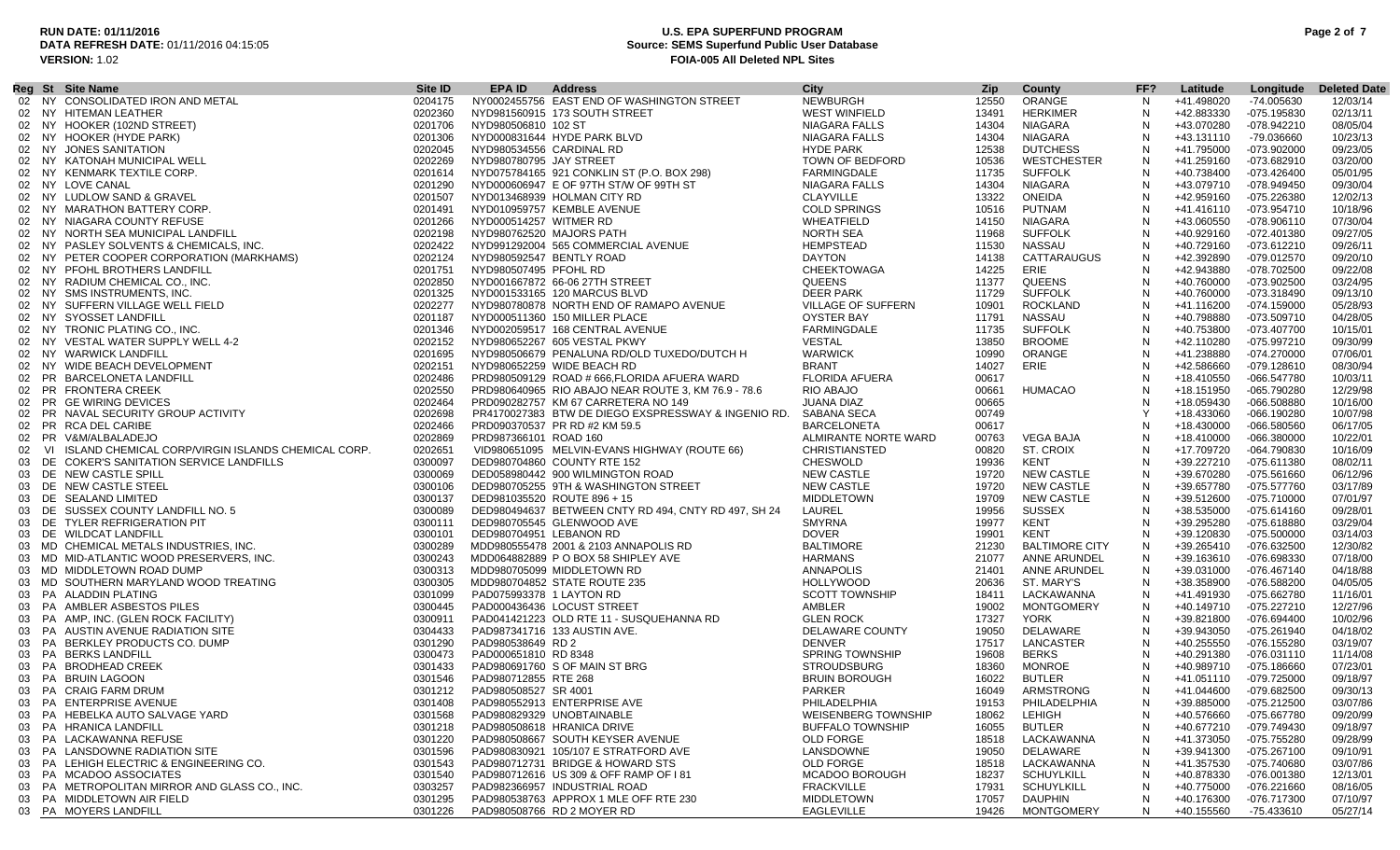## **RUN DATE: 01/11/2016 U.S. EPA SUPERFUND PROGRAM Page 2 of 7 Source: SEMS Superfund Public User Database VERSION:** 1.02 **FOIA-005 All Deleted NPL Sites**

| 02 NY CONSOLIDATED IRON AND METAL<br>NY0002455756 EAST END OF WASHINGTON STREET<br><b>NEWBURGH</b><br>12550<br>ORANGE<br>0204175<br>N<br>+41.498020<br>-74.005630<br>02 NY HITEMAN LEATHER<br>0202360<br>NYD981560915 173 SOUTH STREET<br>WEST WINFIELD<br>13491<br>HERKIMER<br>+42.883330<br>-075.195830<br>N<br>NIAGARA<br>N<br>+43.070280<br>02 NY HOOKER (102ND STREET)<br>0201706<br>NYD980506810 102 ST<br>NIAGARA FALLS<br>14304<br>-078.942210<br>N<br>02 NY HOOKER (HYDE PARK)<br>0201306<br>NYD000831644 HYDE PARK BLVD<br>NIAGARA FALLS<br>14304<br>NIAGARA<br>+43.131110<br>-79.036660<br><b>HYDE PARK</b><br>12538<br><b>DUTCHESS</b><br>N<br>02 NY JONES SANITATION<br>0202045<br>NYD980534556 CARDINAL RD<br>+41.795000<br>-073.902000<br>0202269<br><b>WESTCHESTER</b><br>N<br>02 NY KATONAH MUNICIPAL WELL<br>NYD980780795 JAY STREET<br>TOWN OF BEDFORD<br>10536<br>+41.259160<br>-073.682910<br>NYD075784165 921 CONKLIN ST (P.O. BOX 298)<br>FARMINGDALE<br><b>SUFFOLK</b><br>N<br>02 NY KENMARK TEXTILE CORP.<br>0201614<br>11735<br>+40.738400<br>-073.426400<br>02 NY LOVE CANAL<br>0201290<br>NYD000606947 E OF 97TH ST/W OF 99TH ST<br>NIAGARA FALLS<br>14304<br>NIAGARA<br>N<br>+43.079710<br>-078.949450<br><b>CLAYVILLE</b><br><b>ONEIDA</b><br>02 NY LUDLOW SAND & GRAVEL<br>0201507<br>NYD013468939 HOLMAN CITY RD<br>13322<br>N<br>+42.959160<br>-075.226380<br>12/02/13<br><b>COLD SPRINGS</b><br>02 NY MARATHON BATTERY CORP.<br>0201491<br>NYD010959757 KEMBLE AVENUE<br>10516<br>PUTNAM<br>N<br>+41.416110<br>-073.954710<br>10/18/96<br>0201266<br>WHEATFIELD<br><b>NIAGARA</b><br>N<br>+43.060550<br>07/30/04<br>02 NY NIAGARA COUNTY REFUSE<br>NYD000514257 WITMER RD<br>14150<br>-078.906110<br>NORTH SEA<br><b>SUFFOLK</b><br>N<br>02 NY NORTH SEA MUNICIPAL LANDFILL<br>0202198<br>NYD980762520 MAJORS PATH<br>11968<br>+40.929160<br>-072.401380<br>09/27/05<br>NYD991292004 565 COMMERCIAL AVENUE<br>N<br>02 NY PASLEY SOLVENTS & CHEMICALS, INC.<br>0202422<br>HEMPSTEAD<br>11530<br>NASSAU<br>+40.729160<br>-073.612210<br>09/26/11<br>0202124<br><b>DAYTON</b><br>CATTARAUGUS<br>N<br>02 NY PETER COOPER CORPORATION (MARKHAMS)<br>NYD980592547 BENTLY ROAD<br>14138<br>+42.392890<br>-079.012570<br>09/20/10<br>0201751<br>CHEEKTOWAGA<br>14225<br>ERIE<br>N<br>02 NY PFOHL BROTHERS LANDFILL<br>NYD980507495 PFOHL RD<br>+42.943880<br>-078.702500<br>09/22/08<br>0202850<br><b>QUEENS</b><br>QUEENS<br>02 NY RADIUM CHEMICAL CO., INC.<br>NYD001667872 66-06 27TH STREET<br>11377<br>N<br>+40.760000<br>-073.902500<br>03/24/95<br><b>DEER PARK</b><br><b>SUFFOLK</b><br>02 NY SMS INSTRUMENTS, INC.<br>0201325<br>NYD001533165 120 MARCUS BLVD<br>11729<br>N<br>+40.760000<br>-073.318490<br>09/13/10<br>NYD980780878 NORTH END OF RAMAPO AVENUE<br>VILLAGE OF SUFFERN<br><b>ROCKLAND</b><br>02 NY SUFFERN VILLAGE WELL FIELD<br>0202277<br>10901<br>N<br>+41.116200<br>$-074.159000$<br>05/28/93<br>OYSTER BAY<br>NASSAU<br>02 NY SYOSSET LANDFILL<br>0201187<br>NYD000511360 150 MILLER PLACE<br>11791<br>N<br>+40.798880<br>-073.509710<br>04/28/05<br>0201346<br>FARMINGDALE<br>11735<br><b>SUFFOLK</b><br>N<br>+40.753800<br>02 NY TRONIC PLATING CO., INC.<br>NYD002059517 168 CENTRAL AVENUE<br>-073.407700<br>10/15/01<br>VESTAL<br><b>BROOME</b><br>N<br>02 NY VESTAL WATER SUPPLY WELL 4-2<br>0202152<br>NYD980652267 605 VESTAL PKWY<br>13850<br>+42.110280<br>-075.997210<br>N<br>02 NY WARWICK LANDFILL<br>0201695<br>NYD980506679 PENALUNA RD/OLD TUXEDO/DUTCH H<br><b>WARWICK</b><br>10990<br>ORANGE<br>+41.238880<br>$-074.270000$<br>ERIE<br><b>BRANT</b><br>N<br>02 NY WIDE BEACH DEVELOPMENT<br>0202151<br>NYD980652259 WIDE BEACH RD<br>14027<br>+42.586660<br>$-079.128610$<br><b>FLORIDA AFUERA</b><br>N<br>02 PR BARCELONETA LANDFILL<br>0202486<br>PRD980509129 ROAD # 666, FLORIDA AFUERA WARD<br>00617<br>+18.410550<br>-066.547780<br>0202550<br>RIO ABAJO<br>00661<br>HUMACAO<br>02 PR FRONTERA CREEK<br>PRD980640965 RIO ABAJO NEAR ROUTE 3, KM 76.9 - 78.6<br>N<br>+18.151950<br>-065.790280<br>JUANA DIAZ<br>00665<br>N<br>02 PR GE WIRING DEVICES<br>0202464<br>PRD090282757 KM 67 CARRETERA NO 149<br>+18.059430<br>-066.508880<br>PR NAVAL SECURITY GROUP ACTIVITY<br>Y<br>0202698<br>PR4170027383 BTW DE DIEGO EXSPRESSWAY & INGENIO RD.<br>SABANA SECA<br>00749<br>+18.433060<br>$-066.190280$<br>02 PR RCA DEL CARIBE<br>0202466<br>PRD090370537 PR RD #2 KM 59.5<br><b>BARCELONETA</b><br>00617<br>N<br>+18.430000<br>-066.580560<br>0202869<br>ALMIRANTE NORTE WARD<br>VEGA BAJA<br>N<br>+18.410000<br>02 PR V&M/ALBALADEJO<br>PRD987366101 ROAD 160<br>00763<br>-066.380000<br>VI ISLAND CHEMICAL CORP/VIRGIN ISLANDS CHEMICAL CORP.<br>0202651<br>ST. CROIX<br>N<br>VID980651095 MELVIN-EVANS HIGHWAY (ROUTE 66)<br><b>CHRISTIANSTED</b><br>00820<br>+17.709720<br>-064.790830<br>02<br>KENT<br>N<br>03 DE COKER'S SANITATION SERVICE LANDFILLS<br>0300097<br>DED980704860 COUNTY RTE 152<br><b>CHESWOLD</b><br>19936<br>+39.227210<br>-075.611380<br><b>NEW CASTLE</b><br><b>NEW CASTLE</b><br>N<br>03 DE NEW CASTLE SPILL<br>0300069<br>DED058980442 900 WILMINGTON ROAD<br>19720<br>+39.670280<br>-075.561660<br><b>NEW CASTLE</b><br>N<br>03 DE NEW CASTLE STEEL<br>0300106<br>19720<br><b>NEW CASTLE</b><br>+39.657780<br>-075.577760<br>DED980705255 9TH & WASHINGTON STREET<br><b>MIDDLETOWN</b><br>19709<br><b>NEW CASTLE</b><br>N<br>03 DE SEALAND LIMITED<br>0300137<br>DED981035520 ROUTE 896 + 15<br>+39.512600<br>-075.710000<br>LAUREL<br><b>SUSSEX</b><br>N<br>03 DE SUSSEX COUNTY LANDFILL NO. 5<br>0300089<br>DED980494637 BETWEEN CNTY RD 494, CNTY RD 497, SH 24<br>19956<br>+38.535000<br>-075.614160<br><b>SMYRNA</b><br>KENT<br>03 DE TYLER REFRIGERATION PIT<br>0300111<br>DED980705545 GLENWOOD AVE<br>19977<br>N<br>+39.295280<br>-075.618880<br><b>DOVER</b><br>KENT<br>03 DE WILDCAT LANDFILL<br>0300101<br>DED980704951 LEBANON RD<br>N<br>+39.120830<br>$-075.500000$<br>19901<br>03 MD CHEMICAL METALS INDUSTRIES, INC.<br>0300289<br><b>BALTIMORE</b><br>21230<br><b>BALTIMORE CITY</b><br>N<br>+39.265410<br>-076.632500<br>MDD980555478 2001 & 2103 ANNAPOLIS RD<br>0300243<br><b>HARMANS</b><br>N<br>03 MD MID-ATLANTIC WOOD PRESERVERS, INC.<br>MDD064882889 P O BOX 58 SHIPLEY AVE<br>21077<br>ANNE ARUNDEL<br>+39.163610<br>-076.698330<br>N<br>03 MD MIDDLETOWN ROAD DUMP<br>0300313<br>MDD980705099 MIDDLETOWN RD<br>ANNAPOLIS<br>21401<br>ANNE ARUNDEL<br>+39.031000<br>-076.467140<br>03 MD SOUTHERN MARYLAND WOOD TREATING<br><b>HOLLYWOOD</b><br>N<br>0300305<br>MDD980704852 STATE ROUTE 235<br>20636<br>ST. MARY'S<br>+38.358900<br>-076.588200<br><b>SCOTT TOWNSHIP</b><br>N<br>03 PA ALADDIN PLATING<br>0301099<br>PAD075993378 1 LAYTON RD<br>18411<br>LACKAWANNA<br>+41.491930<br>-075.662780<br>AMBLER<br>19002<br><b>MONTGOMERY</b><br>N<br>03 PA AMBLER ASBESTOS PILES<br>0300445<br>PAD000436436 LOCUST STREET<br>+40.149710<br>-075.227210<br><b>GLEN ROCK</b><br><b>YORK</b><br>N<br>03 PA AMP, INC. (GLEN ROCK FACILITY)<br>0300911<br>PAD041421223 OLD RTE 11 - SUSQUEHANNA RD<br>17327<br>+39.821800<br>-076.694400<br>DELAWARE COUNTY<br>03 PA AUSTIN AVENUE RADIATION SITE<br>0304433<br>PAD987341716 133 AUSTIN AVE.<br>19050<br>DELAWARE<br>N<br>+39.943050<br>-075.261940<br>03 PA BERKLEY PRODUCTS CO. DUMP<br>PAD980538649 RD 2<br>DENVER<br>17517<br>LANCASTER<br>N<br>+40.255550<br>-076.155280<br>0301290<br>03 PA BERKS LANDFILL<br>0300473<br><b>SPRING TOWNSHIP</b><br>19608<br><b>BERKS</b><br>N<br>+40.291380<br>PAD000651810 RD 8348<br>-076.031110<br>11/14/08<br>03 PA BRODHEAD CREEK<br>N<br>0301433<br>PAD980691760 S OF MAIN ST BRG<br><b>STROUDSBURG</b><br>18360<br>MONROE<br>+40.989710<br>-075.186660<br>07/23/01<br>N<br>03 PA BRUIN LAGOON<br>0301546<br>PAD980712855 RTE 268<br><b>BRUIN BOROUGH</b><br>16022<br><b>BUTLER</b><br>+41.051110<br>-079.725000<br>09/18/97<br><b>PARKER</b><br>ARMSTRONG<br>N<br>03 PA CRAIG FARM DRUM<br>0301212<br>PAD980508527 SR 4001<br>16049<br>+41.044600 -079.682500<br>09/30/13<br>PAD980552913 ENTERPRISE AVE<br>PHILADELPHIA<br>03 PA ENTERPRISE AVENUE<br>0301408<br>19153 PHILADELPHIA<br>N<br>+39.885000 -075.212500<br>03/07/86<br>03 PA HEBELKA AUTO SALVAGE YARD<br>0301568<br>PAD980829329 UNOBTAINABLE<br><b>WEISENBERG TOWNSHIP</b><br>18062<br>LEHIGH<br>N<br>+40.576660<br>-075.667780<br>03 PA HRANICA LANDFILL<br>0301218<br>PAD980508618 HRANICA DRIVE<br><b>BUFFALO TOWNSHIP</b><br>16055<br><b>BUTLER</b><br>N<br>+40.677210<br>-079.749430 |  | Reg St Site Name | Site ID | EPA ID | <b>Address</b> | <b>City</b> | Zip | County | FF? | Latitude | Longitude | <b>Deleted Date</b> |
|--------------------------------------------------------------------------------------------------------------------------------------------------------------------------------------------------------------------------------------------------------------------------------------------------------------------------------------------------------------------------------------------------------------------------------------------------------------------------------------------------------------------------------------------------------------------------------------------------------------------------------------------------------------------------------------------------------------------------------------------------------------------------------------------------------------------------------------------------------------------------------------------------------------------------------------------------------------------------------------------------------------------------------------------------------------------------------------------------------------------------------------------------------------------------------------------------------------------------------------------------------------------------------------------------------------------------------------------------------------------------------------------------------------------------------------------------------------------------------------------------------------------------------------------------------------------------------------------------------------------------------------------------------------------------------------------------------------------------------------------------------------------------------------------------------------------------------------------------------------------------------------------------------------------------------------------------------------------------------------------------------------------------------------------------------------------------------------------------------------------------------------------------------------------------------------------------------------------------------------------------------------------------------------------------------------------------------------------------------------------------------------------------------------------------------------------------------------------------------------------------------------------------------------------------------------------------------------------------------------------------------------------------------------------------------------------------------------------------------------------------------------------------------------------------------------------------------------------------------------------------------------------------------------------------------------------------------------------------------------------------------------------------------------------------------------------------------------------------------------------------------------------------------------------------------------------------------------------------------------------------------------------------------------------------------------------------------------------------------------------------------------------------------------------------------------------------------------------------------------------------------------------------------------------------------------------------------------------------------------------------------------------------------------------------------------------------------------------------------------------------------------------------------------------------------------------------------------------------------------------------------------------------------------------------------------------------------------------------------------------------------------------------------------------------------------------------------------------------------------------------------------------------------------------------------------------------------------------------------------------------------------------------------------------------------------------------------------------------------------------------------------------------------------------------------------------------------------------------------------------------------------------------------------------------------------------------------------------------------------------------------------------------------------------------------------------------------------------------------------------------------------------------------------------------------------------------------------------------------------------------------------------------------------------------------------------------------------------------------------------------------------------------------------------------------------------------------------------------------------------------------------------------------------------------------------------------------------------------------------------------------------------------------------------------------------------------------------------------------------------------------------------------------------------------------------------------------------------------------------------------------------------------------------------------------------------------------------------------------------------------------------------------------------------------------------------------------------------------------------------------------------------------------------------------------------------------------------------------------------------------------------------------------------------------------------------------------------------------------------------------------------------------------------------------------------------------------------------------------------------------------------------------------------------------------------------------------------------------------------------------------------------------------------------------------------------------------------------------------------------------------------------------------------------------------------------------------------------------------------------------------------------------------------------------------------------------------------------------------------------------------------------------------------------------------------------------------------------------------------------------------------------------------------------------------------------------------------------------------------------------------------------------------------------------------------------------------------------------------------------------------------------------------------------------------------------------------------------------------------------------------------------------------------------------------------------------------------------------------------------------------------------------------------------------------------------------------------------------------------------------------------------------------------------------------------------------------------------------------------------------------------------------------------------------------------------------------------------------------------------------------------------------------------------------------------------------------------------------------------------------------------------------------------------------------------------------------------------------------------------------------------------------------------------------------------------------------------------------------------------------------------------------------------------------------------------------------------------------------------------------------------------------------------------------------------------------------------------------------------------------------------------------------------------------------------------------------------------------------------------------------------------------------------------------------------------------------------------------------------------------------------------------------------------------------------------------------------|--|------------------|---------|--------|----------------|-------------|-----|--------|-----|----------|-----------|---------------------|
|                                                                                                                                                                                                                                                                                                                                                                                                                                                                                                                                                                                                                                                                                                                                                                                                                                                                                                                                                                                                                                                                                                                                                                                                                                                                                                                                                                                                                                                                                                                                                                                                                                                                                                                                                                                                                                                                                                                                                                                                                                                                                                                                                                                                                                                                                                                                                                                                                                                                                                                                                                                                                                                                                                                                                                                                                                                                                                                                                                                                                                                                                                                                                                                                                                                                                                                                                                                                                                                                                                                                                                                                                                                                                                                                                                                                                                                                                                                                                                                                                                                                                                                                                                                                                                                                                                                                                                                                                                                                                                                                                                                                                                                                                                                                                                                                                                                                                                                                                                                                                                                                                                                                                                                                                                                                                                                                                                                                                                                                                                                                                                                                                                                                                                                                                                                                                                                                                                                                                                                                                                                                                                                                                                                                                                                                                                                                                                                                                                                                                                                                                                                                                                                                                                                                                                                                                                                                                                                                                                                                                                                                                                                                                                                                                                                                                                                                                                                                                                                                                                                                                                                                                                                                                                                                                                                                                                                                                                                                                                                                                                                                                                                                                                                                                                                                                                                                                                                                                                                                                                                                                                                      |  |                  |         |        |                |             |     |        |     |          |           | 12/03/14            |
|                                                                                                                                                                                                                                                                                                                                                                                                                                                                                                                                                                                                                                                                                                                                                                                                                                                                                                                                                                                                                                                                                                                                                                                                                                                                                                                                                                                                                                                                                                                                                                                                                                                                                                                                                                                                                                                                                                                                                                                                                                                                                                                                                                                                                                                                                                                                                                                                                                                                                                                                                                                                                                                                                                                                                                                                                                                                                                                                                                                                                                                                                                                                                                                                                                                                                                                                                                                                                                                                                                                                                                                                                                                                                                                                                                                                                                                                                                                                                                                                                                                                                                                                                                                                                                                                                                                                                                                                                                                                                                                                                                                                                                                                                                                                                                                                                                                                                                                                                                                                                                                                                                                                                                                                                                                                                                                                                                                                                                                                                                                                                                                                                                                                                                                                                                                                                                                                                                                                                                                                                                                                                                                                                                                                                                                                                                                                                                                                                                                                                                                                                                                                                                                                                                                                                                                                                                                                                                                                                                                                                                                                                                                                                                                                                                                                                                                                                                                                                                                                                                                                                                                                                                                                                                                                                                                                                                                                                                                                                                                                                                                                                                                                                                                                                                                                                                                                                                                                                                                                                                                                                                                      |  |                  |         |        |                |             |     |        |     |          |           | 02/13/11            |
|                                                                                                                                                                                                                                                                                                                                                                                                                                                                                                                                                                                                                                                                                                                                                                                                                                                                                                                                                                                                                                                                                                                                                                                                                                                                                                                                                                                                                                                                                                                                                                                                                                                                                                                                                                                                                                                                                                                                                                                                                                                                                                                                                                                                                                                                                                                                                                                                                                                                                                                                                                                                                                                                                                                                                                                                                                                                                                                                                                                                                                                                                                                                                                                                                                                                                                                                                                                                                                                                                                                                                                                                                                                                                                                                                                                                                                                                                                                                                                                                                                                                                                                                                                                                                                                                                                                                                                                                                                                                                                                                                                                                                                                                                                                                                                                                                                                                                                                                                                                                                                                                                                                                                                                                                                                                                                                                                                                                                                                                                                                                                                                                                                                                                                                                                                                                                                                                                                                                                                                                                                                                                                                                                                                                                                                                                                                                                                                                                                                                                                                                                                                                                                                                                                                                                                                                                                                                                                                                                                                                                                                                                                                                                                                                                                                                                                                                                                                                                                                                                                                                                                                                                                                                                                                                                                                                                                                                                                                                                                                                                                                                                                                                                                                                                                                                                                                                                                                                                                                                                                                                                                                      |  |                  |         |        |                |             |     |        |     |          |           | 08/05/04            |
|                                                                                                                                                                                                                                                                                                                                                                                                                                                                                                                                                                                                                                                                                                                                                                                                                                                                                                                                                                                                                                                                                                                                                                                                                                                                                                                                                                                                                                                                                                                                                                                                                                                                                                                                                                                                                                                                                                                                                                                                                                                                                                                                                                                                                                                                                                                                                                                                                                                                                                                                                                                                                                                                                                                                                                                                                                                                                                                                                                                                                                                                                                                                                                                                                                                                                                                                                                                                                                                                                                                                                                                                                                                                                                                                                                                                                                                                                                                                                                                                                                                                                                                                                                                                                                                                                                                                                                                                                                                                                                                                                                                                                                                                                                                                                                                                                                                                                                                                                                                                                                                                                                                                                                                                                                                                                                                                                                                                                                                                                                                                                                                                                                                                                                                                                                                                                                                                                                                                                                                                                                                                                                                                                                                                                                                                                                                                                                                                                                                                                                                                                                                                                                                                                                                                                                                                                                                                                                                                                                                                                                                                                                                                                                                                                                                                                                                                                                                                                                                                                                                                                                                                                                                                                                                                                                                                                                                                                                                                                                                                                                                                                                                                                                                                                                                                                                                                                                                                                                                                                                                                                                                      |  |                  |         |        |                |             |     |        |     |          |           | 10/23/13            |
|                                                                                                                                                                                                                                                                                                                                                                                                                                                                                                                                                                                                                                                                                                                                                                                                                                                                                                                                                                                                                                                                                                                                                                                                                                                                                                                                                                                                                                                                                                                                                                                                                                                                                                                                                                                                                                                                                                                                                                                                                                                                                                                                                                                                                                                                                                                                                                                                                                                                                                                                                                                                                                                                                                                                                                                                                                                                                                                                                                                                                                                                                                                                                                                                                                                                                                                                                                                                                                                                                                                                                                                                                                                                                                                                                                                                                                                                                                                                                                                                                                                                                                                                                                                                                                                                                                                                                                                                                                                                                                                                                                                                                                                                                                                                                                                                                                                                                                                                                                                                                                                                                                                                                                                                                                                                                                                                                                                                                                                                                                                                                                                                                                                                                                                                                                                                                                                                                                                                                                                                                                                                                                                                                                                                                                                                                                                                                                                                                                                                                                                                                                                                                                                                                                                                                                                                                                                                                                                                                                                                                                                                                                                                                                                                                                                                                                                                                                                                                                                                                                                                                                                                                                                                                                                                                                                                                                                                                                                                                                                                                                                                                                                                                                                                                                                                                                                                                                                                                                                                                                                                                                                      |  |                  |         |        |                |             |     |        |     |          |           | 09/23/05            |
|                                                                                                                                                                                                                                                                                                                                                                                                                                                                                                                                                                                                                                                                                                                                                                                                                                                                                                                                                                                                                                                                                                                                                                                                                                                                                                                                                                                                                                                                                                                                                                                                                                                                                                                                                                                                                                                                                                                                                                                                                                                                                                                                                                                                                                                                                                                                                                                                                                                                                                                                                                                                                                                                                                                                                                                                                                                                                                                                                                                                                                                                                                                                                                                                                                                                                                                                                                                                                                                                                                                                                                                                                                                                                                                                                                                                                                                                                                                                                                                                                                                                                                                                                                                                                                                                                                                                                                                                                                                                                                                                                                                                                                                                                                                                                                                                                                                                                                                                                                                                                                                                                                                                                                                                                                                                                                                                                                                                                                                                                                                                                                                                                                                                                                                                                                                                                                                                                                                                                                                                                                                                                                                                                                                                                                                                                                                                                                                                                                                                                                                                                                                                                                                                                                                                                                                                                                                                                                                                                                                                                                                                                                                                                                                                                                                                                                                                                                                                                                                                                                                                                                                                                                                                                                                                                                                                                                                                                                                                                                                                                                                                                                                                                                                                                                                                                                                                                                                                                                                                                                                                                                                      |  |                  |         |        |                |             |     |        |     |          |           | 03/20/00            |
|                                                                                                                                                                                                                                                                                                                                                                                                                                                                                                                                                                                                                                                                                                                                                                                                                                                                                                                                                                                                                                                                                                                                                                                                                                                                                                                                                                                                                                                                                                                                                                                                                                                                                                                                                                                                                                                                                                                                                                                                                                                                                                                                                                                                                                                                                                                                                                                                                                                                                                                                                                                                                                                                                                                                                                                                                                                                                                                                                                                                                                                                                                                                                                                                                                                                                                                                                                                                                                                                                                                                                                                                                                                                                                                                                                                                                                                                                                                                                                                                                                                                                                                                                                                                                                                                                                                                                                                                                                                                                                                                                                                                                                                                                                                                                                                                                                                                                                                                                                                                                                                                                                                                                                                                                                                                                                                                                                                                                                                                                                                                                                                                                                                                                                                                                                                                                                                                                                                                                                                                                                                                                                                                                                                                                                                                                                                                                                                                                                                                                                                                                                                                                                                                                                                                                                                                                                                                                                                                                                                                                                                                                                                                                                                                                                                                                                                                                                                                                                                                                                                                                                                                                                                                                                                                                                                                                                                                                                                                                                                                                                                                                                                                                                                                                                                                                                                                                                                                                                                                                                                                                                                      |  |                  |         |        |                |             |     |        |     |          |           | 05/01/95            |
|                                                                                                                                                                                                                                                                                                                                                                                                                                                                                                                                                                                                                                                                                                                                                                                                                                                                                                                                                                                                                                                                                                                                                                                                                                                                                                                                                                                                                                                                                                                                                                                                                                                                                                                                                                                                                                                                                                                                                                                                                                                                                                                                                                                                                                                                                                                                                                                                                                                                                                                                                                                                                                                                                                                                                                                                                                                                                                                                                                                                                                                                                                                                                                                                                                                                                                                                                                                                                                                                                                                                                                                                                                                                                                                                                                                                                                                                                                                                                                                                                                                                                                                                                                                                                                                                                                                                                                                                                                                                                                                                                                                                                                                                                                                                                                                                                                                                                                                                                                                                                                                                                                                                                                                                                                                                                                                                                                                                                                                                                                                                                                                                                                                                                                                                                                                                                                                                                                                                                                                                                                                                                                                                                                                                                                                                                                                                                                                                                                                                                                                                                                                                                                                                                                                                                                                                                                                                                                                                                                                                                                                                                                                                                                                                                                                                                                                                                                                                                                                                                                                                                                                                                                                                                                                                                                                                                                                                                                                                                                                                                                                                                                                                                                                                                                                                                                                                                                                                                                                                                                                                                                                      |  |                  |         |        |                |             |     |        |     |          |           | 09/30/04            |
|                                                                                                                                                                                                                                                                                                                                                                                                                                                                                                                                                                                                                                                                                                                                                                                                                                                                                                                                                                                                                                                                                                                                                                                                                                                                                                                                                                                                                                                                                                                                                                                                                                                                                                                                                                                                                                                                                                                                                                                                                                                                                                                                                                                                                                                                                                                                                                                                                                                                                                                                                                                                                                                                                                                                                                                                                                                                                                                                                                                                                                                                                                                                                                                                                                                                                                                                                                                                                                                                                                                                                                                                                                                                                                                                                                                                                                                                                                                                                                                                                                                                                                                                                                                                                                                                                                                                                                                                                                                                                                                                                                                                                                                                                                                                                                                                                                                                                                                                                                                                                                                                                                                                                                                                                                                                                                                                                                                                                                                                                                                                                                                                                                                                                                                                                                                                                                                                                                                                                                                                                                                                                                                                                                                                                                                                                                                                                                                                                                                                                                                                                                                                                                                                                                                                                                                                                                                                                                                                                                                                                                                                                                                                                                                                                                                                                                                                                                                                                                                                                                                                                                                                                                                                                                                                                                                                                                                                                                                                                                                                                                                                                                                                                                                                                                                                                                                                                                                                                                                                                                                                                                                      |  |                  |         |        |                |             |     |        |     |          |           |                     |
|                                                                                                                                                                                                                                                                                                                                                                                                                                                                                                                                                                                                                                                                                                                                                                                                                                                                                                                                                                                                                                                                                                                                                                                                                                                                                                                                                                                                                                                                                                                                                                                                                                                                                                                                                                                                                                                                                                                                                                                                                                                                                                                                                                                                                                                                                                                                                                                                                                                                                                                                                                                                                                                                                                                                                                                                                                                                                                                                                                                                                                                                                                                                                                                                                                                                                                                                                                                                                                                                                                                                                                                                                                                                                                                                                                                                                                                                                                                                                                                                                                                                                                                                                                                                                                                                                                                                                                                                                                                                                                                                                                                                                                                                                                                                                                                                                                                                                                                                                                                                                                                                                                                                                                                                                                                                                                                                                                                                                                                                                                                                                                                                                                                                                                                                                                                                                                                                                                                                                                                                                                                                                                                                                                                                                                                                                                                                                                                                                                                                                                                                                                                                                                                                                                                                                                                                                                                                                                                                                                                                                                                                                                                                                                                                                                                                                                                                                                                                                                                                                                                                                                                                                                                                                                                                                                                                                                                                                                                                                                                                                                                                                                                                                                                                                                                                                                                                                                                                                                                                                                                                                                                      |  |                  |         |        |                |             |     |        |     |          |           |                     |
|                                                                                                                                                                                                                                                                                                                                                                                                                                                                                                                                                                                                                                                                                                                                                                                                                                                                                                                                                                                                                                                                                                                                                                                                                                                                                                                                                                                                                                                                                                                                                                                                                                                                                                                                                                                                                                                                                                                                                                                                                                                                                                                                                                                                                                                                                                                                                                                                                                                                                                                                                                                                                                                                                                                                                                                                                                                                                                                                                                                                                                                                                                                                                                                                                                                                                                                                                                                                                                                                                                                                                                                                                                                                                                                                                                                                                                                                                                                                                                                                                                                                                                                                                                                                                                                                                                                                                                                                                                                                                                                                                                                                                                                                                                                                                                                                                                                                                                                                                                                                                                                                                                                                                                                                                                                                                                                                                                                                                                                                                                                                                                                                                                                                                                                                                                                                                                                                                                                                                                                                                                                                                                                                                                                                                                                                                                                                                                                                                                                                                                                                                                                                                                                                                                                                                                                                                                                                                                                                                                                                                                                                                                                                                                                                                                                                                                                                                                                                                                                                                                                                                                                                                                                                                                                                                                                                                                                                                                                                                                                                                                                                                                                                                                                                                                                                                                                                                                                                                                                                                                                                                                                      |  |                  |         |        |                |             |     |        |     |          |           |                     |
|                                                                                                                                                                                                                                                                                                                                                                                                                                                                                                                                                                                                                                                                                                                                                                                                                                                                                                                                                                                                                                                                                                                                                                                                                                                                                                                                                                                                                                                                                                                                                                                                                                                                                                                                                                                                                                                                                                                                                                                                                                                                                                                                                                                                                                                                                                                                                                                                                                                                                                                                                                                                                                                                                                                                                                                                                                                                                                                                                                                                                                                                                                                                                                                                                                                                                                                                                                                                                                                                                                                                                                                                                                                                                                                                                                                                                                                                                                                                                                                                                                                                                                                                                                                                                                                                                                                                                                                                                                                                                                                                                                                                                                                                                                                                                                                                                                                                                                                                                                                                                                                                                                                                                                                                                                                                                                                                                                                                                                                                                                                                                                                                                                                                                                                                                                                                                                                                                                                                                                                                                                                                                                                                                                                                                                                                                                                                                                                                                                                                                                                                                                                                                                                                                                                                                                                                                                                                                                                                                                                                                                                                                                                                                                                                                                                                                                                                                                                                                                                                                                                                                                                                                                                                                                                                                                                                                                                                                                                                                                                                                                                                                                                                                                                                                                                                                                                                                                                                                                                                                                                                                                                      |  |                  |         |        |                |             |     |        |     |          |           |                     |
|                                                                                                                                                                                                                                                                                                                                                                                                                                                                                                                                                                                                                                                                                                                                                                                                                                                                                                                                                                                                                                                                                                                                                                                                                                                                                                                                                                                                                                                                                                                                                                                                                                                                                                                                                                                                                                                                                                                                                                                                                                                                                                                                                                                                                                                                                                                                                                                                                                                                                                                                                                                                                                                                                                                                                                                                                                                                                                                                                                                                                                                                                                                                                                                                                                                                                                                                                                                                                                                                                                                                                                                                                                                                                                                                                                                                                                                                                                                                                                                                                                                                                                                                                                                                                                                                                                                                                                                                                                                                                                                                                                                                                                                                                                                                                                                                                                                                                                                                                                                                                                                                                                                                                                                                                                                                                                                                                                                                                                                                                                                                                                                                                                                                                                                                                                                                                                                                                                                                                                                                                                                                                                                                                                                                                                                                                                                                                                                                                                                                                                                                                                                                                                                                                                                                                                                                                                                                                                                                                                                                                                                                                                                                                                                                                                                                                                                                                                                                                                                                                                                                                                                                                                                                                                                                                                                                                                                                                                                                                                                                                                                                                                                                                                                                                                                                                                                                                                                                                                                                                                                                                                                      |  |                  |         |        |                |             |     |        |     |          |           |                     |
|                                                                                                                                                                                                                                                                                                                                                                                                                                                                                                                                                                                                                                                                                                                                                                                                                                                                                                                                                                                                                                                                                                                                                                                                                                                                                                                                                                                                                                                                                                                                                                                                                                                                                                                                                                                                                                                                                                                                                                                                                                                                                                                                                                                                                                                                                                                                                                                                                                                                                                                                                                                                                                                                                                                                                                                                                                                                                                                                                                                                                                                                                                                                                                                                                                                                                                                                                                                                                                                                                                                                                                                                                                                                                                                                                                                                                                                                                                                                                                                                                                                                                                                                                                                                                                                                                                                                                                                                                                                                                                                                                                                                                                                                                                                                                                                                                                                                                                                                                                                                                                                                                                                                                                                                                                                                                                                                                                                                                                                                                                                                                                                                                                                                                                                                                                                                                                                                                                                                                                                                                                                                                                                                                                                                                                                                                                                                                                                                                                                                                                                                                                                                                                                                                                                                                                                                                                                                                                                                                                                                                                                                                                                                                                                                                                                                                                                                                                                                                                                                                                                                                                                                                                                                                                                                                                                                                                                                                                                                                                                                                                                                                                                                                                                                                                                                                                                                                                                                                                                                                                                                                                                      |  |                  |         |        |                |             |     |        |     |          |           |                     |
|                                                                                                                                                                                                                                                                                                                                                                                                                                                                                                                                                                                                                                                                                                                                                                                                                                                                                                                                                                                                                                                                                                                                                                                                                                                                                                                                                                                                                                                                                                                                                                                                                                                                                                                                                                                                                                                                                                                                                                                                                                                                                                                                                                                                                                                                                                                                                                                                                                                                                                                                                                                                                                                                                                                                                                                                                                                                                                                                                                                                                                                                                                                                                                                                                                                                                                                                                                                                                                                                                                                                                                                                                                                                                                                                                                                                                                                                                                                                                                                                                                                                                                                                                                                                                                                                                                                                                                                                                                                                                                                                                                                                                                                                                                                                                                                                                                                                                                                                                                                                                                                                                                                                                                                                                                                                                                                                                                                                                                                                                                                                                                                                                                                                                                                                                                                                                                                                                                                                                                                                                                                                                                                                                                                                                                                                                                                                                                                                                                                                                                                                                                                                                                                                                                                                                                                                                                                                                                                                                                                                                                                                                                                                                                                                                                                                                                                                                                                                                                                                                                                                                                                                                                                                                                                                                                                                                                                                                                                                                                                                                                                                                                                                                                                                                                                                                                                                                                                                                                                                                                                                                                                      |  |                  |         |        |                |             |     |        |     |          |           |                     |
|                                                                                                                                                                                                                                                                                                                                                                                                                                                                                                                                                                                                                                                                                                                                                                                                                                                                                                                                                                                                                                                                                                                                                                                                                                                                                                                                                                                                                                                                                                                                                                                                                                                                                                                                                                                                                                                                                                                                                                                                                                                                                                                                                                                                                                                                                                                                                                                                                                                                                                                                                                                                                                                                                                                                                                                                                                                                                                                                                                                                                                                                                                                                                                                                                                                                                                                                                                                                                                                                                                                                                                                                                                                                                                                                                                                                                                                                                                                                                                                                                                                                                                                                                                                                                                                                                                                                                                                                                                                                                                                                                                                                                                                                                                                                                                                                                                                                                                                                                                                                                                                                                                                                                                                                                                                                                                                                                                                                                                                                                                                                                                                                                                                                                                                                                                                                                                                                                                                                                                                                                                                                                                                                                                                                                                                                                                                                                                                                                                                                                                                                                                                                                                                                                                                                                                                                                                                                                                                                                                                                                                                                                                                                                                                                                                                                                                                                                                                                                                                                                                                                                                                                                                                                                                                                                                                                                                                                                                                                                                                                                                                                                                                                                                                                                                                                                                                                                                                                                                                                                                                                                                                      |  |                  |         |        |                |             |     |        |     |          |           |                     |
|                                                                                                                                                                                                                                                                                                                                                                                                                                                                                                                                                                                                                                                                                                                                                                                                                                                                                                                                                                                                                                                                                                                                                                                                                                                                                                                                                                                                                                                                                                                                                                                                                                                                                                                                                                                                                                                                                                                                                                                                                                                                                                                                                                                                                                                                                                                                                                                                                                                                                                                                                                                                                                                                                                                                                                                                                                                                                                                                                                                                                                                                                                                                                                                                                                                                                                                                                                                                                                                                                                                                                                                                                                                                                                                                                                                                                                                                                                                                                                                                                                                                                                                                                                                                                                                                                                                                                                                                                                                                                                                                                                                                                                                                                                                                                                                                                                                                                                                                                                                                                                                                                                                                                                                                                                                                                                                                                                                                                                                                                                                                                                                                                                                                                                                                                                                                                                                                                                                                                                                                                                                                                                                                                                                                                                                                                                                                                                                                                                                                                                                                                                                                                                                                                                                                                                                                                                                                                                                                                                                                                                                                                                                                                                                                                                                                                                                                                                                                                                                                                                                                                                                                                                                                                                                                                                                                                                                                                                                                                                                                                                                                                                                                                                                                                                                                                                                                                                                                                                                                                                                                                                                      |  |                  |         |        |                |             |     |        |     |          |           |                     |
|                                                                                                                                                                                                                                                                                                                                                                                                                                                                                                                                                                                                                                                                                                                                                                                                                                                                                                                                                                                                                                                                                                                                                                                                                                                                                                                                                                                                                                                                                                                                                                                                                                                                                                                                                                                                                                                                                                                                                                                                                                                                                                                                                                                                                                                                                                                                                                                                                                                                                                                                                                                                                                                                                                                                                                                                                                                                                                                                                                                                                                                                                                                                                                                                                                                                                                                                                                                                                                                                                                                                                                                                                                                                                                                                                                                                                                                                                                                                                                                                                                                                                                                                                                                                                                                                                                                                                                                                                                                                                                                                                                                                                                                                                                                                                                                                                                                                                                                                                                                                                                                                                                                                                                                                                                                                                                                                                                                                                                                                                                                                                                                                                                                                                                                                                                                                                                                                                                                                                                                                                                                                                                                                                                                                                                                                                                                                                                                                                                                                                                                                                                                                                                                                                                                                                                                                                                                                                                                                                                                                                                                                                                                                                                                                                                                                                                                                                                                                                                                                                                                                                                                                                                                                                                                                                                                                                                                                                                                                                                                                                                                                                                                                                                                                                                                                                                                                                                                                                                                                                                                                                                                      |  |                  |         |        |                |             |     |        |     |          |           |                     |
|                                                                                                                                                                                                                                                                                                                                                                                                                                                                                                                                                                                                                                                                                                                                                                                                                                                                                                                                                                                                                                                                                                                                                                                                                                                                                                                                                                                                                                                                                                                                                                                                                                                                                                                                                                                                                                                                                                                                                                                                                                                                                                                                                                                                                                                                                                                                                                                                                                                                                                                                                                                                                                                                                                                                                                                                                                                                                                                                                                                                                                                                                                                                                                                                                                                                                                                                                                                                                                                                                                                                                                                                                                                                                                                                                                                                                                                                                                                                                                                                                                                                                                                                                                                                                                                                                                                                                                                                                                                                                                                                                                                                                                                                                                                                                                                                                                                                                                                                                                                                                                                                                                                                                                                                                                                                                                                                                                                                                                                                                                                                                                                                                                                                                                                                                                                                                                                                                                                                                                                                                                                                                                                                                                                                                                                                                                                                                                                                                                                                                                                                                                                                                                                                                                                                                                                                                                                                                                                                                                                                                                                                                                                                                                                                                                                                                                                                                                                                                                                                                                                                                                                                                                                                                                                                                                                                                                                                                                                                                                                                                                                                                                                                                                                                                                                                                                                                                                                                                                                                                                                                                                                      |  |                  |         |        |                |             |     |        |     |          |           |                     |
|                                                                                                                                                                                                                                                                                                                                                                                                                                                                                                                                                                                                                                                                                                                                                                                                                                                                                                                                                                                                                                                                                                                                                                                                                                                                                                                                                                                                                                                                                                                                                                                                                                                                                                                                                                                                                                                                                                                                                                                                                                                                                                                                                                                                                                                                                                                                                                                                                                                                                                                                                                                                                                                                                                                                                                                                                                                                                                                                                                                                                                                                                                                                                                                                                                                                                                                                                                                                                                                                                                                                                                                                                                                                                                                                                                                                                                                                                                                                                                                                                                                                                                                                                                                                                                                                                                                                                                                                                                                                                                                                                                                                                                                                                                                                                                                                                                                                                                                                                                                                                                                                                                                                                                                                                                                                                                                                                                                                                                                                                                                                                                                                                                                                                                                                                                                                                                                                                                                                                                                                                                                                                                                                                                                                                                                                                                                                                                                                                                                                                                                                                                                                                                                                                                                                                                                                                                                                                                                                                                                                                                                                                                                                                                                                                                                                                                                                                                                                                                                                                                                                                                                                                                                                                                                                                                                                                                                                                                                                                                                                                                                                                                                                                                                                                                                                                                                                                                                                                                                                                                                                                                                      |  |                  |         |        |                |             |     |        |     |          |           |                     |
|                                                                                                                                                                                                                                                                                                                                                                                                                                                                                                                                                                                                                                                                                                                                                                                                                                                                                                                                                                                                                                                                                                                                                                                                                                                                                                                                                                                                                                                                                                                                                                                                                                                                                                                                                                                                                                                                                                                                                                                                                                                                                                                                                                                                                                                                                                                                                                                                                                                                                                                                                                                                                                                                                                                                                                                                                                                                                                                                                                                                                                                                                                                                                                                                                                                                                                                                                                                                                                                                                                                                                                                                                                                                                                                                                                                                                                                                                                                                                                                                                                                                                                                                                                                                                                                                                                                                                                                                                                                                                                                                                                                                                                                                                                                                                                                                                                                                                                                                                                                                                                                                                                                                                                                                                                                                                                                                                                                                                                                                                                                                                                                                                                                                                                                                                                                                                                                                                                                                                                                                                                                                                                                                                                                                                                                                                                                                                                                                                                                                                                                                                                                                                                                                                                                                                                                                                                                                                                                                                                                                                                                                                                                                                                                                                                                                                                                                                                                                                                                                                                                                                                                                                                                                                                                                                                                                                                                                                                                                                                                                                                                                                                                                                                                                                                                                                                                                                                                                                                                                                                                                                                                      |  |                  |         |        |                |             |     |        |     |          |           |                     |
|                                                                                                                                                                                                                                                                                                                                                                                                                                                                                                                                                                                                                                                                                                                                                                                                                                                                                                                                                                                                                                                                                                                                                                                                                                                                                                                                                                                                                                                                                                                                                                                                                                                                                                                                                                                                                                                                                                                                                                                                                                                                                                                                                                                                                                                                                                                                                                                                                                                                                                                                                                                                                                                                                                                                                                                                                                                                                                                                                                                                                                                                                                                                                                                                                                                                                                                                                                                                                                                                                                                                                                                                                                                                                                                                                                                                                                                                                                                                                                                                                                                                                                                                                                                                                                                                                                                                                                                                                                                                                                                                                                                                                                                                                                                                                                                                                                                                                                                                                                                                                                                                                                                                                                                                                                                                                                                                                                                                                                                                                                                                                                                                                                                                                                                                                                                                                                                                                                                                                                                                                                                                                                                                                                                                                                                                                                                                                                                                                                                                                                                                                                                                                                                                                                                                                                                                                                                                                                                                                                                                                                                                                                                                                                                                                                                                                                                                                                                                                                                                                                                                                                                                                                                                                                                                                                                                                                                                                                                                                                                                                                                                                                                                                                                                                                                                                                                                                                                                                                                                                                                                                                                      |  |                  |         |        |                |             |     |        |     |          |           | 09/30/99            |
|                                                                                                                                                                                                                                                                                                                                                                                                                                                                                                                                                                                                                                                                                                                                                                                                                                                                                                                                                                                                                                                                                                                                                                                                                                                                                                                                                                                                                                                                                                                                                                                                                                                                                                                                                                                                                                                                                                                                                                                                                                                                                                                                                                                                                                                                                                                                                                                                                                                                                                                                                                                                                                                                                                                                                                                                                                                                                                                                                                                                                                                                                                                                                                                                                                                                                                                                                                                                                                                                                                                                                                                                                                                                                                                                                                                                                                                                                                                                                                                                                                                                                                                                                                                                                                                                                                                                                                                                                                                                                                                                                                                                                                                                                                                                                                                                                                                                                                                                                                                                                                                                                                                                                                                                                                                                                                                                                                                                                                                                                                                                                                                                                                                                                                                                                                                                                                                                                                                                                                                                                                                                                                                                                                                                                                                                                                                                                                                                                                                                                                                                                                                                                                                                                                                                                                                                                                                                                                                                                                                                                                                                                                                                                                                                                                                                                                                                                                                                                                                                                                                                                                                                                                                                                                                                                                                                                                                                                                                                                                                                                                                                                                                                                                                                                                                                                                                                                                                                                                                                                                                                                                                      |  |                  |         |        |                |             |     |        |     |          |           | 07/06/01            |
|                                                                                                                                                                                                                                                                                                                                                                                                                                                                                                                                                                                                                                                                                                                                                                                                                                                                                                                                                                                                                                                                                                                                                                                                                                                                                                                                                                                                                                                                                                                                                                                                                                                                                                                                                                                                                                                                                                                                                                                                                                                                                                                                                                                                                                                                                                                                                                                                                                                                                                                                                                                                                                                                                                                                                                                                                                                                                                                                                                                                                                                                                                                                                                                                                                                                                                                                                                                                                                                                                                                                                                                                                                                                                                                                                                                                                                                                                                                                                                                                                                                                                                                                                                                                                                                                                                                                                                                                                                                                                                                                                                                                                                                                                                                                                                                                                                                                                                                                                                                                                                                                                                                                                                                                                                                                                                                                                                                                                                                                                                                                                                                                                                                                                                                                                                                                                                                                                                                                                                                                                                                                                                                                                                                                                                                                                                                                                                                                                                                                                                                                                                                                                                                                                                                                                                                                                                                                                                                                                                                                                                                                                                                                                                                                                                                                                                                                                                                                                                                                                                                                                                                                                                                                                                                                                                                                                                                                                                                                                                                                                                                                                                                                                                                                                                                                                                                                                                                                                                                                                                                                                                                      |  |                  |         |        |                |             |     |        |     |          |           | 08/30/94            |
|                                                                                                                                                                                                                                                                                                                                                                                                                                                                                                                                                                                                                                                                                                                                                                                                                                                                                                                                                                                                                                                                                                                                                                                                                                                                                                                                                                                                                                                                                                                                                                                                                                                                                                                                                                                                                                                                                                                                                                                                                                                                                                                                                                                                                                                                                                                                                                                                                                                                                                                                                                                                                                                                                                                                                                                                                                                                                                                                                                                                                                                                                                                                                                                                                                                                                                                                                                                                                                                                                                                                                                                                                                                                                                                                                                                                                                                                                                                                                                                                                                                                                                                                                                                                                                                                                                                                                                                                                                                                                                                                                                                                                                                                                                                                                                                                                                                                                                                                                                                                                                                                                                                                                                                                                                                                                                                                                                                                                                                                                                                                                                                                                                                                                                                                                                                                                                                                                                                                                                                                                                                                                                                                                                                                                                                                                                                                                                                                                                                                                                                                                                                                                                                                                                                                                                                                                                                                                                                                                                                                                                                                                                                                                                                                                                                                                                                                                                                                                                                                                                                                                                                                                                                                                                                                                                                                                                                                                                                                                                                                                                                                                                                                                                                                                                                                                                                                                                                                                                                                                                                                                                                      |  |                  |         |        |                |             |     |        |     |          |           | 10/03/11            |
|                                                                                                                                                                                                                                                                                                                                                                                                                                                                                                                                                                                                                                                                                                                                                                                                                                                                                                                                                                                                                                                                                                                                                                                                                                                                                                                                                                                                                                                                                                                                                                                                                                                                                                                                                                                                                                                                                                                                                                                                                                                                                                                                                                                                                                                                                                                                                                                                                                                                                                                                                                                                                                                                                                                                                                                                                                                                                                                                                                                                                                                                                                                                                                                                                                                                                                                                                                                                                                                                                                                                                                                                                                                                                                                                                                                                                                                                                                                                                                                                                                                                                                                                                                                                                                                                                                                                                                                                                                                                                                                                                                                                                                                                                                                                                                                                                                                                                                                                                                                                                                                                                                                                                                                                                                                                                                                                                                                                                                                                                                                                                                                                                                                                                                                                                                                                                                                                                                                                                                                                                                                                                                                                                                                                                                                                                                                                                                                                                                                                                                                                                                                                                                                                                                                                                                                                                                                                                                                                                                                                                                                                                                                                                                                                                                                                                                                                                                                                                                                                                                                                                                                                                                                                                                                                                                                                                                                                                                                                                                                                                                                                                                                                                                                                                                                                                                                                                                                                                                                                                                                                                                                      |  |                  |         |        |                |             |     |        |     |          |           | 12/29/98            |
|                                                                                                                                                                                                                                                                                                                                                                                                                                                                                                                                                                                                                                                                                                                                                                                                                                                                                                                                                                                                                                                                                                                                                                                                                                                                                                                                                                                                                                                                                                                                                                                                                                                                                                                                                                                                                                                                                                                                                                                                                                                                                                                                                                                                                                                                                                                                                                                                                                                                                                                                                                                                                                                                                                                                                                                                                                                                                                                                                                                                                                                                                                                                                                                                                                                                                                                                                                                                                                                                                                                                                                                                                                                                                                                                                                                                                                                                                                                                                                                                                                                                                                                                                                                                                                                                                                                                                                                                                                                                                                                                                                                                                                                                                                                                                                                                                                                                                                                                                                                                                                                                                                                                                                                                                                                                                                                                                                                                                                                                                                                                                                                                                                                                                                                                                                                                                                                                                                                                                                                                                                                                                                                                                                                                                                                                                                                                                                                                                                                                                                                                                                                                                                                                                                                                                                                                                                                                                                                                                                                                                                                                                                                                                                                                                                                                                                                                                                                                                                                                                                                                                                                                                                                                                                                                                                                                                                                                                                                                                                                                                                                                                                                                                                                                                                                                                                                                                                                                                                                                                                                                                                                      |  |                  |         |        |                |             |     |        |     |          |           | 10/16/00            |
|                                                                                                                                                                                                                                                                                                                                                                                                                                                                                                                                                                                                                                                                                                                                                                                                                                                                                                                                                                                                                                                                                                                                                                                                                                                                                                                                                                                                                                                                                                                                                                                                                                                                                                                                                                                                                                                                                                                                                                                                                                                                                                                                                                                                                                                                                                                                                                                                                                                                                                                                                                                                                                                                                                                                                                                                                                                                                                                                                                                                                                                                                                                                                                                                                                                                                                                                                                                                                                                                                                                                                                                                                                                                                                                                                                                                                                                                                                                                                                                                                                                                                                                                                                                                                                                                                                                                                                                                                                                                                                                                                                                                                                                                                                                                                                                                                                                                                                                                                                                                                                                                                                                                                                                                                                                                                                                                                                                                                                                                                                                                                                                                                                                                                                                                                                                                                                                                                                                                                                                                                                                                                                                                                                                                                                                                                                                                                                                                                                                                                                                                                                                                                                                                                                                                                                                                                                                                                                                                                                                                                                                                                                                                                                                                                                                                                                                                                                                                                                                                                                                                                                                                                                                                                                                                                                                                                                                                                                                                                                                                                                                                                                                                                                                                                                                                                                                                                                                                                                                                                                                                                                                      |  |                  |         |        |                |             |     |        |     |          |           | 10/07/98            |
|                                                                                                                                                                                                                                                                                                                                                                                                                                                                                                                                                                                                                                                                                                                                                                                                                                                                                                                                                                                                                                                                                                                                                                                                                                                                                                                                                                                                                                                                                                                                                                                                                                                                                                                                                                                                                                                                                                                                                                                                                                                                                                                                                                                                                                                                                                                                                                                                                                                                                                                                                                                                                                                                                                                                                                                                                                                                                                                                                                                                                                                                                                                                                                                                                                                                                                                                                                                                                                                                                                                                                                                                                                                                                                                                                                                                                                                                                                                                                                                                                                                                                                                                                                                                                                                                                                                                                                                                                                                                                                                                                                                                                                                                                                                                                                                                                                                                                                                                                                                                                                                                                                                                                                                                                                                                                                                                                                                                                                                                                                                                                                                                                                                                                                                                                                                                                                                                                                                                                                                                                                                                                                                                                                                                                                                                                                                                                                                                                                                                                                                                                                                                                                                                                                                                                                                                                                                                                                                                                                                                                                                                                                                                                                                                                                                                                                                                                                                                                                                                                                                                                                                                                                                                                                                                                                                                                                                                                                                                                                                                                                                                                                                                                                                                                                                                                                                                                                                                                                                                                                                                                                                      |  |                  |         |        |                |             |     |        |     |          |           | 06/17/05            |
|                                                                                                                                                                                                                                                                                                                                                                                                                                                                                                                                                                                                                                                                                                                                                                                                                                                                                                                                                                                                                                                                                                                                                                                                                                                                                                                                                                                                                                                                                                                                                                                                                                                                                                                                                                                                                                                                                                                                                                                                                                                                                                                                                                                                                                                                                                                                                                                                                                                                                                                                                                                                                                                                                                                                                                                                                                                                                                                                                                                                                                                                                                                                                                                                                                                                                                                                                                                                                                                                                                                                                                                                                                                                                                                                                                                                                                                                                                                                                                                                                                                                                                                                                                                                                                                                                                                                                                                                                                                                                                                                                                                                                                                                                                                                                                                                                                                                                                                                                                                                                                                                                                                                                                                                                                                                                                                                                                                                                                                                                                                                                                                                                                                                                                                                                                                                                                                                                                                                                                                                                                                                                                                                                                                                                                                                                                                                                                                                                                                                                                                                                                                                                                                                                                                                                                                                                                                                                                                                                                                                                                                                                                                                                                                                                                                                                                                                                                                                                                                                                                                                                                                                                                                                                                                                                                                                                                                                                                                                                                                                                                                                                                                                                                                                                                                                                                                                                                                                                                                                                                                                                                                      |  |                  |         |        |                |             |     |        |     |          |           | 10/22/01            |
|                                                                                                                                                                                                                                                                                                                                                                                                                                                                                                                                                                                                                                                                                                                                                                                                                                                                                                                                                                                                                                                                                                                                                                                                                                                                                                                                                                                                                                                                                                                                                                                                                                                                                                                                                                                                                                                                                                                                                                                                                                                                                                                                                                                                                                                                                                                                                                                                                                                                                                                                                                                                                                                                                                                                                                                                                                                                                                                                                                                                                                                                                                                                                                                                                                                                                                                                                                                                                                                                                                                                                                                                                                                                                                                                                                                                                                                                                                                                                                                                                                                                                                                                                                                                                                                                                                                                                                                                                                                                                                                                                                                                                                                                                                                                                                                                                                                                                                                                                                                                                                                                                                                                                                                                                                                                                                                                                                                                                                                                                                                                                                                                                                                                                                                                                                                                                                                                                                                                                                                                                                                                                                                                                                                                                                                                                                                                                                                                                                                                                                                                                                                                                                                                                                                                                                                                                                                                                                                                                                                                                                                                                                                                                                                                                                                                                                                                                                                                                                                                                                                                                                                                                                                                                                                                                                                                                                                                                                                                                                                                                                                                                                                                                                                                                                                                                                                                                                                                                                                                                                                                                                                      |  |                  |         |        |                |             |     |        |     |          |           | 10/16/09            |
|                                                                                                                                                                                                                                                                                                                                                                                                                                                                                                                                                                                                                                                                                                                                                                                                                                                                                                                                                                                                                                                                                                                                                                                                                                                                                                                                                                                                                                                                                                                                                                                                                                                                                                                                                                                                                                                                                                                                                                                                                                                                                                                                                                                                                                                                                                                                                                                                                                                                                                                                                                                                                                                                                                                                                                                                                                                                                                                                                                                                                                                                                                                                                                                                                                                                                                                                                                                                                                                                                                                                                                                                                                                                                                                                                                                                                                                                                                                                                                                                                                                                                                                                                                                                                                                                                                                                                                                                                                                                                                                                                                                                                                                                                                                                                                                                                                                                                                                                                                                                                                                                                                                                                                                                                                                                                                                                                                                                                                                                                                                                                                                                                                                                                                                                                                                                                                                                                                                                                                                                                                                                                                                                                                                                                                                                                                                                                                                                                                                                                                                                                                                                                                                                                                                                                                                                                                                                                                                                                                                                                                                                                                                                                                                                                                                                                                                                                                                                                                                                                                                                                                                                                                                                                                                                                                                                                                                                                                                                                                                                                                                                                                                                                                                                                                                                                                                                                                                                                                                                                                                                                                                      |  |                  |         |        |                |             |     |        |     |          |           | 08/02/11            |
|                                                                                                                                                                                                                                                                                                                                                                                                                                                                                                                                                                                                                                                                                                                                                                                                                                                                                                                                                                                                                                                                                                                                                                                                                                                                                                                                                                                                                                                                                                                                                                                                                                                                                                                                                                                                                                                                                                                                                                                                                                                                                                                                                                                                                                                                                                                                                                                                                                                                                                                                                                                                                                                                                                                                                                                                                                                                                                                                                                                                                                                                                                                                                                                                                                                                                                                                                                                                                                                                                                                                                                                                                                                                                                                                                                                                                                                                                                                                                                                                                                                                                                                                                                                                                                                                                                                                                                                                                                                                                                                                                                                                                                                                                                                                                                                                                                                                                                                                                                                                                                                                                                                                                                                                                                                                                                                                                                                                                                                                                                                                                                                                                                                                                                                                                                                                                                                                                                                                                                                                                                                                                                                                                                                                                                                                                                                                                                                                                                                                                                                                                                                                                                                                                                                                                                                                                                                                                                                                                                                                                                                                                                                                                                                                                                                                                                                                                                                                                                                                                                                                                                                                                                                                                                                                                                                                                                                                                                                                                                                                                                                                                                                                                                                                                                                                                                                                                                                                                                                                                                                                                                                      |  |                  |         |        |                |             |     |        |     |          |           | 06/12/96            |
|                                                                                                                                                                                                                                                                                                                                                                                                                                                                                                                                                                                                                                                                                                                                                                                                                                                                                                                                                                                                                                                                                                                                                                                                                                                                                                                                                                                                                                                                                                                                                                                                                                                                                                                                                                                                                                                                                                                                                                                                                                                                                                                                                                                                                                                                                                                                                                                                                                                                                                                                                                                                                                                                                                                                                                                                                                                                                                                                                                                                                                                                                                                                                                                                                                                                                                                                                                                                                                                                                                                                                                                                                                                                                                                                                                                                                                                                                                                                                                                                                                                                                                                                                                                                                                                                                                                                                                                                                                                                                                                                                                                                                                                                                                                                                                                                                                                                                                                                                                                                                                                                                                                                                                                                                                                                                                                                                                                                                                                                                                                                                                                                                                                                                                                                                                                                                                                                                                                                                                                                                                                                                                                                                                                                                                                                                                                                                                                                                                                                                                                                                                                                                                                                                                                                                                                                                                                                                                                                                                                                                                                                                                                                                                                                                                                                                                                                                                                                                                                                                                                                                                                                                                                                                                                                                                                                                                                                                                                                                                                                                                                                                                                                                                                                                                                                                                                                                                                                                                                                                                                                                                                      |  |                  |         |        |                |             |     |        |     |          |           | 03/17/89            |
|                                                                                                                                                                                                                                                                                                                                                                                                                                                                                                                                                                                                                                                                                                                                                                                                                                                                                                                                                                                                                                                                                                                                                                                                                                                                                                                                                                                                                                                                                                                                                                                                                                                                                                                                                                                                                                                                                                                                                                                                                                                                                                                                                                                                                                                                                                                                                                                                                                                                                                                                                                                                                                                                                                                                                                                                                                                                                                                                                                                                                                                                                                                                                                                                                                                                                                                                                                                                                                                                                                                                                                                                                                                                                                                                                                                                                                                                                                                                                                                                                                                                                                                                                                                                                                                                                                                                                                                                                                                                                                                                                                                                                                                                                                                                                                                                                                                                                                                                                                                                                                                                                                                                                                                                                                                                                                                                                                                                                                                                                                                                                                                                                                                                                                                                                                                                                                                                                                                                                                                                                                                                                                                                                                                                                                                                                                                                                                                                                                                                                                                                                                                                                                                                                                                                                                                                                                                                                                                                                                                                                                                                                                                                                                                                                                                                                                                                                                                                                                                                                                                                                                                                                                                                                                                                                                                                                                                                                                                                                                                                                                                                                                                                                                                                                                                                                                                                                                                                                                                                                                                                                                                      |  |                  |         |        |                |             |     |        |     |          |           | 07/01/97            |
|                                                                                                                                                                                                                                                                                                                                                                                                                                                                                                                                                                                                                                                                                                                                                                                                                                                                                                                                                                                                                                                                                                                                                                                                                                                                                                                                                                                                                                                                                                                                                                                                                                                                                                                                                                                                                                                                                                                                                                                                                                                                                                                                                                                                                                                                                                                                                                                                                                                                                                                                                                                                                                                                                                                                                                                                                                                                                                                                                                                                                                                                                                                                                                                                                                                                                                                                                                                                                                                                                                                                                                                                                                                                                                                                                                                                                                                                                                                                                                                                                                                                                                                                                                                                                                                                                                                                                                                                                                                                                                                                                                                                                                                                                                                                                                                                                                                                                                                                                                                                                                                                                                                                                                                                                                                                                                                                                                                                                                                                                                                                                                                                                                                                                                                                                                                                                                                                                                                                                                                                                                                                                                                                                                                                                                                                                                                                                                                                                                                                                                                                                                                                                                                                                                                                                                                                                                                                                                                                                                                                                                                                                                                                                                                                                                                                                                                                                                                                                                                                                                                                                                                                                                                                                                                                                                                                                                                                                                                                                                                                                                                                                                                                                                                                                                                                                                                                                                                                                                                                                                                                                                                      |  |                  |         |        |                |             |     |        |     |          |           | 09/28/01            |
|                                                                                                                                                                                                                                                                                                                                                                                                                                                                                                                                                                                                                                                                                                                                                                                                                                                                                                                                                                                                                                                                                                                                                                                                                                                                                                                                                                                                                                                                                                                                                                                                                                                                                                                                                                                                                                                                                                                                                                                                                                                                                                                                                                                                                                                                                                                                                                                                                                                                                                                                                                                                                                                                                                                                                                                                                                                                                                                                                                                                                                                                                                                                                                                                                                                                                                                                                                                                                                                                                                                                                                                                                                                                                                                                                                                                                                                                                                                                                                                                                                                                                                                                                                                                                                                                                                                                                                                                                                                                                                                                                                                                                                                                                                                                                                                                                                                                                                                                                                                                                                                                                                                                                                                                                                                                                                                                                                                                                                                                                                                                                                                                                                                                                                                                                                                                                                                                                                                                                                                                                                                                                                                                                                                                                                                                                                                                                                                                                                                                                                                                                                                                                                                                                                                                                                                                                                                                                                                                                                                                                                                                                                                                                                                                                                                                                                                                                                                                                                                                                                                                                                                                                                                                                                                                                                                                                                                                                                                                                                                                                                                                                                                                                                                                                                                                                                                                                                                                                                                                                                                                                                                      |  |                  |         |        |                |             |     |        |     |          |           | 03/29/04            |
|                                                                                                                                                                                                                                                                                                                                                                                                                                                                                                                                                                                                                                                                                                                                                                                                                                                                                                                                                                                                                                                                                                                                                                                                                                                                                                                                                                                                                                                                                                                                                                                                                                                                                                                                                                                                                                                                                                                                                                                                                                                                                                                                                                                                                                                                                                                                                                                                                                                                                                                                                                                                                                                                                                                                                                                                                                                                                                                                                                                                                                                                                                                                                                                                                                                                                                                                                                                                                                                                                                                                                                                                                                                                                                                                                                                                                                                                                                                                                                                                                                                                                                                                                                                                                                                                                                                                                                                                                                                                                                                                                                                                                                                                                                                                                                                                                                                                                                                                                                                                                                                                                                                                                                                                                                                                                                                                                                                                                                                                                                                                                                                                                                                                                                                                                                                                                                                                                                                                                                                                                                                                                                                                                                                                                                                                                                                                                                                                                                                                                                                                                                                                                                                                                                                                                                                                                                                                                                                                                                                                                                                                                                                                                                                                                                                                                                                                                                                                                                                                                                                                                                                                                                                                                                                                                                                                                                                                                                                                                                                                                                                                                                                                                                                                                                                                                                                                                                                                                                                                                                                                                                                      |  |                  |         |        |                |             |     |        |     |          |           | 03/14/03            |
|                                                                                                                                                                                                                                                                                                                                                                                                                                                                                                                                                                                                                                                                                                                                                                                                                                                                                                                                                                                                                                                                                                                                                                                                                                                                                                                                                                                                                                                                                                                                                                                                                                                                                                                                                                                                                                                                                                                                                                                                                                                                                                                                                                                                                                                                                                                                                                                                                                                                                                                                                                                                                                                                                                                                                                                                                                                                                                                                                                                                                                                                                                                                                                                                                                                                                                                                                                                                                                                                                                                                                                                                                                                                                                                                                                                                                                                                                                                                                                                                                                                                                                                                                                                                                                                                                                                                                                                                                                                                                                                                                                                                                                                                                                                                                                                                                                                                                                                                                                                                                                                                                                                                                                                                                                                                                                                                                                                                                                                                                                                                                                                                                                                                                                                                                                                                                                                                                                                                                                                                                                                                                                                                                                                                                                                                                                                                                                                                                                                                                                                                                                                                                                                                                                                                                                                                                                                                                                                                                                                                                                                                                                                                                                                                                                                                                                                                                                                                                                                                                                                                                                                                                                                                                                                                                                                                                                                                                                                                                                                                                                                                                                                                                                                                                                                                                                                                                                                                                                                                                                                                                                                      |  |                  |         |        |                |             |     |        |     |          |           | 12/30/82            |
|                                                                                                                                                                                                                                                                                                                                                                                                                                                                                                                                                                                                                                                                                                                                                                                                                                                                                                                                                                                                                                                                                                                                                                                                                                                                                                                                                                                                                                                                                                                                                                                                                                                                                                                                                                                                                                                                                                                                                                                                                                                                                                                                                                                                                                                                                                                                                                                                                                                                                                                                                                                                                                                                                                                                                                                                                                                                                                                                                                                                                                                                                                                                                                                                                                                                                                                                                                                                                                                                                                                                                                                                                                                                                                                                                                                                                                                                                                                                                                                                                                                                                                                                                                                                                                                                                                                                                                                                                                                                                                                                                                                                                                                                                                                                                                                                                                                                                                                                                                                                                                                                                                                                                                                                                                                                                                                                                                                                                                                                                                                                                                                                                                                                                                                                                                                                                                                                                                                                                                                                                                                                                                                                                                                                                                                                                                                                                                                                                                                                                                                                                                                                                                                                                                                                                                                                                                                                                                                                                                                                                                                                                                                                                                                                                                                                                                                                                                                                                                                                                                                                                                                                                                                                                                                                                                                                                                                                                                                                                                                                                                                                                                                                                                                                                                                                                                                                                                                                                                                                                                                                                                                      |  |                  |         |        |                |             |     |        |     |          |           | 07/18/00            |
|                                                                                                                                                                                                                                                                                                                                                                                                                                                                                                                                                                                                                                                                                                                                                                                                                                                                                                                                                                                                                                                                                                                                                                                                                                                                                                                                                                                                                                                                                                                                                                                                                                                                                                                                                                                                                                                                                                                                                                                                                                                                                                                                                                                                                                                                                                                                                                                                                                                                                                                                                                                                                                                                                                                                                                                                                                                                                                                                                                                                                                                                                                                                                                                                                                                                                                                                                                                                                                                                                                                                                                                                                                                                                                                                                                                                                                                                                                                                                                                                                                                                                                                                                                                                                                                                                                                                                                                                                                                                                                                                                                                                                                                                                                                                                                                                                                                                                                                                                                                                                                                                                                                                                                                                                                                                                                                                                                                                                                                                                                                                                                                                                                                                                                                                                                                                                                                                                                                                                                                                                                                                                                                                                                                                                                                                                                                                                                                                                                                                                                                                                                                                                                                                                                                                                                                                                                                                                                                                                                                                                                                                                                                                                                                                                                                                                                                                                                                                                                                                                                                                                                                                                                                                                                                                                                                                                                                                                                                                                                                                                                                                                                                                                                                                                                                                                                                                                                                                                                                                                                                                                                                      |  |                  |         |        |                |             |     |        |     |          |           | 04/18/88            |
|                                                                                                                                                                                                                                                                                                                                                                                                                                                                                                                                                                                                                                                                                                                                                                                                                                                                                                                                                                                                                                                                                                                                                                                                                                                                                                                                                                                                                                                                                                                                                                                                                                                                                                                                                                                                                                                                                                                                                                                                                                                                                                                                                                                                                                                                                                                                                                                                                                                                                                                                                                                                                                                                                                                                                                                                                                                                                                                                                                                                                                                                                                                                                                                                                                                                                                                                                                                                                                                                                                                                                                                                                                                                                                                                                                                                                                                                                                                                                                                                                                                                                                                                                                                                                                                                                                                                                                                                                                                                                                                                                                                                                                                                                                                                                                                                                                                                                                                                                                                                                                                                                                                                                                                                                                                                                                                                                                                                                                                                                                                                                                                                                                                                                                                                                                                                                                                                                                                                                                                                                                                                                                                                                                                                                                                                                                                                                                                                                                                                                                                                                                                                                                                                                                                                                                                                                                                                                                                                                                                                                                                                                                                                                                                                                                                                                                                                                                                                                                                                                                                                                                                                                                                                                                                                                                                                                                                                                                                                                                                                                                                                                                                                                                                                                                                                                                                                                                                                                                                                                                                                                                                      |  |                  |         |        |                |             |     |        |     |          |           | 04/05/05            |
|                                                                                                                                                                                                                                                                                                                                                                                                                                                                                                                                                                                                                                                                                                                                                                                                                                                                                                                                                                                                                                                                                                                                                                                                                                                                                                                                                                                                                                                                                                                                                                                                                                                                                                                                                                                                                                                                                                                                                                                                                                                                                                                                                                                                                                                                                                                                                                                                                                                                                                                                                                                                                                                                                                                                                                                                                                                                                                                                                                                                                                                                                                                                                                                                                                                                                                                                                                                                                                                                                                                                                                                                                                                                                                                                                                                                                                                                                                                                                                                                                                                                                                                                                                                                                                                                                                                                                                                                                                                                                                                                                                                                                                                                                                                                                                                                                                                                                                                                                                                                                                                                                                                                                                                                                                                                                                                                                                                                                                                                                                                                                                                                                                                                                                                                                                                                                                                                                                                                                                                                                                                                                                                                                                                                                                                                                                                                                                                                                                                                                                                                                                                                                                                                                                                                                                                                                                                                                                                                                                                                                                                                                                                                                                                                                                                                                                                                                                                                                                                                                                                                                                                                                                                                                                                                                                                                                                                                                                                                                                                                                                                                                                                                                                                                                                                                                                                                                                                                                                                                                                                                                                                      |  |                  |         |        |                |             |     |        |     |          |           | 11/16/01            |
|                                                                                                                                                                                                                                                                                                                                                                                                                                                                                                                                                                                                                                                                                                                                                                                                                                                                                                                                                                                                                                                                                                                                                                                                                                                                                                                                                                                                                                                                                                                                                                                                                                                                                                                                                                                                                                                                                                                                                                                                                                                                                                                                                                                                                                                                                                                                                                                                                                                                                                                                                                                                                                                                                                                                                                                                                                                                                                                                                                                                                                                                                                                                                                                                                                                                                                                                                                                                                                                                                                                                                                                                                                                                                                                                                                                                                                                                                                                                                                                                                                                                                                                                                                                                                                                                                                                                                                                                                                                                                                                                                                                                                                                                                                                                                                                                                                                                                                                                                                                                                                                                                                                                                                                                                                                                                                                                                                                                                                                                                                                                                                                                                                                                                                                                                                                                                                                                                                                                                                                                                                                                                                                                                                                                                                                                                                                                                                                                                                                                                                                                                                                                                                                                                                                                                                                                                                                                                                                                                                                                                                                                                                                                                                                                                                                                                                                                                                                                                                                                                                                                                                                                                                                                                                                                                                                                                                                                                                                                                                                                                                                                                                                                                                                                                                                                                                                                                                                                                                                                                                                                                                                      |  |                  |         |        |                |             |     |        |     |          |           | 12/27/96            |
|                                                                                                                                                                                                                                                                                                                                                                                                                                                                                                                                                                                                                                                                                                                                                                                                                                                                                                                                                                                                                                                                                                                                                                                                                                                                                                                                                                                                                                                                                                                                                                                                                                                                                                                                                                                                                                                                                                                                                                                                                                                                                                                                                                                                                                                                                                                                                                                                                                                                                                                                                                                                                                                                                                                                                                                                                                                                                                                                                                                                                                                                                                                                                                                                                                                                                                                                                                                                                                                                                                                                                                                                                                                                                                                                                                                                                                                                                                                                                                                                                                                                                                                                                                                                                                                                                                                                                                                                                                                                                                                                                                                                                                                                                                                                                                                                                                                                                                                                                                                                                                                                                                                                                                                                                                                                                                                                                                                                                                                                                                                                                                                                                                                                                                                                                                                                                                                                                                                                                                                                                                                                                                                                                                                                                                                                                                                                                                                                                                                                                                                                                                                                                                                                                                                                                                                                                                                                                                                                                                                                                                                                                                                                                                                                                                                                                                                                                                                                                                                                                                                                                                                                                                                                                                                                                                                                                                                                                                                                                                                                                                                                                                                                                                                                                                                                                                                                                                                                                                                                                                                                                                                      |  |                  |         |        |                |             |     |        |     |          |           | 10/02/96            |
|                                                                                                                                                                                                                                                                                                                                                                                                                                                                                                                                                                                                                                                                                                                                                                                                                                                                                                                                                                                                                                                                                                                                                                                                                                                                                                                                                                                                                                                                                                                                                                                                                                                                                                                                                                                                                                                                                                                                                                                                                                                                                                                                                                                                                                                                                                                                                                                                                                                                                                                                                                                                                                                                                                                                                                                                                                                                                                                                                                                                                                                                                                                                                                                                                                                                                                                                                                                                                                                                                                                                                                                                                                                                                                                                                                                                                                                                                                                                                                                                                                                                                                                                                                                                                                                                                                                                                                                                                                                                                                                                                                                                                                                                                                                                                                                                                                                                                                                                                                                                                                                                                                                                                                                                                                                                                                                                                                                                                                                                                                                                                                                                                                                                                                                                                                                                                                                                                                                                                                                                                                                                                                                                                                                                                                                                                                                                                                                                                                                                                                                                                                                                                                                                                                                                                                                                                                                                                                                                                                                                                                                                                                                                                                                                                                                                                                                                                                                                                                                                                                                                                                                                                                                                                                                                                                                                                                                                                                                                                                                                                                                                                                                                                                                                                                                                                                                                                                                                                                                                                                                                                                                      |  |                  |         |        |                |             |     |        |     |          |           | 04/18/02            |
|                                                                                                                                                                                                                                                                                                                                                                                                                                                                                                                                                                                                                                                                                                                                                                                                                                                                                                                                                                                                                                                                                                                                                                                                                                                                                                                                                                                                                                                                                                                                                                                                                                                                                                                                                                                                                                                                                                                                                                                                                                                                                                                                                                                                                                                                                                                                                                                                                                                                                                                                                                                                                                                                                                                                                                                                                                                                                                                                                                                                                                                                                                                                                                                                                                                                                                                                                                                                                                                                                                                                                                                                                                                                                                                                                                                                                                                                                                                                                                                                                                                                                                                                                                                                                                                                                                                                                                                                                                                                                                                                                                                                                                                                                                                                                                                                                                                                                                                                                                                                                                                                                                                                                                                                                                                                                                                                                                                                                                                                                                                                                                                                                                                                                                                                                                                                                                                                                                                                                                                                                                                                                                                                                                                                                                                                                                                                                                                                                                                                                                                                                                                                                                                                                                                                                                                                                                                                                                                                                                                                                                                                                                                                                                                                                                                                                                                                                                                                                                                                                                                                                                                                                                                                                                                                                                                                                                                                                                                                                                                                                                                                                                                                                                                                                                                                                                                                                                                                                                                                                                                                                                                      |  |                  |         |        |                |             |     |        |     |          |           | 03/19/07            |
|                                                                                                                                                                                                                                                                                                                                                                                                                                                                                                                                                                                                                                                                                                                                                                                                                                                                                                                                                                                                                                                                                                                                                                                                                                                                                                                                                                                                                                                                                                                                                                                                                                                                                                                                                                                                                                                                                                                                                                                                                                                                                                                                                                                                                                                                                                                                                                                                                                                                                                                                                                                                                                                                                                                                                                                                                                                                                                                                                                                                                                                                                                                                                                                                                                                                                                                                                                                                                                                                                                                                                                                                                                                                                                                                                                                                                                                                                                                                                                                                                                                                                                                                                                                                                                                                                                                                                                                                                                                                                                                                                                                                                                                                                                                                                                                                                                                                                                                                                                                                                                                                                                                                                                                                                                                                                                                                                                                                                                                                                                                                                                                                                                                                                                                                                                                                                                                                                                                                                                                                                                                                                                                                                                                                                                                                                                                                                                                                                                                                                                                                                                                                                                                                                                                                                                                                                                                                                                                                                                                                                                                                                                                                                                                                                                                                                                                                                                                                                                                                                                                                                                                                                                                                                                                                                                                                                                                                                                                                                                                                                                                                                                                                                                                                                                                                                                                                                                                                                                                                                                                                                                                      |  |                  |         |        |                |             |     |        |     |          |           |                     |
|                                                                                                                                                                                                                                                                                                                                                                                                                                                                                                                                                                                                                                                                                                                                                                                                                                                                                                                                                                                                                                                                                                                                                                                                                                                                                                                                                                                                                                                                                                                                                                                                                                                                                                                                                                                                                                                                                                                                                                                                                                                                                                                                                                                                                                                                                                                                                                                                                                                                                                                                                                                                                                                                                                                                                                                                                                                                                                                                                                                                                                                                                                                                                                                                                                                                                                                                                                                                                                                                                                                                                                                                                                                                                                                                                                                                                                                                                                                                                                                                                                                                                                                                                                                                                                                                                                                                                                                                                                                                                                                                                                                                                                                                                                                                                                                                                                                                                                                                                                                                                                                                                                                                                                                                                                                                                                                                                                                                                                                                                                                                                                                                                                                                                                                                                                                                                                                                                                                                                                                                                                                                                                                                                                                                                                                                                                                                                                                                                                                                                                                                                                                                                                                                                                                                                                                                                                                                                                                                                                                                                                                                                                                                                                                                                                                                                                                                                                                                                                                                                                                                                                                                                                                                                                                                                                                                                                                                                                                                                                                                                                                                                                                                                                                                                                                                                                                                                                                                                                                                                                                                                                                      |  |                  |         |        |                |             |     |        |     |          |           |                     |
|                                                                                                                                                                                                                                                                                                                                                                                                                                                                                                                                                                                                                                                                                                                                                                                                                                                                                                                                                                                                                                                                                                                                                                                                                                                                                                                                                                                                                                                                                                                                                                                                                                                                                                                                                                                                                                                                                                                                                                                                                                                                                                                                                                                                                                                                                                                                                                                                                                                                                                                                                                                                                                                                                                                                                                                                                                                                                                                                                                                                                                                                                                                                                                                                                                                                                                                                                                                                                                                                                                                                                                                                                                                                                                                                                                                                                                                                                                                                                                                                                                                                                                                                                                                                                                                                                                                                                                                                                                                                                                                                                                                                                                                                                                                                                                                                                                                                                                                                                                                                                                                                                                                                                                                                                                                                                                                                                                                                                                                                                                                                                                                                                                                                                                                                                                                                                                                                                                                                                                                                                                                                                                                                                                                                                                                                                                                                                                                                                                                                                                                                                                                                                                                                                                                                                                                                                                                                                                                                                                                                                                                                                                                                                                                                                                                                                                                                                                                                                                                                                                                                                                                                                                                                                                                                                                                                                                                                                                                                                                                                                                                                                                                                                                                                                                                                                                                                                                                                                                                                                                                                                                                      |  |                  |         |        |                |             |     |        |     |          |           |                     |
|                                                                                                                                                                                                                                                                                                                                                                                                                                                                                                                                                                                                                                                                                                                                                                                                                                                                                                                                                                                                                                                                                                                                                                                                                                                                                                                                                                                                                                                                                                                                                                                                                                                                                                                                                                                                                                                                                                                                                                                                                                                                                                                                                                                                                                                                                                                                                                                                                                                                                                                                                                                                                                                                                                                                                                                                                                                                                                                                                                                                                                                                                                                                                                                                                                                                                                                                                                                                                                                                                                                                                                                                                                                                                                                                                                                                                                                                                                                                                                                                                                                                                                                                                                                                                                                                                                                                                                                                                                                                                                                                                                                                                                                                                                                                                                                                                                                                                                                                                                                                                                                                                                                                                                                                                                                                                                                                                                                                                                                                                                                                                                                                                                                                                                                                                                                                                                                                                                                                                                                                                                                                                                                                                                                                                                                                                                                                                                                                                                                                                                                                                                                                                                                                                                                                                                                                                                                                                                                                                                                                                                                                                                                                                                                                                                                                                                                                                                                                                                                                                                                                                                                                                                                                                                                                                                                                                                                                                                                                                                                                                                                                                                                                                                                                                                                                                                                                                                                                                                                                                                                                                                                      |  |                  |         |        |                |             |     |        |     |          |           |                     |
|                                                                                                                                                                                                                                                                                                                                                                                                                                                                                                                                                                                                                                                                                                                                                                                                                                                                                                                                                                                                                                                                                                                                                                                                                                                                                                                                                                                                                                                                                                                                                                                                                                                                                                                                                                                                                                                                                                                                                                                                                                                                                                                                                                                                                                                                                                                                                                                                                                                                                                                                                                                                                                                                                                                                                                                                                                                                                                                                                                                                                                                                                                                                                                                                                                                                                                                                                                                                                                                                                                                                                                                                                                                                                                                                                                                                                                                                                                                                                                                                                                                                                                                                                                                                                                                                                                                                                                                                                                                                                                                                                                                                                                                                                                                                                                                                                                                                                                                                                                                                                                                                                                                                                                                                                                                                                                                                                                                                                                                                                                                                                                                                                                                                                                                                                                                                                                                                                                                                                                                                                                                                                                                                                                                                                                                                                                                                                                                                                                                                                                                                                                                                                                                                                                                                                                                                                                                                                                                                                                                                                                                                                                                                                                                                                                                                                                                                                                                                                                                                                                                                                                                                                                                                                                                                                                                                                                                                                                                                                                                                                                                                                                                                                                                                                                                                                                                                                                                                                                                                                                                                                                                      |  |                  |         |        |                |             |     |        |     |          |           |                     |
|                                                                                                                                                                                                                                                                                                                                                                                                                                                                                                                                                                                                                                                                                                                                                                                                                                                                                                                                                                                                                                                                                                                                                                                                                                                                                                                                                                                                                                                                                                                                                                                                                                                                                                                                                                                                                                                                                                                                                                                                                                                                                                                                                                                                                                                                                                                                                                                                                                                                                                                                                                                                                                                                                                                                                                                                                                                                                                                                                                                                                                                                                                                                                                                                                                                                                                                                                                                                                                                                                                                                                                                                                                                                                                                                                                                                                                                                                                                                                                                                                                                                                                                                                                                                                                                                                                                                                                                                                                                                                                                                                                                                                                                                                                                                                                                                                                                                                                                                                                                                                                                                                                                                                                                                                                                                                                                                                                                                                                                                                                                                                                                                                                                                                                                                                                                                                                                                                                                                                                                                                                                                                                                                                                                                                                                                                                                                                                                                                                                                                                                                                                                                                                                                                                                                                                                                                                                                                                                                                                                                                                                                                                                                                                                                                                                                                                                                                                                                                                                                                                                                                                                                                                                                                                                                                                                                                                                                                                                                                                                                                                                                                                                                                                                                                                                                                                                                                                                                                                                                                                                                                                                      |  |                  |         |        |                |             |     |        |     |          |           |                     |
|                                                                                                                                                                                                                                                                                                                                                                                                                                                                                                                                                                                                                                                                                                                                                                                                                                                                                                                                                                                                                                                                                                                                                                                                                                                                                                                                                                                                                                                                                                                                                                                                                                                                                                                                                                                                                                                                                                                                                                                                                                                                                                                                                                                                                                                                                                                                                                                                                                                                                                                                                                                                                                                                                                                                                                                                                                                                                                                                                                                                                                                                                                                                                                                                                                                                                                                                                                                                                                                                                                                                                                                                                                                                                                                                                                                                                                                                                                                                                                                                                                                                                                                                                                                                                                                                                                                                                                                                                                                                                                                                                                                                                                                                                                                                                                                                                                                                                                                                                                                                                                                                                                                                                                                                                                                                                                                                                                                                                                                                                                                                                                                                                                                                                                                                                                                                                                                                                                                                                                                                                                                                                                                                                                                                                                                                                                                                                                                                                                                                                                                                                                                                                                                                                                                                                                                                                                                                                                                                                                                                                                                                                                                                                                                                                                                                                                                                                                                                                                                                                                                                                                                                                                                                                                                                                                                                                                                                                                                                                                                                                                                                                                                                                                                                                                                                                                                                                                                                                                                                                                                                                                                      |  |                  |         |        |                |             |     |        |     |          |           | 09/20/99            |
|                                                                                                                                                                                                                                                                                                                                                                                                                                                                                                                                                                                                                                                                                                                                                                                                                                                                                                                                                                                                                                                                                                                                                                                                                                                                                                                                                                                                                                                                                                                                                                                                                                                                                                                                                                                                                                                                                                                                                                                                                                                                                                                                                                                                                                                                                                                                                                                                                                                                                                                                                                                                                                                                                                                                                                                                                                                                                                                                                                                                                                                                                                                                                                                                                                                                                                                                                                                                                                                                                                                                                                                                                                                                                                                                                                                                                                                                                                                                                                                                                                                                                                                                                                                                                                                                                                                                                                                                                                                                                                                                                                                                                                                                                                                                                                                                                                                                                                                                                                                                                                                                                                                                                                                                                                                                                                                                                                                                                                                                                                                                                                                                                                                                                                                                                                                                                                                                                                                                                                                                                                                                                                                                                                                                                                                                                                                                                                                                                                                                                                                                                                                                                                                                                                                                                                                                                                                                                                                                                                                                                                                                                                                                                                                                                                                                                                                                                                                                                                                                                                                                                                                                                                                                                                                                                                                                                                                                                                                                                                                                                                                                                                                                                                                                                                                                                                                                                                                                                                                                                                                                                                                      |  |                  |         |        |                |             |     |        |     |          |           | 09/18/97            |
| 03 PA LACKAWANNA REFUSE<br>0301220<br>PAD980508667 SOUTH KEYSER AVENUE<br><b>OLD FORGE</b><br>LACKAWANNA<br>+41.373050<br>-075.755280<br>18518<br>N                                                                                                                                                                                                                                                                                                                                                                                                                                                                                                                                                                                                                                                                                                                                                                                                                                                                                                                                                                                                                                                                                                                                                                                                                                                                                                                                                                                                                                                                                                                                                                                                                                                                                                                                                                                                                                                                                                                                                                                                                                                                                                                                                                                                                                                                                                                                                                                                                                                                                                                                                                                                                                                                                                                                                                                                                                                                                                                                                                                                                                                                                                                                                                                                                                                                                                                                                                                                                                                                                                                                                                                                                                                                                                                                                                                                                                                                                                                                                                                                                                                                                                                                                                                                                                                                                                                                                                                                                                                                                                                                                                                                                                                                                                                                                                                                                                                                                                                                                                                                                                                                                                                                                                                                                                                                                                                                                                                                                                                                                                                                                                                                                                                                                                                                                                                                                                                                                                                                                                                                                                                                                                                                                                                                                                                                                                                                                                                                                                                                                                                                                                                                                                                                                                                                                                                                                                                                                                                                                                                                                                                                                                                                                                                                                                                                                                                                                                                                                                                                                                                                                                                                                                                                                                                                                                                                                                                                                                                                                                                                                                                                                                                                                                                                                                                                                                                                                                                                                                  |  |                  |         |        |                |             |     |        |     |          |           | 09/28/99            |
| LANSDOWNE<br>03 PA LANSDOWNE RADIATION SITE<br>0301596<br>PAD980830921 105/107 E STRATFORD AVE<br>19050<br>DELAWARE<br>N<br>+39.941300<br>-075.267100                                                                                                                                                                                                                                                                                                                                                                                                                                                                                                                                                                                                                                                                                                                                                                                                                                                                                                                                                                                                                                                                                                                                                                                                                                                                                                                                                                                                                                                                                                                                                                                                                                                                                                                                                                                                                                                                                                                                                                                                                                                                                                                                                                                                                                                                                                                                                                                                                                                                                                                                                                                                                                                                                                                                                                                                                                                                                                                                                                                                                                                                                                                                                                                                                                                                                                                                                                                                                                                                                                                                                                                                                                                                                                                                                                                                                                                                                                                                                                                                                                                                                                                                                                                                                                                                                                                                                                                                                                                                                                                                                                                                                                                                                                                                                                                                                                                                                                                                                                                                                                                                                                                                                                                                                                                                                                                                                                                                                                                                                                                                                                                                                                                                                                                                                                                                                                                                                                                                                                                                                                                                                                                                                                                                                                                                                                                                                                                                                                                                                                                                                                                                                                                                                                                                                                                                                                                                                                                                                                                                                                                                                                                                                                                                                                                                                                                                                                                                                                                                                                                                                                                                                                                                                                                                                                                                                                                                                                                                                                                                                                                                                                                                                                                                                                                                                                                                                                                                                                |  |                  |         |        |                |             |     |        |     |          |           | 09/10/91            |
| 03 PA LEHIGH ELECTRIC & ENGINEERING CO.<br>0301543<br><b>OLD FORGE</b><br>LACKAWANNA<br>+41.357530<br>-075.740680<br>PAD980712731 BRIDGE & HOWARD STS<br>18518<br>N                                                                                                                                                                                                                                                                                                                                                                                                                                                                                                                                                                                                                                                                                                                                                                                                                                                                                                                                                                                                                                                                                                                                                                                                                                                                                                                                                                                                                                                                                                                                                                                                                                                                                                                                                                                                                                                                                                                                                                                                                                                                                                                                                                                                                                                                                                                                                                                                                                                                                                                                                                                                                                                                                                                                                                                                                                                                                                                                                                                                                                                                                                                                                                                                                                                                                                                                                                                                                                                                                                                                                                                                                                                                                                                                                                                                                                                                                                                                                                                                                                                                                                                                                                                                                                                                                                                                                                                                                                                                                                                                                                                                                                                                                                                                                                                                                                                                                                                                                                                                                                                                                                                                                                                                                                                                                                                                                                                                                                                                                                                                                                                                                                                                                                                                                                                                                                                                                                                                                                                                                                                                                                                                                                                                                                                                                                                                                                                                                                                                                                                                                                                                                                                                                                                                                                                                                                                                                                                                                                                                                                                                                                                                                                                                                                                                                                                                                                                                                                                                                                                                                                                                                                                                                                                                                                                                                                                                                                                                                                                                                                                                                                                                                                                                                                                                                                                                                                                                                  |  |                  |         |        |                |             |     |        |     |          |           | 03/07/86            |
| 03 PA MCADOO ASSOCIATES<br>0301540<br>PAD980712616 US 309 & OFF RAMP OF 181<br>MCADOO BOROUGH<br><b>SCHUYLKILL</b><br>N<br>+40.878330<br>-076.001380<br>18237                                                                                                                                                                                                                                                                                                                                                                                                                                                                                                                                                                                                                                                                                                                                                                                                                                                                                                                                                                                                                                                                                                                                                                                                                                                                                                                                                                                                                                                                                                                                                                                                                                                                                                                                                                                                                                                                                                                                                                                                                                                                                                                                                                                                                                                                                                                                                                                                                                                                                                                                                                                                                                                                                                                                                                                                                                                                                                                                                                                                                                                                                                                                                                                                                                                                                                                                                                                                                                                                                                                                                                                                                                                                                                                                                                                                                                                                                                                                                                                                                                                                                                                                                                                                                                                                                                                                                                                                                                                                                                                                                                                                                                                                                                                                                                                                                                                                                                                                                                                                                                                                                                                                                                                                                                                                                                                                                                                                                                                                                                                                                                                                                                                                                                                                                                                                                                                                                                                                                                                                                                                                                                                                                                                                                                                                                                                                                                                                                                                                                                                                                                                                                                                                                                                                                                                                                                                                                                                                                                                                                                                                                                                                                                                                                                                                                                                                                                                                                                                                                                                                                                                                                                                                                                                                                                                                                                                                                                                                                                                                                                                                                                                                                                                                                                                                                                                                                                                                                        |  |                  |         |        |                |             |     |        |     |          |           | 12/13/01            |
| 03 PA METROPOLITAN MIRROR AND GLASS CO., INC.<br><b>FRACKVILLE</b><br><b>SCHUYLKILL</b><br>+40.775000<br>0303257<br>PAD982366957 INDUSTRIAL ROAD<br>17931<br>N<br>-076.221660                                                                                                                                                                                                                                                                                                                                                                                                                                                                                                                                                                                                                                                                                                                                                                                                                                                                                                                                                                                                                                                                                                                                                                                                                                                                                                                                                                                                                                                                                                                                                                                                                                                                                                                                                                                                                                                                                                                                                                                                                                                                                                                                                                                                                                                                                                                                                                                                                                                                                                                                                                                                                                                                                                                                                                                                                                                                                                                                                                                                                                                                                                                                                                                                                                                                                                                                                                                                                                                                                                                                                                                                                                                                                                                                                                                                                                                                                                                                                                                                                                                                                                                                                                                                                                                                                                                                                                                                                                                                                                                                                                                                                                                                                                                                                                                                                                                                                                                                                                                                                                                                                                                                                                                                                                                                                                                                                                                                                                                                                                                                                                                                                                                                                                                                                                                                                                                                                                                                                                                                                                                                                                                                                                                                                                                                                                                                                                                                                                                                                                                                                                                                                                                                                                                                                                                                                                                                                                                                                                                                                                                                                                                                                                                                                                                                                                                                                                                                                                                                                                                                                                                                                                                                                                                                                                                                                                                                                                                                                                                                                                                                                                                                                                                                                                                                                                                                                                                                        |  |                  |         |        |                |             |     |        |     |          |           | 08/16/05            |
| 03 PA MIDDLETOWN AIR FIELD<br>PAD980538763 APPROX 1 MLE OFF RTE 230<br><b>MIDDLETOWN</b><br><b>DAUPHIN</b><br>N<br>+40.176300<br>-076.717300<br>0301295<br>17057                                                                                                                                                                                                                                                                                                                                                                                                                                                                                                                                                                                                                                                                                                                                                                                                                                                                                                                                                                                                                                                                                                                                                                                                                                                                                                                                                                                                                                                                                                                                                                                                                                                                                                                                                                                                                                                                                                                                                                                                                                                                                                                                                                                                                                                                                                                                                                                                                                                                                                                                                                                                                                                                                                                                                                                                                                                                                                                                                                                                                                                                                                                                                                                                                                                                                                                                                                                                                                                                                                                                                                                                                                                                                                                                                                                                                                                                                                                                                                                                                                                                                                                                                                                                                                                                                                                                                                                                                                                                                                                                                                                                                                                                                                                                                                                                                                                                                                                                                                                                                                                                                                                                                                                                                                                                                                                                                                                                                                                                                                                                                                                                                                                                                                                                                                                                                                                                                                                                                                                                                                                                                                                                                                                                                                                                                                                                                                                                                                                                                                                                                                                                                                                                                                                                                                                                                                                                                                                                                                                                                                                                                                                                                                                                                                                                                                                                                                                                                                                                                                                                                                                                                                                                                                                                                                                                                                                                                                                                                                                                                                                                                                                                                                                                                                                                                                                                                                                                                     |  |                  |         |        |                |             |     |        |     |          |           | 07/10/97            |
| 03 PA MOYERS LANDFILL<br>PAD980508766 RD 2 MOYER RD<br><b>EAGLEVILLE</b><br>N<br>+40.155560<br>0301226<br>19426<br><b>MONTGOMERY</b><br>-75.433610                                                                                                                                                                                                                                                                                                                                                                                                                                                                                                                                                                                                                                                                                                                                                                                                                                                                                                                                                                                                                                                                                                                                                                                                                                                                                                                                                                                                                                                                                                                                                                                                                                                                                                                                                                                                                                                                                                                                                                                                                                                                                                                                                                                                                                                                                                                                                                                                                                                                                                                                                                                                                                                                                                                                                                                                                                                                                                                                                                                                                                                                                                                                                                                                                                                                                                                                                                                                                                                                                                                                                                                                                                                                                                                                                                                                                                                                                                                                                                                                                                                                                                                                                                                                                                                                                                                                                                                                                                                                                                                                                                                                                                                                                                                                                                                                                                                                                                                                                                                                                                                                                                                                                                                                                                                                                                                                                                                                                                                                                                                                                                                                                                                                                                                                                                                                                                                                                                                                                                                                                                                                                                                                                                                                                                                                                                                                                                                                                                                                                                                                                                                                                                                                                                                                                                                                                                                                                                                                                                                                                                                                                                                                                                                                                                                                                                                                                                                                                                                                                                                                                                                                                                                                                                                                                                                                                                                                                                                                                                                                                                                                                                                                                                                                                                                                                                                                                                                                                                   |  |                  |         |        |                |             |     |        |     |          |           | 05/27/14            |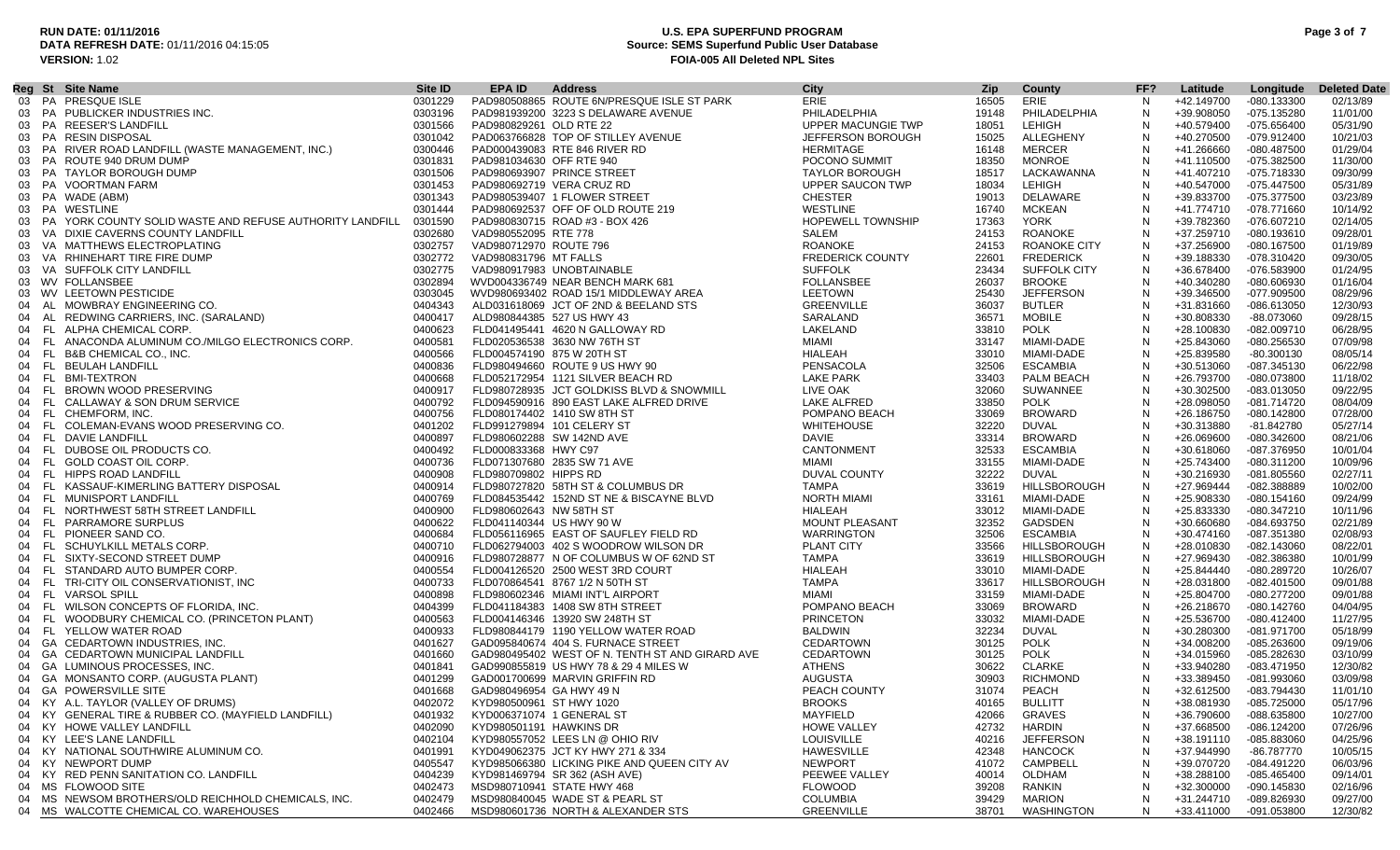### **RUN DATE: 01/11/2016 U.S. EPA SUPERFUND PROGRAM Page 3 of 7 Source: SEMS Superfund Public User Database VERSION:** 1.02 **FOIA-005 All Deleted NPL Sites**

| <b>City</b><br>Site <b>ID</b><br><b>EPA ID</b><br><b>Address</b><br>Reg St Site Name<br><b>Zip</b><br>County<br>FF?<br>Latitude<br>Longitude<br><b>Deleted Date</b><br>PAD980508865 ROUTE 6N/PRESQUE ISLE ST PARK<br>ERIE<br>03 PA PRESQUE ISLE<br>0301229<br>16505<br>ERIE<br>N<br>+42.149700<br>-080.133300<br>02/13/89<br>03 PA PUBLICKER INDUSTRIES INC.<br>PHILADELPHIA<br>0303196<br>PAD981939200 3223 S DELAWARE AVENUE<br>PHILADELPHIA<br>+39.908050<br>19148<br>N<br>-075.135280<br>11/01/00<br>PA REESER'S LANDFILL<br>0301566<br>UPPER MACUNGIE TWP<br><b>LEHIGH</b><br>+40.579400<br>$-075.656400$<br>05/31/90<br>PAD980829261 OLD RTE 22<br>18051<br><sup>N</sup><br>03<br>PA RESIN DISPOSAL<br>PAD063766828 TOP OF STILLEY AVENUE<br>ALLEGHENY<br>0301042<br>JEFFERSON BOROUGH<br>15025<br>+40.270500<br>-079.912400<br>10/21/03<br>03<br>N<br>PA RIVER ROAD LANDFILL (WASTE MANAGEMENT, INC.)<br>0300446<br>PAD000439083 RTE 846 RIVER RD<br>HERMITAGE<br>16148<br>MERCER<br><sup>N</sup><br>+41.266660<br>-080.487500<br>01/29/04<br>03<br>PA ROUTE 940 DRUM DUMP<br>0301831<br>PAD981034630 OFF RTE 940<br>POCONO SUMMIT<br>18350<br>MONROE<br><sup>N</sup><br>-075.382500<br>11/30/00<br>+41.110500<br>03<br>0301506<br>PA TAYLOR BOROUGH DUMP<br>PAD980693907 PRINCE STREET<br><b>TAYLOR BOROUGH</b><br>18517<br>LACKAWANNA<br>N<br>+41.407210<br>-075.718330<br>09/30/99<br>03<br>03 PA VOORTMAN FARM<br>0301453<br>PAD980692719 VERA CRUZ RD<br>UPPER SAUCON TWP<br>18034<br>LEHIGH<br>N<br>+40.547000<br>-075.447500<br>05/31/89<br><b>CHESTER</b><br>03/23/89<br>03 PA WADE (ABM)<br>0301343<br>PAD980539407 1 FLOWER STREET<br>19013<br>DELAWARE<br>N<br>+39.833700<br>-075.377500<br>PA WESTLINE<br>0301444<br>PAD980692537 OFF OF OLD ROUTE 219<br>WESTLINE<br>16740<br>MCKEAN<br>N<br>+41.774710<br>-078.771660<br>10/14/92<br>03<br>PA YORK COUNTY SOLID WASTE AND REFUSE AUTHORITY LANDFILL<br><b>HOPEWELL TOWNSHIP</b><br><b>YORK</b><br>0301590<br>PAD980830715 ROAD #3 - BOX 426<br>+39.782360<br>$-076.607210$<br>02/14/05<br>03<br>17363<br>N<br>0302680<br>SALEM<br>09/28/01<br>VA DIXIE CAVERNS COUNTY LANDFILL<br>VAD980552095 RTE 778<br>24153<br><b>ROANOKE</b><br>N<br>+37.259710<br>-080.193610<br>03<br>0302757<br><b>ROANOKE</b><br>+37.256900<br>VA MATTHEWS ELECTROPLATING<br>VAD980712970 ROUTE 796<br>24153<br>ROANOKE CITY<br>N<br>-080.167500<br>01/19/89<br>03<br>N<br>VA RHINEHART TIRE FIRE DUMP<br>0302772<br>VAD980831796 MT FALLS<br><b>FREDERICK COUNTY</b><br>22601<br><b>FREDERICK</b><br>+39.188330<br>-078.310420<br>09/30/05<br>03<br>0302775<br><b>SUFFOLK</b><br>03 VA SUFFOLK CITY LANDFILL<br>VAD980917983 UNOBTAINABLE<br>23434<br><b>SUFFOLK CITY</b><br>N<br>+36.678400<br>-076.583900<br>01/24/95<br>03 WV FOLLANSBEE<br><b>FOLLANSBEE</b><br>N<br>0302894<br>WVD004336749 NEAR BENCH MARK 681<br>26037<br><b>BROOKE</b><br>+40.340280<br>01/16/04<br>-080.606930<br><b>LEETOWN</b><br><b>JEFFERSON</b><br>08/29/96<br>03 WV LEETOWN PESTICIDE<br>0303045<br>WVD980693402 ROAD 15/1 MIDDLEWAY AREA<br>25430<br>N<br>+39.346500<br>-077.909500<br>AL MOWBRAY ENGINEERING CO.<br>0404343<br>ALD031618069 JCT OF 2ND & BEELAND STS<br>GREENVILLE<br>36037<br><b>BUTLER</b><br>N<br>+31.831660<br>-086.613050<br>12/30/93<br>04<br>SARALAND<br>AL REDWING CARRIERS, INC. (SARALAND)<br>0400417<br>ALD980844385 527 US HWY 43<br>36571<br><b>MOBILE</b><br>N<br>+30.808330<br>-88.073060<br>09/28/15<br>04<br>LAKELAND<br>06/28/95<br>FL ALPHA CHEMICAL CORP.<br>0400623<br>FLD041495441 4620 N GALLOWAY RD<br>POLK<br>+28.100830<br>$-082.009710$<br>04<br>33810<br>N<br>FL ANACONDA ALUMINUM CO./MILGO ELECTRONICS CORP.<br>0400581<br><b>MIAMI</b><br>07/09/98<br>FLD020536538 3630 NW 76TH ST<br>33147<br>MIAMI-DADE<br>N<br>+25.843060<br>-080.256530<br>04<br>0400566<br>08/05/14<br>FL B&B CHEMICAL CO., INC.<br>FLD004574190 875 W 20TH ST<br>HIALEAH<br>33010<br>MIAMI-DADE<br>N<br>+25.839580<br>$-80.300130$<br>04<br>FL BEULAH LANDFILL<br>0400836<br>FLD980494660 ROUTE 9 US HWY 90<br>PENSACOLA<br>32506<br><b>ESCAMBIA</b><br>N<br>+30.513060<br>-087.345130<br>06/22/98<br>04<br>0400668<br>04 FL BMI-TEXTRON<br>FLD052172954 1121 SILVER BEACH RD<br><b>LAKE PARK</b><br>33403<br>N<br>11/18/02<br>PALM BEACH<br>+26.793700<br>-080.073800<br>FL BROWN WOOD PRESERVING<br>LIVE OAK<br>SUWANNEE<br>0400917<br>FLD980728935 JCT GOLDKISS BLVD & SNOWMILL<br>32060<br>N<br>+30.302500<br>09/22/95<br>-083.013050<br>04<br>0400792<br><b>LAKE ALFRED</b><br>33850<br><b>POLK</b><br>N<br>+28.098050<br>08/04/09<br>FL CALLAWAY & SON DRUM SERVICE<br>FLD094590916 890 EAST LAKE ALFRED DRIVE<br>-081.714720<br>04<br><b>BROWARD</b><br>FL CHEMFORM. INC.<br>0400756<br>FLD080174402 1410 SW 8TH ST<br>POMPANO BEACH<br>33069<br>N<br>+26.186750<br>$-080.142800$<br>07/28/00<br>04<br>FL COLEMAN-EVANS WOOD PRESERVING CO.<br>0401202<br>FLD991279894 101 CELERY ST<br><b>WHITEHOUSE</b><br>32220<br>DUVAL<br>N<br>+30.313880<br>$-81.842780$<br>05/27/14<br>04<br>FL DAVIE LANDFILL<br>0400897<br>FLD980602288 SW 142ND AVE<br>DAVIE<br>33314<br><b>BROWARD</b><br>08/21/06<br>N<br>+26.069600<br>-080.342600<br>04<br>FL DUBOSE OIL PRODUCTS CO.<br>0400492<br>CANTONMENT<br>32533<br><b>ESCAMBIA</b><br>FLD000833368 HWY C97<br>N<br>+30.618060<br>-087.376950<br>10/01/04<br>04<br>FL GOLD COAST OIL CORP.<br>0400736<br>FLD071307680 2835 SW 71 AVE<br>MIAMI<br>33155<br>MIAMI-DADE<br>$\mathsf{N}$<br>+25.743400<br>-080.311200<br>10/09/96<br>04<br>N<br>FL HIPPS ROAD LANDFILL<br>0400908<br>FLD980709802 HIPPS RD<br>DUVAL COUNTY<br>32222<br>DUVAL<br>+30.216930<br>$-081.805560$<br>02/27/11<br>04<br>FL KASSAUF-KIMERLING BATTERY DISPOSAL<br>0400914<br>FLD980727820 58TH ST & COLUMBUS DR<br>TAMPA<br>33619<br><b>HILLSBOROUGH</b><br>N<br>+27.969444<br>10/02/00<br>-082.388889<br>04<br>FL MUNISPORT LANDFILL<br>0400769<br><b>NORTH MIAMI</b><br>N<br>FLD084535442 152ND ST NE & BISCAYNE BLVD<br>33161<br>MIAMI-DADE<br>+25.908330<br>$-080.154160$<br>09/24/99<br>04<br><b>HIALEAH</b><br>10/11/96<br>FL NORTHWEST 58TH STREET LANDFILL<br>0400900<br>FLD980602643 NW 58TH ST<br>33012<br>MIAMI-DADE<br>N<br>+25.833330<br>-080.347210<br>04<br>GADSDEN<br>FL PARRAMORE SURPLUS<br>0400622<br>FLD041140344 US HWY 90 W<br>MOUNT PLEASANT<br>32352<br>N<br>+30.660680<br>-084.693750<br>02/21/89<br>04<br>FL PIONEER SAND CO.<br>0400684<br>FLD056116965 EAST OF SAUFLEY FIELD RD<br><b>WARRINGTON</b><br>32506<br><b>ESCAMBIA</b><br>N<br>+30.474160<br>-087.351380<br>02/08/93<br>04<br>PLANT CITY<br>FL SCHUYLKILL METALS CORP.<br>0400710<br>FLD062794003 402 S WOODROW WILSON DR<br>33566<br><b>HILLSBOROUGH</b><br>+28.010830<br>$-082.143060$<br>08/22/01<br>N<br>04<br>0400916<br>TAMPA<br>HILLSBOROUGH<br>N<br>10/01/99<br>SIXTY-SECOND STREET DUMP<br>FLD980728877 N OF COLUMBUS W OF 62ND ST<br>33619<br>+27.969430<br>-082.386380<br>- FL<br>04<br>0400554<br>-080.289720<br>10/26/07<br>FL STANDARD AUTO BUMPER CORP.<br>FLD004126520 2500 WEST 3RD COURT<br>HIALEAH<br>33010<br>MIAMI-DADE<br>N<br>+25.844440<br>04<br>FL TRI-CITY OIL CONSERVATIONIST, INC<br>0400733<br>FLD070864541 8767 1/2 N 50TH ST<br>TAMPA<br>33617<br>HILLSBOROUGH<br>N<br>+28.031800<br>$-082.401500$<br>09/01/88<br>04<br>0400898<br>04 FL VARSOL SPILL<br>FLD980602346 MIAMI INT'L AIRPORT<br>MIAMI<br>33159<br>MIAMI-DADE<br>N<br>+25.804700<br>-080.277200<br>09/01/88<br>0404399<br>POMPANO BEACH<br>N<br>FL WILSON CONCEPTS OF FLORIDA, INC.<br>FLD041184383 1408 SW 8TH STREET<br>33069<br><b>BROWARD</b><br>-080.142760<br>04/04/95<br>+26.218670<br>04<br><b>PRINCETON</b><br>11/27/95<br>FL WOODBURY CHEMICAL CO. (PRINCETON PLANT)<br>0400563<br>FLD004146346 13920 SW 248TH ST<br>33032<br>MIAMI-DADE<br>N<br>+25.536700<br>-080.412400<br>04<br>FL YELLOW WATER ROAD<br><b>BALDWIN</b><br>0400933<br>FLD980844179 1190 YELLOW WATER ROAD<br>32234<br>DUVAL<br>N<br>+30.280300<br>-081.971700<br>05/18/99<br>04<br>GA CEDARTOWN INDUSTRIES, INC.<br>0401627<br>GAD095840674 404 S. FURNACE STREET<br>CEDARTOWN<br>30125<br>POLK<br>N<br>+34.008200<br>$-085.263600$<br>09/19/06<br>04<br>CEDARTOWN<br>GA CEDARTOWN MUNICIPAL LANDFILL<br>0401660<br><b>POLK</b><br>+34.015960<br>-085.282630<br>03/10/99<br>GAD980495402 WEST OF N. TENTH ST AND GIRARD AVE<br>30125<br>N<br>04<br><b>ATHENS</b><br><b>CLARKE</b><br>12/30/82<br>GA LUMINOUS PROCESSES, INC.<br>0401841<br>GAD990855819 US HWY 78 & 29 4 MILES W<br>30622<br>N<br>+33.940280<br>-083.471950<br>04<br>AUGUSTA<br>30903<br>04 GA MONSANTO CORP. (AUGUSTA PLANT)<br>0401299<br>GAD001700699 MARVIN GRIFFIN RD<br><b>RICHMOND</b><br>N<br>+33.389450<br>-081.993060<br>03/09/98<br>04 GA POWERSVILLE SITE<br>0401668<br>GAD980496954 GA HWY 49 N<br>PEACH COUNTY<br>31074<br>PEACH<br>N<br>+32.612500<br>-083.794430<br>11/01/10<br>04 KY A.L. TAYLOR (VALLEY OF DRUMS)<br>0402072<br>KYD980500961 ST HWY 1020<br><b>BROOKS</b><br>40165<br><b>BULLITT</b><br>+38.081930<br>-085.725000<br>05/17/96<br>N<br>KY GENERAL TIRE & RUBBER CO. (MAYFIELD LANDFILL)<br>MAYFIELD<br>42066<br><b>GRAVES</b><br>10/27/00<br>0401932<br>KYD006371074 1 GENERAL ST<br>N<br>+36.790600<br>-088.635800<br>04<br>42732<br><b>HARDIN</b><br>+37.668500<br>07/26/96<br>04 KY HOWE VALLEY LANDFILL<br>0402090<br>KYD980501191 HAWKINS DR<br><b>HOWE VALLEY</b><br>-086.124200<br>04 KY LEE'S LANE LANDFILL<br>KYD980557052 LEES LN @ OHIO RIV<br><b>LOUISVILLE</b><br><b>JEFFERSON</b><br>04/25/96<br>0402104<br>40216<br>N<br>+38.191110<br>-085.883060<br>KY NATIONAL SOUTHWIRE ALUMINUM CO.<br>0401991<br>KYD049062375 JCT KY HWY 271 & 334<br><b>HAWESVILLE</b><br>42348<br><b>HANCOCK</b><br>+37.944990<br>-86.787770<br>10/05/15<br>-N<br>04<br>04 KY NEWPORT DUMP<br>KYD985066380 LICKING PIKE AND QUEEN CITY AV<br><b>NEWPORT</b><br>CAMPBELL<br>0405547<br>41072<br>+39.070720<br>-084.491220<br>06/03/96<br>N<br>KY RED PENN SANITATION CO. LANDFILL<br>0404239<br>KYD981469794 SR 362 (ASH AVE)<br>PEEWEE VALLEY<br>OLDHAM<br>+38.288100<br>-085.465400<br>09/14/01<br>40014<br>N<br>04<br>04 MS FLOWOOD SITE<br>0402473<br>MSD980710941 STATE HWY 468<br><b>FLOWOOD</b><br>39208<br><b>RANKIN</b><br>+32.300000<br>-090.145830<br>02/16/96<br>N<br><b>COLUMBIA</b><br>MS NEWSOM BROTHERS/OLD REICHHOLD CHEMICALS, INC.<br>0402479<br>MSD980840045 WADE ST & PEARL ST<br>39429<br><b>MARION</b><br>N<br>+31.244710<br>-089.826930<br>09/27/00<br>04<br>04 MS WALCOTTE CHEMICAL CO. WAREHOUSES |  |         |                                    |                   |       |            |   |            |             |          |
|-------------------------------------------------------------------------------------------------------------------------------------------------------------------------------------------------------------------------------------------------------------------------------------------------------------------------------------------------------------------------------------------------------------------------------------------------------------------------------------------------------------------------------------------------------------------------------------------------------------------------------------------------------------------------------------------------------------------------------------------------------------------------------------------------------------------------------------------------------------------------------------------------------------------------------------------------------------------------------------------------------------------------------------------------------------------------------------------------------------------------------------------------------------------------------------------------------------------------------------------------------------------------------------------------------------------------------------------------------------------------------------------------------------------------------------------------------------------------------------------------------------------------------------------------------------------------------------------------------------------------------------------------------------------------------------------------------------------------------------------------------------------------------------------------------------------------------------------------------------------------------------------------------------------------------------------------------------------------------------------------------------------------------------------------------------------------------------------------------------------------------------------------------------------------------------------------------------------------------------------------------------------------------------------------------------------------------------------------------------------------------------------------------------------------------------------------------------------------------------------------------------------------------------------------------------------------------------------------------------------------------------------------------------------------------------------------------------------------------------------------------------------------------------------------------------------------------------------------------------------------------------------------------------------------------------------------------------------------------------------------------------------------------------------------------------------------------------------------------------------------------------------------------------------------------------------------------------------------------------------------------------------------------------------------------------------------------------------------------------------------------------------------------------------------------------------------------------------------------------------------------------------------------------------------------------------------------------------------------------------------------------------------------------------------------------------------------------------------------------------------------------------------------------------------------------------------------------------------------------------------------------------------------------------------------------------------------------------------------------------------------------------------------------------------------------------------------------------------------------------------------------------------------------------------------------------------------------------------------------------------------------------------------------------------------------------------------------------------------------------------------------------------------------------------------------------------------------------------------------------------------------------------------------------------------------------------------------------------------------------------------------------------------------------------------------------------------------------------------------------------------------------------------------------------------------------------------------------------------------------------------------------------------------------------------------------------------------------------------------------------------------------------------------------------------------------------------------------------------------------------------------------------------------------------------------------------------------------------------------------------------------------------------------------------------------------------------------------------------------------------------------------------------------------------------------------------------------------------------------------------------------------------------------------------------------------------------------------------------------------------------------------------------------------------------------------------------------------------------------------------------------------------------------------------------------------------------------------------------------------------------------------------------------------------------------------------------------------------------------------------------------------------------------------------------------------------------------------------------------------------------------------------------------------------------------------------------------------------------------------------------------------------------------------------------------------------------------------------------------------------------------------------------------------------------------------------------------------------------------------------------------------------------------------------------------------------------------------------------------------------------------------------------------------------------------------------------------------------------------------------------------------------------------------------------------------------------------------------------------------------------------------------------------------------------------------------------------------------------------------------------------------------------------------------------------------------------------------------------------------------------------------------------------------------------------------------------------------------------------------------------------------------------------------------------------------------------------------------------------------------------------------------------------------------------------------------------------------------------------------------------------------------------------------------------------------------------------------------------------------------------------------------------------------------------------------------------------------------------------------------------------------------------------------------------------------------------------------------------------------------------------------------------------------------------------------------------------------------------------------------------------------------------------------------------------------------------------------------------------------------------------------------------------------------------------------------------------------------------------------------------------------------------------------------------------------------------------------------------------------------------------------------------------------------------------------------------------------------------------------------------------------------------------------------------------------------------------------------------------------------------------------------------------------------------------------------------------------------------------------------------------------------------------------------------------------------------------------------------------------------------------------------------------------------------------------------------------------------------------------------------------------------------------------------------------------------------------------------------------------------------------------------------------------------------------------------------------------------------------------------------------------------------------------------------------------------------------------------------------------------------------------------------------------------------------------------------------------------------------------------------------------------------------------------------------------------------------------------------------------------------------------------------------------------------------------------------------------------------------------------------------------------------------------------------------------------------------------------------------------------------------------------------------------------------------------------------------------------------------------------------------------------------------------------------------------------------------------------------------------------------------------------------------------------------------------------------------------------------------------------------------------------------------------------------------------------------------------------------------------------------------------------------------------------------------------------------------------------------------------------------------------------------------------------------|--|---------|------------------------------------|-------------------|-------|------------|---|------------|-------------|----------|
|                                                                                                                                                                                                                                                                                                                                                                                                                                                                                                                                                                                                                                                                                                                                                                                                                                                                                                                                                                                                                                                                                                                                                                                                                                                                                                                                                                                                                                                                                                                                                                                                                                                                                                                                                                                                                                                                                                                                                                                                                                                                                                                                                                                                                                                                                                                                                                                                                                                                                                                                                                                                                                                                                                                                                                                                                                                                                                                                                                                                                                                                                                                                                                                                                                                                                                                                                                                                                                                                                                                                                                                                                                                                                                                                                                                                                                                                                                                                                                                                                                                                                                                                                                                                                                                                                                                                                                                                                                                                                                                                                                                                                                                                                                                                                                                                                                                                                                                                                                                                                                                                                                                                                                                                                                                                                                                                                                                                                                                                                                                                                                                                                                                                                                                                                                                                                                                                                                                                                                                                                                                                                                                                                                                                                                                                                                                                                                                                                                                                                                                                                                                                                                                                                                                                                                                                                                                                                                                                                                                                                                                                                                                                                                                                                                                                                                                                                                                                                                                                                                                                                                                                                                                                                                                                                                                                                                                                                                                                                                                                                                                                                                                                                                                                                                                                                                                                                                                                                                                                                                                                                                                                                                                                                                                                                                                                                                                                                                                                                                                                                                                                                                                                                                                                                                                                                                                                                                                                                                                                                                                                                                                                                                                                                                                                                                                                                                                                                                                                                                                                                                                                                                                                                                                                                                                                                                                                                                                                                                                                                                                                                       |  |         |                                    |                   |       |            |   |            |             |          |
|                                                                                                                                                                                                                                                                                                                                                                                                                                                                                                                                                                                                                                                                                                                                                                                                                                                                                                                                                                                                                                                                                                                                                                                                                                                                                                                                                                                                                                                                                                                                                                                                                                                                                                                                                                                                                                                                                                                                                                                                                                                                                                                                                                                                                                                                                                                                                                                                                                                                                                                                                                                                                                                                                                                                                                                                                                                                                                                                                                                                                                                                                                                                                                                                                                                                                                                                                                                                                                                                                                                                                                                                                                                                                                                                                                                                                                                                                                                                                                                                                                                                                                                                                                                                                                                                                                                                                                                                                                                                                                                                                                                                                                                                                                                                                                                                                                                                                                                                                                                                                                                                                                                                                                                                                                                                                                                                                                                                                                                                                                                                                                                                                                                                                                                                                                                                                                                                                                                                                                                                                                                                                                                                                                                                                                                                                                                                                                                                                                                                                                                                                                                                                                                                                                                                                                                                                                                                                                                                                                                                                                                                                                                                                                                                                                                                                                                                                                                                                                                                                                                                                                                                                                                                                                                                                                                                                                                                                                                                                                                                                                                                                                                                                                                                                                                                                                                                                                                                                                                                                                                                                                                                                                                                                                                                                                                                                                                                                                                                                                                                                                                                                                                                                                                                                                                                                                                                                                                                                                                                                                                                                                                                                                                                                                                                                                                                                                                                                                                                                                                                                                                                                                                                                                                                                                                                                                                                                                                                                                                                                                                                                       |  |         |                                    |                   |       |            |   |            |             |          |
|                                                                                                                                                                                                                                                                                                                                                                                                                                                                                                                                                                                                                                                                                                                                                                                                                                                                                                                                                                                                                                                                                                                                                                                                                                                                                                                                                                                                                                                                                                                                                                                                                                                                                                                                                                                                                                                                                                                                                                                                                                                                                                                                                                                                                                                                                                                                                                                                                                                                                                                                                                                                                                                                                                                                                                                                                                                                                                                                                                                                                                                                                                                                                                                                                                                                                                                                                                                                                                                                                                                                                                                                                                                                                                                                                                                                                                                                                                                                                                                                                                                                                                                                                                                                                                                                                                                                                                                                                                                                                                                                                                                                                                                                                                                                                                                                                                                                                                                                                                                                                                                                                                                                                                                                                                                                                                                                                                                                                                                                                                                                                                                                                                                                                                                                                                                                                                                                                                                                                                                                                                                                                                                                                                                                                                                                                                                                                                                                                                                                                                                                                                                                                                                                                                                                                                                                                                                                                                                                                                                                                                                                                                                                                                                                                                                                                                                                                                                                                                                                                                                                                                                                                                                                                                                                                                                                                                                                                                                                                                                                                                                                                                                                                                                                                                                                                                                                                                                                                                                                                                                                                                                                                                                                                                                                                                                                                                                                                                                                                                                                                                                                                                                                                                                                                                                                                                                                                                                                                                                                                                                                                                                                                                                                                                                                                                                                                                                                                                                                                                                                                                                                                                                                                                                                                                                                                                                                                                                                                                                                                                                                                       |  |         |                                    |                   |       |            |   |            |             |          |
|                                                                                                                                                                                                                                                                                                                                                                                                                                                                                                                                                                                                                                                                                                                                                                                                                                                                                                                                                                                                                                                                                                                                                                                                                                                                                                                                                                                                                                                                                                                                                                                                                                                                                                                                                                                                                                                                                                                                                                                                                                                                                                                                                                                                                                                                                                                                                                                                                                                                                                                                                                                                                                                                                                                                                                                                                                                                                                                                                                                                                                                                                                                                                                                                                                                                                                                                                                                                                                                                                                                                                                                                                                                                                                                                                                                                                                                                                                                                                                                                                                                                                                                                                                                                                                                                                                                                                                                                                                                                                                                                                                                                                                                                                                                                                                                                                                                                                                                                                                                                                                                                                                                                                                                                                                                                                                                                                                                                                                                                                                                                                                                                                                                                                                                                                                                                                                                                                                                                                                                                                                                                                                                                                                                                                                                                                                                                                                                                                                                                                                                                                                                                                                                                                                                                                                                                                                                                                                                                                                                                                                                                                                                                                                                                                                                                                                                                                                                                                                                                                                                                                                                                                                                                                                                                                                                                                                                                                                                                                                                                                                                                                                                                                                                                                                                                                                                                                                                                                                                                                                                                                                                                                                                                                                                                                                                                                                                                                                                                                                                                                                                                                                                                                                                                                                                                                                                                                                                                                                                                                                                                                                                                                                                                                                                                                                                                                                                                                                                                                                                                                                                                                                                                                                                                                                                                                                                                                                                                                                                                                                                                                       |  |         |                                    |                   |       |            |   |            |             |          |
|                                                                                                                                                                                                                                                                                                                                                                                                                                                                                                                                                                                                                                                                                                                                                                                                                                                                                                                                                                                                                                                                                                                                                                                                                                                                                                                                                                                                                                                                                                                                                                                                                                                                                                                                                                                                                                                                                                                                                                                                                                                                                                                                                                                                                                                                                                                                                                                                                                                                                                                                                                                                                                                                                                                                                                                                                                                                                                                                                                                                                                                                                                                                                                                                                                                                                                                                                                                                                                                                                                                                                                                                                                                                                                                                                                                                                                                                                                                                                                                                                                                                                                                                                                                                                                                                                                                                                                                                                                                                                                                                                                                                                                                                                                                                                                                                                                                                                                                                                                                                                                                                                                                                                                                                                                                                                                                                                                                                                                                                                                                                                                                                                                                                                                                                                                                                                                                                                                                                                                                                                                                                                                                                                                                                                                                                                                                                                                                                                                                                                                                                                                                                                                                                                                                                                                                                                                                                                                                                                                                                                                                                                                                                                                                                                                                                                                                                                                                                                                                                                                                                                                                                                                                                                                                                                                                                                                                                                                                                                                                                                                                                                                                                                                                                                                                                                                                                                                                                                                                                                                                                                                                                                                                                                                                                                                                                                                                                                                                                                                                                                                                                                                                                                                                                                                                                                                                                                                                                                                                                                                                                                                                                                                                                                                                                                                                                                                                                                                                                                                                                                                                                                                                                                                                                                                                                                                                                                                                                                                                                                                                                                       |  |         |                                    |                   |       |            |   |            |             |          |
|                                                                                                                                                                                                                                                                                                                                                                                                                                                                                                                                                                                                                                                                                                                                                                                                                                                                                                                                                                                                                                                                                                                                                                                                                                                                                                                                                                                                                                                                                                                                                                                                                                                                                                                                                                                                                                                                                                                                                                                                                                                                                                                                                                                                                                                                                                                                                                                                                                                                                                                                                                                                                                                                                                                                                                                                                                                                                                                                                                                                                                                                                                                                                                                                                                                                                                                                                                                                                                                                                                                                                                                                                                                                                                                                                                                                                                                                                                                                                                                                                                                                                                                                                                                                                                                                                                                                                                                                                                                                                                                                                                                                                                                                                                                                                                                                                                                                                                                                                                                                                                                                                                                                                                                                                                                                                                                                                                                                                                                                                                                                                                                                                                                                                                                                                                                                                                                                                                                                                                                                                                                                                                                                                                                                                                                                                                                                                                                                                                                                                                                                                                                                                                                                                                                                                                                                                                                                                                                                                                                                                                                                                                                                                                                                                                                                                                                                                                                                                                                                                                                                                                                                                                                                                                                                                                                                                                                                                                                                                                                                                                                                                                                                                                                                                                                                                                                                                                                                                                                                                                                                                                                                                                                                                                                                                                                                                                                                                                                                                                                                                                                                                                                                                                                                                                                                                                                                                                                                                                                                                                                                                                                                                                                                                                                                                                                                                                                                                                                                                                                                                                                                                                                                                                                                                                                                                                                                                                                                                                                                                                                                                       |  |         |                                    |                   |       |            |   |            |             |          |
|                                                                                                                                                                                                                                                                                                                                                                                                                                                                                                                                                                                                                                                                                                                                                                                                                                                                                                                                                                                                                                                                                                                                                                                                                                                                                                                                                                                                                                                                                                                                                                                                                                                                                                                                                                                                                                                                                                                                                                                                                                                                                                                                                                                                                                                                                                                                                                                                                                                                                                                                                                                                                                                                                                                                                                                                                                                                                                                                                                                                                                                                                                                                                                                                                                                                                                                                                                                                                                                                                                                                                                                                                                                                                                                                                                                                                                                                                                                                                                                                                                                                                                                                                                                                                                                                                                                                                                                                                                                                                                                                                                                                                                                                                                                                                                                                                                                                                                                                                                                                                                                                                                                                                                                                                                                                                                                                                                                                                                                                                                                                                                                                                                                                                                                                                                                                                                                                                                                                                                                                                                                                                                                                                                                                                                                                                                                                                                                                                                                                                                                                                                                                                                                                                                                                                                                                                                                                                                                                                                                                                                                                                                                                                                                                                                                                                                                                                                                                                                                                                                                                                                                                                                                                                                                                                                                                                                                                                                                                                                                                                                                                                                                                                                                                                                                                                                                                                                                                                                                                                                                                                                                                                                                                                                                                                                                                                                                                                                                                                                                                                                                                                                                                                                                                                                                                                                                                                                                                                                                                                                                                                                                                                                                                                                                                                                                                                                                                                                                                                                                                                                                                                                                                                                                                                                                                                                                                                                                                                                                                                                                                                       |  |         |                                    |                   |       |            |   |            |             |          |
|                                                                                                                                                                                                                                                                                                                                                                                                                                                                                                                                                                                                                                                                                                                                                                                                                                                                                                                                                                                                                                                                                                                                                                                                                                                                                                                                                                                                                                                                                                                                                                                                                                                                                                                                                                                                                                                                                                                                                                                                                                                                                                                                                                                                                                                                                                                                                                                                                                                                                                                                                                                                                                                                                                                                                                                                                                                                                                                                                                                                                                                                                                                                                                                                                                                                                                                                                                                                                                                                                                                                                                                                                                                                                                                                                                                                                                                                                                                                                                                                                                                                                                                                                                                                                                                                                                                                                                                                                                                                                                                                                                                                                                                                                                                                                                                                                                                                                                                                                                                                                                                                                                                                                                                                                                                                                                                                                                                                                                                                                                                                                                                                                                                                                                                                                                                                                                                                                                                                                                                                                                                                                                                                                                                                                                                                                                                                                                                                                                                                                                                                                                                                                                                                                                                                                                                                                                                                                                                                                                                                                                                                                                                                                                                                                                                                                                                                                                                                                                                                                                                                                                                                                                                                                                                                                                                                                                                                                                                                                                                                                                                                                                                                                                                                                                                                                                                                                                                                                                                                                                                                                                                                                                                                                                                                                                                                                                                                                                                                                                                                                                                                                                                                                                                                                                                                                                                                                                                                                                                                                                                                                                                                                                                                                                                                                                                                                                                                                                                                                                                                                                                                                                                                                                                                                                                                                                                                                                                                                                                                                                                                                       |  |         |                                    |                   |       |            |   |            |             |          |
|                                                                                                                                                                                                                                                                                                                                                                                                                                                                                                                                                                                                                                                                                                                                                                                                                                                                                                                                                                                                                                                                                                                                                                                                                                                                                                                                                                                                                                                                                                                                                                                                                                                                                                                                                                                                                                                                                                                                                                                                                                                                                                                                                                                                                                                                                                                                                                                                                                                                                                                                                                                                                                                                                                                                                                                                                                                                                                                                                                                                                                                                                                                                                                                                                                                                                                                                                                                                                                                                                                                                                                                                                                                                                                                                                                                                                                                                                                                                                                                                                                                                                                                                                                                                                                                                                                                                                                                                                                                                                                                                                                                                                                                                                                                                                                                                                                                                                                                                                                                                                                                                                                                                                                                                                                                                                                                                                                                                                                                                                                                                                                                                                                                                                                                                                                                                                                                                                                                                                                                                                                                                                                                                                                                                                                                                                                                                                                                                                                                                                                                                                                                                                                                                                                                                                                                                                                                                                                                                                                                                                                                                                                                                                                                                                                                                                                                                                                                                                                                                                                                                                                                                                                                                                                                                                                                                                                                                                                                                                                                                                                                                                                                                                                                                                                                                                                                                                                                                                                                                                                                                                                                                                                                                                                                                                                                                                                                                                                                                                                                                                                                                                                                                                                                                                                                                                                                                                                                                                                                                                                                                                                                                                                                                                                                                                                                                                                                                                                                                                                                                                                                                                                                                                                                                                                                                                                                                                                                                                                                                                                                                                       |  |         |                                    |                   |       |            |   |            |             |          |
|                                                                                                                                                                                                                                                                                                                                                                                                                                                                                                                                                                                                                                                                                                                                                                                                                                                                                                                                                                                                                                                                                                                                                                                                                                                                                                                                                                                                                                                                                                                                                                                                                                                                                                                                                                                                                                                                                                                                                                                                                                                                                                                                                                                                                                                                                                                                                                                                                                                                                                                                                                                                                                                                                                                                                                                                                                                                                                                                                                                                                                                                                                                                                                                                                                                                                                                                                                                                                                                                                                                                                                                                                                                                                                                                                                                                                                                                                                                                                                                                                                                                                                                                                                                                                                                                                                                                                                                                                                                                                                                                                                                                                                                                                                                                                                                                                                                                                                                                                                                                                                                                                                                                                                                                                                                                                                                                                                                                                                                                                                                                                                                                                                                                                                                                                                                                                                                                                                                                                                                                                                                                                                                                                                                                                                                                                                                                                                                                                                                                                                                                                                                                                                                                                                                                                                                                                                                                                                                                                                                                                                                                                                                                                                                                                                                                                                                                                                                                                                                                                                                                                                                                                                                                                                                                                                                                                                                                                                                                                                                                                                                                                                                                                                                                                                                                                                                                                                                                                                                                                                                                                                                                                                                                                                                                                                                                                                                                                                                                                                                                                                                                                                                                                                                                                                                                                                                                                                                                                                                                                                                                                                                                                                                                                                                                                                                                                                                                                                                                                                                                                                                                                                                                                                                                                                                                                                                                                                                                                                                                                                                                                       |  |         |                                    |                   |       |            |   |            |             |          |
|                                                                                                                                                                                                                                                                                                                                                                                                                                                                                                                                                                                                                                                                                                                                                                                                                                                                                                                                                                                                                                                                                                                                                                                                                                                                                                                                                                                                                                                                                                                                                                                                                                                                                                                                                                                                                                                                                                                                                                                                                                                                                                                                                                                                                                                                                                                                                                                                                                                                                                                                                                                                                                                                                                                                                                                                                                                                                                                                                                                                                                                                                                                                                                                                                                                                                                                                                                                                                                                                                                                                                                                                                                                                                                                                                                                                                                                                                                                                                                                                                                                                                                                                                                                                                                                                                                                                                                                                                                                                                                                                                                                                                                                                                                                                                                                                                                                                                                                                                                                                                                                                                                                                                                                                                                                                                                                                                                                                                                                                                                                                                                                                                                                                                                                                                                                                                                                                                                                                                                                                                                                                                                                                                                                                                                                                                                                                                                                                                                                                                                                                                                                                                                                                                                                                                                                                                                                                                                                                                                                                                                                                                                                                                                                                                                                                                                                                                                                                                                                                                                                                                                                                                                                                                                                                                                                                                                                                                                                                                                                                                                                                                                                                                                                                                                                                                                                                                                                                                                                                                                                                                                                                                                                                                                                                                                                                                                                                                                                                                                                                                                                                                                                                                                                                                                                                                                                                                                                                                                                                                                                                                                                                                                                                                                                                                                                                                                                                                                                                                                                                                                                                                                                                                                                                                                                                                                                                                                                                                                                                                                                                                       |  |         |                                    |                   |       |            |   |            |             |          |
|                                                                                                                                                                                                                                                                                                                                                                                                                                                                                                                                                                                                                                                                                                                                                                                                                                                                                                                                                                                                                                                                                                                                                                                                                                                                                                                                                                                                                                                                                                                                                                                                                                                                                                                                                                                                                                                                                                                                                                                                                                                                                                                                                                                                                                                                                                                                                                                                                                                                                                                                                                                                                                                                                                                                                                                                                                                                                                                                                                                                                                                                                                                                                                                                                                                                                                                                                                                                                                                                                                                                                                                                                                                                                                                                                                                                                                                                                                                                                                                                                                                                                                                                                                                                                                                                                                                                                                                                                                                                                                                                                                                                                                                                                                                                                                                                                                                                                                                                                                                                                                                                                                                                                                                                                                                                                                                                                                                                                                                                                                                                                                                                                                                                                                                                                                                                                                                                                                                                                                                                                                                                                                                                                                                                                                                                                                                                                                                                                                                                                                                                                                                                                                                                                                                                                                                                                                                                                                                                                                                                                                                                                                                                                                                                                                                                                                                                                                                                                                                                                                                                                                                                                                                                                                                                                                                                                                                                                                                                                                                                                                                                                                                                                                                                                                                                                                                                                                                                                                                                                                                                                                                                                                                                                                                                                                                                                                                                                                                                                                                                                                                                                                                                                                                                                                                                                                                                                                                                                                                                                                                                                                                                                                                                                                                                                                                                                                                                                                                                                                                                                                                                                                                                                                                                                                                                                                                                                                                                                                                                                                                                                       |  |         |                                    |                   |       |            |   |            |             |          |
|                                                                                                                                                                                                                                                                                                                                                                                                                                                                                                                                                                                                                                                                                                                                                                                                                                                                                                                                                                                                                                                                                                                                                                                                                                                                                                                                                                                                                                                                                                                                                                                                                                                                                                                                                                                                                                                                                                                                                                                                                                                                                                                                                                                                                                                                                                                                                                                                                                                                                                                                                                                                                                                                                                                                                                                                                                                                                                                                                                                                                                                                                                                                                                                                                                                                                                                                                                                                                                                                                                                                                                                                                                                                                                                                                                                                                                                                                                                                                                                                                                                                                                                                                                                                                                                                                                                                                                                                                                                                                                                                                                                                                                                                                                                                                                                                                                                                                                                                                                                                                                                                                                                                                                                                                                                                                                                                                                                                                                                                                                                                                                                                                                                                                                                                                                                                                                                                                                                                                                                                                                                                                                                                                                                                                                                                                                                                                                                                                                                                                                                                                                                                                                                                                                                                                                                                                                                                                                                                                                                                                                                                                                                                                                                                                                                                                                                                                                                                                                                                                                                                                                                                                                                                                                                                                                                                                                                                                                                                                                                                                                                                                                                                                                                                                                                                                                                                                                                                                                                                                                                                                                                                                                                                                                                                                                                                                                                                                                                                                                                                                                                                                                                                                                                                                                                                                                                                                                                                                                                                                                                                                                                                                                                                                                                                                                                                                                                                                                                                                                                                                                                                                                                                                                                                                                                                                                                                                                                                                                                                                                                                                       |  |         |                                    |                   |       |            |   |            |             |          |
|                                                                                                                                                                                                                                                                                                                                                                                                                                                                                                                                                                                                                                                                                                                                                                                                                                                                                                                                                                                                                                                                                                                                                                                                                                                                                                                                                                                                                                                                                                                                                                                                                                                                                                                                                                                                                                                                                                                                                                                                                                                                                                                                                                                                                                                                                                                                                                                                                                                                                                                                                                                                                                                                                                                                                                                                                                                                                                                                                                                                                                                                                                                                                                                                                                                                                                                                                                                                                                                                                                                                                                                                                                                                                                                                                                                                                                                                                                                                                                                                                                                                                                                                                                                                                                                                                                                                                                                                                                                                                                                                                                                                                                                                                                                                                                                                                                                                                                                                                                                                                                                                                                                                                                                                                                                                                                                                                                                                                                                                                                                                                                                                                                                                                                                                                                                                                                                                                                                                                                                                                                                                                                                                                                                                                                                                                                                                                                                                                                                                                                                                                                                                                                                                                                                                                                                                                                                                                                                                                                                                                                                                                                                                                                                                                                                                                                                                                                                                                                                                                                                                                                                                                                                                                                                                                                                                                                                                                                                                                                                                                                                                                                                                                                                                                                                                                                                                                                                                                                                                                                                                                                                                                                                                                                                                                                                                                                                                                                                                                                                                                                                                                                                                                                                                                                                                                                                                                                                                                                                                                                                                                                                                                                                                                                                                                                                                                                                                                                                                                                                                                                                                                                                                                                                                                                                                                                                                                                                                                                                                                                                                                       |  |         |                                    |                   |       |            |   |            |             |          |
|                                                                                                                                                                                                                                                                                                                                                                                                                                                                                                                                                                                                                                                                                                                                                                                                                                                                                                                                                                                                                                                                                                                                                                                                                                                                                                                                                                                                                                                                                                                                                                                                                                                                                                                                                                                                                                                                                                                                                                                                                                                                                                                                                                                                                                                                                                                                                                                                                                                                                                                                                                                                                                                                                                                                                                                                                                                                                                                                                                                                                                                                                                                                                                                                                                                                                                                                                                                                                                                                                                                                                                                                                                                                                                                                                                                                                                                                                                                                                                                                                                                                                                                                                                                                                                                                                                                                                                                                                                                                                                                                                                                                                                                                                                                                                                                                                                                                                                                                                                                                                                                                                                                                                                                                                                                                                                                                                                                                                                                                                                                                                                                                                                                                                                                                                                                                                                                                                                                                                                                                                                                                                                                                                                                                                                                                                                                                                                                                                                                                                                                                                                                                                                                                                                                                                                                                                                                                                                                                                                                                                                                                                                                                                                                                                                                                                                                                                                                                                                                                                                                                                                                                                                                                                                                                                                                                                                                                                                                                                                                                                                                                                                                                                                                                                                                                                                                                                                                                                                                                                                                                                                                                                                                                                                                                                                                                                                                                                                                                                                                                                                                                                                                                                                                                                                                                                                                                                                                                                                                                                                                                                                                                                                                                                                                                                                                                                                                                                                                                                                                                                                                                                                                                                                                                                                                                                                                                                                                                                                                                                                                                                       |  |         |                                    |                   |       |            |   |            |             |          |
|                                                                                                                                                                                                                                                                                                                                                                                                                                                                                                                                                                                                                                                                                                                                                                                                                                                                                                                                                                                                                                                                                                                                                                                                                                                                                                                                                                                                                                                                                                                                                                                                                                                                                                                                                                                                                                                                                                                                                                                                                                                                                                                                                                                                                                                                                                                                                                                                                                                                                                                                                                                                                                                                                                                                                                                                                                                                                                                                                                                                                                                                                                                                                                                                                                                                                                                                                                                                                                                                                                                                                                                                                                                                                                                                                                                                                                                                                                                                                                                                                                                                                                                                                                                                                                                                                                                                                                                                                                                                                                                                                                                                                                                                                                                                                                                                                                                                                                                                                                                                                                                                                                                                                                                                                                                                                                                                                                                                                                                                                                                                                                                                                                                                                                                                                                                                                                                                                                                                                                                                                                                                                                                                                                                                                                                                                                                                                                                                                                                                                                                                                                                                                                                                                                                                                                                                                                                                                                                                                                                                                                                                                                                                                                                                                                                                                                                                                                                                                                                                                                                                                                                                                                                                                                                                                                                                                                                                                                                                                                                                                                                                                                                                                                                                                                                                                                                                                                                                                                                                                                                                                                                                                                                                                                                                                                                                                                                                                                                                                                                                                                                                                                                                                                                                                                                                                                                                                                                                                                                                                                                                                                                                                                                                                                                                                                                                                                                                                                                                                                                                                                                                                                                                                                                                                                                                                                                                                                                                                                                                                                                                                       |  |         |                                    |                   |       |            |   |            |             |          |
|                                                                                                                                                                                                                                                                                                                                                                                                                                                                                                                                                                                                                                                                                                                                                                                                                                                                                                                                                                                                                                                                                                                                                                                                                                                                                                                                                                                                                                                                                                                                                                                                                                                                                                                                                                                                                                                                                                                                                                                                                                                                                                                                                                                                                                                                                                                                                                                                                                                                                                                                                                                                                                                                                                                                                                                                                                                                                                                                                                                                                                                                                                                                                                                                                                                                                                                                                                                                                                                                                                                                                                                                                                                                                                                                                                                                                                                                                                                                                                                                                                                                                                                                                                                                                                                                                                                                                                                                                                                                                                                                                                                                                                                                                                                                                                                                                                                                                                                                                                                                                                                                                                                                                                                                                                                                                                                                                                                                                                                                                                                                                                                                                                                                                                                                                                                                                                                                                                                                                                                                                                                                                                                                                                                                                                                                                                                                                                                                                                                                                                                                                                                                                                                                                                                                                                                                                                                                                                                                                                                                                                                                                                                                                                                                                                                                                                                                                                                                                                                                                                                                                                                                                                                                                                                                                                                                                                                                                                                                                                                                                                                                                                                                                                                                                                                                                                                                                                                                                                                                                                                                                                                                                                                                                                                                                                                                                                                                                                                                                                                                                                                                                                                                                                                                                                                                                                                                                                                                                                                                                                                                                                                                                                                                                                                                                                                                                                                                                                                                                                                                                                                                                                                                                                                                                                                                                                                                                                                                                                                                                                                                                       |  |         |                                    |                   |       |            |   |            |             |          |
|                                                                                                                                                                                                                                                                                                                                                                                                                                                                                                                                                                                                                                                                                                                                                                                                                                                                                                                                                                                                                                                                                                                                                                                                                                                                                                                                                                                                                                                                                                                                                                                                                                                                                                                                                                                                                                                                                                                                                                                                                                                                                                                                                                                                                                                                                                                                                                                                                                                                                                                                                                                                                                                                                                                                                                                                                                                                                                                                                                                                                                                                                                                                                                                                                                                                                                                                                                                                                                                                                                                                                                                                                                                                                                                                                                                                                                                                                                                                                                                                                                                                                                                                                                                                                                                                                                                                                                                                                                                                                                                                                                                                                                                                                                                                                                                                                                                                                                                                                                                                                                                                                                                                                                                                                                                                                                                                                                                                                                                                                                                                                                                                                                                                                                                                                                                                                                                                                                                                                                                                                                                                                                                                                                                                                                                                                                                                                                                                                                                                                                                                                                                                                                                                                                                                                                                                                                                                                                                                                                                                                                                                                                                                                                                                                                                                                                                                                                                                                                                                                                                                                                                                                                                                                                                                                                                                                                                                                                                                                                                                                                                                                                                                                                                                                                                                                                                                                                                                                                                                                                                                                                                                                                                                                                                                                                                                                                                                                                                                                                                                                                                                                                                                                                                                                                                                                                                                                                                                                                                                                                                                                                                                                                                                                                                                                                                                                                                                                                                                                                                                                                                                                                                                                                                                                                                                                                                                                                                                                                                                                                                                                       |  |         |                                    |                   |       |            |   |            |             |          |
|                                                                                                                                                                                                                                                                                                                                                                                                                                                                                                                                                                                                                                                                                                                                                                                                                                                                                                                                                                                                                                                                                                                                                                                                                                                                                                                                                                                                                                                                                                                                                                                                                                                                                                                                                                                                                                                                                                                                                                                                                                                                                                                                                                                                                                                                                                                                                                                                                                                                                                                                                                                                                                                                                                                                                                                                                                                                                                                                                                                                                                                                                                                                                                                                                                                                                                                                                                                                                                                                                                                                                                                                                                                                                                                                                                                                                                                                                                                                                                                                                                                                                                                                                                                                                                                                                                                                                                                                                                                                                                                                                                                                                                                                                                                                                                                                                                                                                                                                                                                                                                                                                                                                                                                                                                                                                                                                                                                                                                                                                                                                                                                                                                                                                                                                                                                                                                                                                                                                                                                                                                                                                                                                                                                                                                                                                                                                                                                                                                                                                                                                                                                                                                                                                                                                                                                                                                                                                                                                                                                                                                                                                                                                                                                                                                                                                                                                                                                                                                                                                                                                                                                                                                                                                                                                                                                                                                                                                                                                                                                                                                                                                                                                                                                                                                                                                                                                                                                                                                                                                                                                                                                                                                                                                                                                                                                                                                                                                                                                                                                                                                                                                                                                                                                                                                                                                                                                                                                                                                                                                                                                                                                                                                                                                                                                                                                                                                                                                                                                                                                                                                                                                                                                                                                                                                                                                                                                                                                                                                                                                                                                                       |  |         |                                    |                   |       |            |   |            |             |          |
|                                                                                                                                                                                                                                                                                                                                                                                                                                                                                                                                                                                                                                                                                                                                                                                                                                                                                                                                                                                                                                                                                                                                                                                                                                                                                                                                                                                                                                                                                                                                                                                                                                                                                                                                                                                                                                                                                                                                                                                                                                                                                                                                                                                                                                                                                                                                                                                                                                                                                                                                                                                                                                                                                                                                                                                                                                                                                                                                                                                                                                                                                                                                                                                                                                                                                                                                                                                                                                                                                                                                                                                                                                                                                                                                                                                                                                                                                                                                                                                                                                                                                                                                                                                                                                                                                                                                                                                                                                                                                                                                                                                                                                                                                                                                                                                                                                                                                                                                                                                                                                                                                                                                                                                                                                                                                                                                                                                                                                                                                                                                                                                                                                                                                                                                                                                                                                                                                                                                                                                                                                                                                                                                                                                                                                                                                                                                                                                                                                                                                                                                                                                                                                                                                                                                                                                                                                                                                                                                                                                                                                                                                                                                                                                                                                                                                                                                                                                                                                                                                                                                                                                                                                                                                                                                                                                                                                                                                                                                                                                                                                                                                                                                                                                                                                                                                                                                                                                                                                                                                                                                                                                                                                                                                                                                                                                                                                                                                                                                                                                                                                                                                                                                                                                                                                                                                                                                                                                                                                                                                                                                                                                                                                                                                                                                                                                                                                                                                                                                                                                                                                                                                                                                                                                                                                                                                                                                                                                                                                                                                                                                                       |  |         |                                    |                   |       |            |   |            |             |          |
|                                                                                                                                                                                                                                                                                                                                                                                                                                                                                                                                                                                                                                                                                                                                                                                                                                                                                                                                                                                                                                                                                                                                                                                                                                                                                                                                                                                                                                                                                                                                                                                                                                                                                                                                                                                                                                                                                                                                                                                                                                                                                                                                                                                                                                                                                                                                                                                                                                                                                                                                                                                                                                                                                                                                                                                                                                                                                                                                                                                                                                                                                                                                                                                                                                                                                                                                                                                                                                                                                                                                                                                                                                                                                                                                                                                                                                                                                                                                                                                                                                                                                                                                                                                                                                                                                                                                                                                                                                                                                                                                                                                                                                                                                                                                                                                                                                                                                                                                                                                                                                                                                                                                                                                                                                                                                                                                                                                                                                                                                                                                                                                                                                                                                                                                                                                                                                                                                                                                                                                                                                                                                                                                                                                                                                                                                                                                                                                                                                                                                                                                                                                                                                                                                                                                                                                                                                                                                                                                                                                                                                                                                                                                                                                                                                                                                                                                                                                                                                                                                                                                                                                                                                                                                                                                                                                                                                                                                                                                                                                                                                                                                                                                                                                                                                                                                                                                                                                                                                                                                                                                                                                                                                                                                                                                                                                                                                                                                                                                                                                                                                                                                                                                                                                                                                                                                                                                                                                                                                                                                                                                                                                                                                                                                                                                                                                                                                                                                                                                                                                                                                                                                                                                                                                                                                                                                                                                                                                                                                                                                                                                                       |  |         |                                    |                   |       |            |   |            |             |          |
|                                                                                                                                                                                                                                                                                                                                                                                                                                                                                                                                                                                                                                                                                                                                                                                                                                                                                                                                                                                                                                                                                                                                                                                                                                                                                                                                                                                                                                                                                                                                                                                                                                                                                                                                                                                                                                                                                                                                                                                                                                                                                                                                                                                                                                                                                                                                                                                                                                                                                                                                                                                                                                                                                                                                                                                                                                                                                                                                                                                                                                                                                                                                                                                                                                                                                                                                                                                                                                                                                                                                                                                                                                                                                                                                                                                                                                                                                                                                                                                                                                                                                                                                                                                                                                                                                                                                                                                                                                                                                                                                                                                                                                                                                                                                                                                                                                                                                                                                                                                                                                                                                                                                                                                                                                                                                                                                                                                                                                                                                                                                                                                                                                                                                                                                                                                                                                                                                                                                                                                                                                                                                                                                                                                                                                                                                                                                                                                                                                                                                                                                                                                                                                                                                                                                                                                                                                                                                                                                                                                                                                                                                                                                                                                                                                                                                                                                                                                                                                                                                                                                                                                                                                                                                                                                                                                                                                                                                                                                                                                                                                                                                                                                                                                                                                                                                                                                                                                                                                                                                                                                                                                                                                                                                                                                                                                                                                                                                                                                                                                                                                                                                                                                                                                                                                                                                                                                                                                                                                                                                                                                                                                                                                                                                                                                                                                                                                                                                                                                                                                                                                                                                                                                                                                                                                                                                                                                                                                                                                                                                                                                                       |  |         |                                    |                   |       |            |   |            |             |          |
|                                                                                                                                                                                                                                                                                                                                                                                                                                                                                                                                                                                                                                                                                                                                                                                                                                                                                                                                                                                                                                                                                                                                                                                                                                                                                                                                                                                                                                                                                                                                                                                                                                                                                                                                                                                                                                                                                                                                                                                                                                                                                                                                                                                                                                                                                                                                                                                                                                                                                                                                                                                                                                                                                                                                                                                                                                                                                                                                                                                                                                                                                                                                                                                                                                                                                                                                                                                                                                                                                                                                                                                                                                                                                                                                                                                                                                                                                                                                                                                                                                                                                                                                                                                                                                                                                                                                                                                                                                                                                                                                                                                                                                                                                                                                                                                                                                                                                                                                                                                                                                                                                                                                                                                                                                                                                                                                                                                                                                                                                                                                                                                                                                                                                                                                                                                                                                                                                                                                                                                                                                                                                                                                                                                                                                                                                                                                                                                                                                                                                                                                                                                                                                                                                                                                                                                                                                                                                                                                                                                                                                                                                                                                                                                                                                                                                                                                                                                                                                                                                                                                                                                                                                                                                                                                                                                                                                                                                                                                                                                                                                                                                                                                                                                                                                                                                                                                                                                                                                                                                                                                                                                                                                                                                                                                                                                                                                                                                                                                                                                                                                                                                                                                                                                                                                                                                                                                                                                                                                                                                                                                                                                                                                                                                                                                                                                                                                                                                                                                                                                                                                                                                                                                                                                                                                                                                                                                                                                                                                                                                                                                                       |  |         |                                    |                   |       |            |   |            |             |          |
|                                                                                                                                                                                                                                                                                                                                                                                                                                                                                                                                                                                                                                                                                                                                                                                                                                                                                                                                                                                                                                                                                                                                                                                                                                                                                                                                                                                                                                                                                                                                                                                                                                                                                                                                                                                                                                                                                                                                                                                                                                                                                                                                                                                                                                                                                                                                                                                                                                                                                                                                                                                                                                                                                                                                                                                                                                                                                                                                                                                                                                                                                                                                                                                                                                                                                                                                                                                                                                                                                                                                                                                                                                                                                                                                                                                                                                                                                                                                                                                                                                                                                                                                                                                                                                                                                                                                                                                                                                                                                                                                                                                                                                                                                                                                                                                                                                                                                                                                                                                                                                                                                                                                                                                                                                                                                                                                                                                                                                                                                                                                                                                                                                                                                                                                                                                                                                                                                                                                                                                                                                                                                                                                                                                                                                                                                                                                                                                                                                                                                                                                                                                                                                                                                                                                                                                                                                                                                                                                                                                                                                                                                                                                                                                                                                                                                                                                                                                                                                                                                                                                                                                                                                                                                                                                                                                                                                                                                                                                                                                                                                                                                                                                                                                                                                                                                                                                                                                                                                                                                                                                                                                                                                                                                                                                                                                                                                                                                                                                                                                                                                                                                                                                                                                                                                                                                                                                                                                                                                                                                                                                                                                                                                                                                                                                                                                                                                                                                                                                                                                                                                                                                                                                                                                                                                                                                                                                                                                                                                                                                                                                                       |  |         |                                    |                   |       |            |   |            |             |          |
|                                                                                                                                                                                                                                                                                                                                                                                                                                                                                                                                                                                                                                                                                                                                                                                                                                                                                                                                                                                                                                                                                                                                                                                                                                                                                                                                                                                                                                                                                                                                                                                                                                                                                                                                                                                                                                                                                                                                                                                                                                                                                                                                                                                                                                                                                                                                                                                                                                                                                                                                                                                                                                                                                                                                                                                                                                                                                                                                                                                                                                                                                                                                                                                                                                                                                                                                                                                                                                                                                                                                                                                                                                                                                                                                                                                                                                                                                                                                                                                                                                                                                                                                                                                                                                                                                                                                                                                                                                                                                                                                                                                                                                                                                                                                                                                                                                                                                                                                                                                                                                                                                                                                                                                                                                                                                                                                                                                                                                                                                                                                                                                                                                                                                                                                                                                                                                                                                                                                                                                                                                                                                                                                                                                                                                                                                                                                                                                                                                                                                                                                                                                                                                                                                                                                                                                                                                                                                                                                                                                                                                                                                                                                                                                                                                                                                                                                                                                                                                                                                                                                                                                                                                                                                                                                                                                                                                                                                                                                                                                                                                                                                                                                                                                                                                                                                                                                                                                                                                                                                                                                                                                                                                                                                                                                                                                                                                                                                                                                                                                                                                                                                                                                                                                                                                                                                                                                                                                                                                                                                                                                                                                                                                                                                                                                                                                                                                                                                                                                                                                                                                                                                                                                                                                                                                                                                                                                                                                                                                                                                                                                                       |  |         |                                    |                   |       |            |   |            |             |          |
|                                                                                                                                                                                                                                                                                                                                                                                                                                                                                                                                                                                                                                                                                                                                                                                                                                                                                                                                                                                                                                                                                                                                                                                                                                                                                                                                                                                                                                                                                                                                                                                                                                                                                                                                                                                                                                                                                                                                                                                                                                                                                                                                                                                                                                                                                                                                                                                                                                                                                                                                                                                                                                                                                                                                                                                                                                                                                                                                                                                                                                                                                                                                                                                                                                                                                                                                                                                                                                                                                                                                                                                                                                                                                                                                                                                                                                                                                                                                                                                                                                                                                                                                                                                                                                                                                                                                                                                                                                                                                                                                                                                                                                                                                                                                                                                                                                                                                                                                                                                                                                                                                                                                                                                                                                                                                                                                                                                                                                                                                                                                                                                                                                                                                                                                                                                                                                                                                                                                                                                                                                                                                                                                                                                                                                                                                                                                                                                                                                                                                                                                                                                                                                                                                                                                                                                                                                                                                                                                                                                                                                                                                                                                                                                                                                                                                                                                                                                                                                                                                                                                                                                                                                                                                                                                                                                                                                                                                                                                                                                                                                                                                                                                                                                                                                                                                                                                                                                                                                                                                                                                                                                                                                                                                                                                                                                                                                                                                                                                                                                                                                                                                                                                                                                                                                                                                                                                                                                                                                                                                                                                                                                                                                                                                                                                                                                                                                                                                                                                                                                                                                                                                                                                                                                                                                                                                                                                                                                                                                                                                                                                                       |  |         |                                    |                   |       |            |   |            |             |          |
|                                                                                                                                                                                                                                                                                                                                                                                                                                                                                                                                                                                                                                                                                                                                                                                                                                                                                                                                                                                                                                                                                                                                                                                                                                                                                                                                                                                                                                                                                                                                                                                                                                                                                                                                                                                                                                                                                                                                                                                                                                                                                                                                                                                                                                                                                                                                                                                                                                                                                                                                                                                                                                                                                                                                                                                                                                                                                                                                                                                                                                                                                                                                                                                                                                                                                                                                                                                                                                                                                                                                                                                                                                                                                                                                                                                                                                                                                                                                                                                                                                                                                                                                                                                                                                                                                                                                                                                                                                                                                                                                                                                                                                                                                                                                                                                                                                                                                                                                                                                                                                                                                                                                                                                                                                                                                                                                                                                                                                                                                                                                                                                                                                                                                                                                                                                                                                                                                                                                                                                                                                                                                                                                                                                                                                                                                                                                                                                                                                                                                                                                                                                                                                                                                                                                                                                                                                                                                                                                                                                                                                                                                                                                                                                                                                                                                                                                                                                                                                                                                                                                                                                                                                                                                                                                                                                                                                                                                                                                                                                                                                                                                                                                                                                                                                                                                                                                                                                                                                                                                                                                                                                                                                                                                                                                                                                                                                                                                                                                                                                                                                                                                                                                                                                                                                                                                                                                                                                                                                                                                                                                                                                                                                                                                                                                                                                                                                                                                                                                                                                                                                                                                                                                                                                                                                                                                                                                                                                                                                                                                                                                                       |  |         |                                    |                   |       |            |   |            |             |          |
|                                                                                                                                                                                                                                                                                                                                                                                                                                                                                                                                                                                                                                                                                                                                                                                                                                                                                                                                                                                                                                                                                                                                                                                                                                                                                                                                                                                                                                                                                                                                                                                                                                                                                                                                                                                                                                                                                                                                                                                                                                                                                                                                                                                                                                                                                                                                                                                                                                                                                                                                                                                                                                                                                                                                                                                                                                                                                                                                                                                                                                                                                                                                                                                                                                                                                                                                                                                                                                                                                                                                                                                                                                                                                                                                                                                                                                                                                                                                                                                                                                                                                                                                                                                                                                                                                                                                                                                                                                                                                                                                                                                                                                                                                                                                                                                                                                                                                                                                                                                                                                                                                                                                                                                                                                                                                                                                                                                                                                                                                                                                                                                                                                                                                                                                                                                                                                                                                                                                                                                                                                                                                                                                                                                                                                                                                                                                                                                                                                                                                                                                                                                                                                                                                                                                                                                                                                                                                                                                                                                                                                                                                                                                                                                                                                                                                                                                                                                                                                                                                                                                                                                                                                                                                                                                                                                                                                                                                                                                                                                                                                                                                                                                                                                                                                                                                                                                                                                                                                                                                                                                                                                                                                                                                                                                                                                                                                                                                                                                                                                                                                                                                                                                                                                                                                                                                                                                                                                                                                                                                                                                                                                                                                                                                                                                                                                                                                                                                                                                                                                                                                                                                                                                                                                                                                                                                                                                                                                                                                                                                                                                                       |  |         |                                    |                   |       |            |   |            |             |          |
|                                                                                                                                                                                                                                                                                                                                                                                                                                                                                                                                                                                                                                                                                                                                                                                                                                                                                                                                                                                                                                                                                                                                                                                                                                                                                                                                                                                                                                                                                                                                                                                                                                                                                                                                                                                                                                                                                                                                                                                                                                                                                                                                                                                                                                                                                                                                                                                                                                                                                                                                                                                                                                                                                                                                                                                                                                                                                                                                                                                                                                                                                                                                                                                                                                                                                                                                                                                                                                                                                                                                                                                                                                                                                                                                                                                                                                                                                                                                                                                                                                                                                                                                                                                                                                                                                                                                                                                                                                                                                                                                                                                                                                                                                                                                                                                                                                                                                                                                                                                                                                                                                                                                                                                                                                                                                                                                                                                                                                                                                                                                                                                                                                                                                                                                                                                                                                                                                                                                                                                                                                                                                                                                                                                                                                                                                                                                                                                                                                                                                                                                                                                                                                                                                                                                                                                                                                                                                                                                                                                                                                                                                                                                                                                                                                                                                                                                                                                                                                                                                                                                                                                                                                                                                                                                                                                                                                                                                                                                                                                                                                                                                                                                                                                                                                                                                                                                                                                                                                                                                                                                                                                                                                                                                                                                                                                                                                                                                                                                                                                                                                                                                                                                                                                                                                                                                                                                                                                                                                                                                                                                                                                                                                                                                                                                                                                                                                                                                                                                                                                                                                                                                                                                                                                                                                                                                                                                                                                                                                                                                                                                                       |  |         |                                    |                   |       |            |   |            |             |          |
|                                                                                                                                                                                                                                                                                                                                                                                                                                                                                                                                                                                                                                                                                                                                                                                                                                                                                                                                                                                                                                                                                                                                                                                                                                                                                                                                                                                                                                                                                                                                                                                                                                                                                                                                                                                                                                                                                                                                                                                                                                                                                                                                                                                                                                                                                                                                                                                                                                                                                                                                                                                                                                                                                                                                                                                                                                                                                                                                                                                                                                                                                                                                                                                                                                                                                                                                                                                                                                                                                                                                                                                                                                                                                                                                                                                                                                                                                                                                                                                                                                                                                                                                                                                                                                                                                                                                                                                                                                                                                                                                                                                                                                                                                                                                                                                                                                                                                                                                                                                                                                                                                                                                                                                                                                                                                                                                                                                                                                                                                                                                                                                                                                                                                                                                                                                                                                                                                                                                                                                                                                                                                                                                                                                                                                                                                                                                                                                                                                                                                                                                                                                                                                                                                                                                                                                                                                                                                                                                                                                                                                                                                                                                                                                                                                                                                                                                                                                                                                                                                                                                                                                                                                                                                                                                                                                                                                                                                                                                                                                                                                                                                                                                                                                                                                                                                                                                                                                                                                                                                                                                                                                                                                                                                                                                                                                                                                                                                                                                                                                                                                                                                                                                                                                                                                                                                                                                                                                                                                                                                                                                                                                                                                                                                                                                                                                                                                                                                                                                                                                                                                                                                                                                                                                                                                                                                                                                                                                                                                                                                                                                                       |  |         |                                    |                   |       |            |   |            |             |          |
|                                                                                                                                                                                                                                                                                                                                                                                                                                                                                                                                                                                                                                                                                                                                                                                                                                                                                                                                                                                                                                                                                                                                                                                                                                                                                                                                                                                                                                                                                                                                                                                                                                                                                                                                                                                                                                                                                                                                                                                                                                                                                                                                                                                                                                                                                                                                                                                                                                                                                                                                                                                                                                                                                                                                                                                                                                                                                                                                                                                                                                                                                                                                                                                                                                                                                                                                                                                                                                                                                                                                                                                                                                                                                                                                                                                                                                                                                                                                                                                                                                                                                                                                                                                                                                                                                                                                                                                                                                                                                                                                                                                                                                                                                                                                                                                                                                                                                                                                                                                                                                                                                                                                                                                                                                                                                                                                                                                                                                                                                                                                                                                                                                                                                                                                                                                                                                                                                                                                                                                                                                                                                                                                                                                                                                                                                                                                                                                                                                                                                                                                                                                                                                                                                                                                                                                                                                                                                                                                                                                                                                                                                                                                                                                                                                                                                                                                                                                                                                                                                                                                                                                                                                                                                                                                                                                                                                                                                                                                                                                                                                                                                                                                                                                                                                                                                                                                                                                                                                                                                                                                                                                                                                                                                                                                                                                                                                                                                                                                                                                                                                                                                                                                                                                                                                                                                                                                                                                                                                                                                                                                                                                                                                                                                                                                                                                                                                                                                                                                                                                                                                                                                                                                                                                                                                                                                                                                                                                                                                                                                                                                                       |  |         |                                    |                   |       |            |   |            |             |          |
|                                                                                                                                                                                                                                                                                                                                                                                                                                                                                                                                                                                                                                                                                                                                                                                                                                                                                                                                                                                                                                                                                                                                                                                                                                                                                                                                                                                                                                                                                                                                                                                                                                                                                                                                                                                                                                                                                                                                                                                                                                                                                                                                                                                                                                                                                                                                                                                                                                                                                                                                                                                                                                                                                                                                                                                                                                                                                                                                                                                                                                                                                                                                                                                                                                                                                                                                                                                                                                                                                                                                                                                                                                                                                                                                                                                                                                                                                                                                                                                                                                                                                                                                                                                                                                                                                                                                                                                                                                                                                                                                                                                                                                                                                                                                                                                                                                                                                                                                                                                                                                                                                                                                                                                                                                                                                                                                                                                                                                                                                                                                                                                                                                                                                                                                                                                                                                                                                                                                                                                                                                                                                                                                                                                                                                                                                                                                                                                                                                                                                                                                                                                                                                                                                                                                                                                                                                                                                                                                                                                                                                                                                                                                                                                                                                                                                                                                                                                                                                                                                                                                                                                                                                                                                                                                                                                                                                                                                                                                                                                                                                                                                                                                                                                                                                                                                                                                                                                                                                                                                                                                                                                                                                                                                                                                                                                                                                                                                                                                                                                                                                                                                                                                                                                                                                                                                                                                                                                                                                                                                                                                                                                                                                                                                                                                                                                                                                                                                                                                                                                                                                                                                                                                                                                                                                                                                                                                                                                                                                                                                                                                                       |  |         |                                    |                   |       |            |   |            |             |          |
|                                                                                                                                                                                                                                                                                                                                                                                                                                                                                                                                                                                                                                                                                                                                                                                                                                                                                                                                                                                                                                                                                                                                                                                                                                                                                                                                                                                                                                                                                                                                                                                                                                                                                                                                                                                                                                                                                                                                                                                                                                                                                                                                                                                                                                                                                                                                                                                                                                                                                                                                                                                                                                                                                                                                                                                                                                                                                                                                                                                                                                                                                                                                                                                                                                                                                                                                                                                                                                                                                                                                                                                                                                                                                                                                                                                                                                                                                                                                                                                                                                                                                                                                                                                                                                                                                                                                                                                                                                                                                                                                                                                                                                                                                                                                                                                                                                                                                                                                                                                                                                                                                                                                                                                                                                                                                                                                                                                                                                                                                                                                                                                                                                                                                                                                                                                                                                                                                                                                                                                                                                                                                                                                                                                                                                                                                                                                                                                                                                                                                                                                                                                                                                                                                                                                                                                                                                                                                                                                                                                                                                                                                                                                                                                                                                                                                                                                                                                                                                                                                                                                                                                                                                                                                                                                                                                                                                                                                                                                                                                                                                                                                                                                                                                                                                                                                                                                                                                                                                                                                                                                                                                                                                                                                                                                                                                                                                                                                                                                                                                                                                                                                                                                                                                                                                                                                                                                                                                                                                                                                                                                                                                                                                                                                                                                                                                                                                                                                                                                                                                                                                                                                                                                                                                                                                                                                                                                                                                                                                                                                                                                                       |  |         |                                    |                   |       |            |   |            |             |          |
|                                                                                                                                                                                                                                                                                                                                                                                                                                                                                                                                                                                                                                                                                                                                                                                                                                                                                                                                                                                                                                                                                                                                                                                                                                                                                                                                                                                                                                                                                                                                                                                                                                                                                                                                                                                                                                                                                                                                                                                                                                                                                                                                                                                                                                                                                                                                                                                                                                                                                                                                                                                                                                                                                                                                                                                                                                                                                                                                                                                                                                                                                                                                                                                                                                                                                                                                                                                                                                                                                                                                                                                                                                                                                                                                                                                                                                                                                                                                                                                                                                                                                                                                                                                                                                                                                                                                                                                                                                                                                                                                                                                                                                                                                                                                                                                                                                                                                                                                                                                                                                                                                                                                                                                                                                                                                                                                                                                                                                                                                                                                                                                                                                                                                                                                                                                                                                                                                                                                                                                                                                                                                                                                                                                                                                                                                                                                                                                                                                                                                                                                                                                                                                                                                                                                                                                                                                                                                                                                                                                                                                                                                                                                                                                                                                                                                                                                                                                                                                                                                                                                                                                                                                                                                                                                                                                                                                                                                                                                                                                                                                                                                                                                                                                                                                                                                                                                                                                                                                                                                                                                                                                                                                                                                                                                                                                                                                                                                                                                                                                                                                                                                                                                                                                                                                                                                                                                                                                                                                                                                                                                                                                                                                                                                                                                                                                                                                                                                                                                                                                                                                                                                                                                                                                                                                                                                                                                                                                                                                                                                                                                                       |  |         |                                    |                   |       |            |   |            |             |          |
|                                                                                                                                                                                                                                                                                                                                                                                                                                                                                                                                                                                                                                                                                                                                                                                                                                                                                                                                                                                                                                                                                                                                                                                                                                                                                                                                                                                                                                                                                                                                                                                                                                                                                                                                                                                                                                                                                                                                                                                                                                                                                                                                                                                                                                                                                                                                                                                                                                                                                                                                                                                                                                                                                                                                                                                                                                                                                                                                                                                                                                                                                                                                                                                                                                                                                                                                                                                                                                                                                                                                                                                                                                                                                                                                                                                                                                                                                                                                                                                                                                                                                                                                                                                                                                                                                                                                                                                                                                                                                                                                                                                                                                                                                                                                                                                                                                                                                                                                                                                                                                                                                                                                                                                                                                                                                                                                                                                                                                                                                                                                                                                                                                                                                                                                                                                                                                                                                                                                                                                                                                                                                                                                                                                                                                                                                                                                                                                                                                                                                                                                                                                                                                                                                                                                                                                                                                                                                                                                                                                                                                                                                                                                                                                                                                                                                                                                                                                                                                                                                                                                                                                                                                                                                                                                                                                                                                                                                                                                                                                                                                                                                                                                                                                                                                                                                                                                                                                                                                                                                                                                                                                                                                                                                                                                                                                                                                                                                                                                                                                                                                                                                                                                                                                                                                                                                                                                                                                                                                                                                                                                                                                                                                                                                                                                                                                                                                                                                                                                                                                                                                                                                                                                                                                                                                                                                                                                                                                                                                                                                                                                                       |  |         |                                    |                   |       |            |   |            |             |          |
|                                                                                                                                                                                                                                                                                                                                                                                                                                                                                                                                                                                                                                                                                                                                                                                                                                                                                                                                                                                                                                                                                                                                                                                                                                                                                                                                                                                                                                                                                                                                                                                                                                                                                                                                                                                                                                                                                                                                                                                                                                                                                                                                                                                                                                                                                                                                                                                                                                                                                                                                                                                                                                                                                                                                                                                                                                                                                                                                                                                                                                                                                                                                                                                                                                                                                                                                                                                                                                                                                                                                                                                                                                                                                                                                                                                                                                                                                                                                                                                                                                                                                                                                                                                                                                                                                                                                                                                                                                                                                                                                                                                                                                                                                                                                                                                                                                                                                                                                                                                                                                                                                                                                                                                                                                                                                                                                                                                                                                                                                                                                                                                                                                                                                                                                                                                                                                                                                                                                                                                                                                                                                                                                                                                                                                                                                                                                                                                                                                                                                                                                                                                                                                                                                                                                                                                                                                                                                                                                                                                                                                                                                                                                                                                                                                                                                                                                                                                                                                                                                                                                                                                                                                                                                                                                                                                                                                                                                                                                                                                                                                                                                                                                                                                                                                                                                                                                                                                                                                                                                                                                                                                                                                                                                                                                                                                                                                                                                                                                                                                                                                                                                                                                                                                                                                                                                                                                                                                                                                                                                                                                                                                                                                                                                                                                                                                                                                                                                                                                                                                                                                                                                                                                                                                                                                                                                                                                                                                                                                                                                                                                                       |  |         |                                    |                   |       |            |   |            |             |          |
|                                                                                                                                                                                                                                                                                                                                                                                                                                                                                                                                                                                                                                                                                                                                                                                                                                                                                                                                                                                                                                                                                                                                                                                                                                                                                                                                                                                                                                                                                                                                                                                                                                                                                                                                                                                                                                                                                                                                                                                                                                                                                                                                                                                                                                                                                                                                                                                                                                                                                                                                                                                                                                                                                                                                                                                                                                                                                                                                                                                                                                                                                                                                                                                                                                                                                                                                                                                                                                                                                                                                                                                                                                                                                                                                                                                                                                                                                                                                                                                                                                                                                                                                                                                                                                                                                                                                                                                                                                                                                                                                                                                                                                                                                                                                                                                                                                                                                                                                                                                                                                                                                                                                                                                                                                                                                                                                                                                                                                                                                                                                                                                                                                                                                                                                                                                                                                                                                                                                                                                                                                                                                                                                                                                                                                                                                                                                                                                                                                                                                                                                                                                                                                                                                                                                                                                                                                                                                                                                                                                                                                                                                                                                                                                                                                                                                                                                                                                                                                                                                                                                                                                                                                                                                                                                                                                                                                                                                                                                                                                                                                                                                                                                                                                                                                                                                                                                                                                                                                                                                                                                                                                                                                                                                                                                                                                                                                                                                                                                                                                                                                                                                                                                                                                                                                                                                                                                                                                                                                                                                                                                                                                                                                                                                                                                                                                                                                                                                                                                                                                                                                                                                                                                                                                                                                                                                                                                                                                                                                                                                                                                                       |  |         |                                    |                   |       |            |   |            |             |          |
|                                                                                                                                                                                                                                                                                                                                                                                                                                                                                                                                                                                                                                                                                                                                                                                                                                                                                                                                                                                                                                                                                                                                                                                                                                                                                                                                                                                                                                                                                                                                                                                                                                                                                                                                                                                                                                                                                                                                                                                                                                                                                                                                                                                                                                                                                                                                                                                                                                                                                                                                                                                                                                                                                                                                                                                                                                                                                                                                                                                                                                                                                                                                                                                                                                                                                                                                                                                                                                                                                                                                                                                                                                                                                                                                                                                                                                                                                                                                                                                                                                                                                                                                                                                                                                                                                                                                                                                                                                                                                                                                                                                                                                                                                                                                                                                                                                                                                                                                                                                                                                                                                                                                                                                                                                                                                                                                                                                                                                                                                                                                                                                                                                                                                                                                                                                                                                                                                                                                                                                                                                                                                                                                                                                                                                                                                                                                                                                                                                                                                                                                                                                                                                                                                                                                                                                                                                                                                                                                                                                                                                                                                                                                                                                                                                                                                                                                                                                                                                                                                                                                                                                                                                                                                                                                                                                                                                                                                                                                                                                                                                                                                                                                                                                                                                                                                                                                                                                                                                                                                                                                                                                                                                                                                                                                                                                                                                                                                                                                                                                                                                                                                                                                                                                                                                                                                                                                                                                                                                                                                                                                                                                                                                                                                                                                                                                                                                                                                                                                                                                                                                                                                                                                                                                                                                                                                                                                                                                                                                                                                                                                                       |  |         |                                    |                   |       |            |   |            |             |          |
|                                                                                                                                                                                                                                                                                                                                                                                                                                                                                                                                                                                                                                                                                                                                                                                                                                                                                                                                                                                                                                                                                                                                                                                                                                                                                                                                                                                                                                                                                                                                                                                                                                                                                                                                                                                                                                                                                                                                                                                                                                                                                                                                                                                                                                                                                                                                                                                                                                                                                                                                                                                                                                                                                                                                                                                                                                                                                                                                                                                                                                                                                                                                                                                                                                                                                                                                                                                                                                                                                                                                                                                                                                                                                                                                                                                                                                                                                                                                                                                                                                                                                                                                                                                                                                                                                                                                                                                                                                                                                                                                                                                                                                                                                                                                                                                                                                                                                                                                                                                                                                                                                                                                                                                                                                                                                                                                                                                                                                                                                                                                                                                                                                                                                                                                                                                                                                                                                                                                                                                                                                                                                                                                                                                                                                                                                                                                                                                                                                                                                                                                                                                                                                                                                                                                                                                                                                                                                                                                                                                                                                                                                                                                                                                                                                                                                                                                                                                                                                                                                                                                                                                                                                                                                                                                                                                                                                                                                                                                                                                                                                                                                                                                                                                                                                                                                                                                                                                                                                                                                                                                                                                                                                                                                                                                                                                                                                                                                                                                                                                                                                                                                                                                                                                                                                                                                                                                                                                                                                                                                                                                                                                                                                                                                                                                                                                                                                                                                                                                                                                                                                                                                                                                                                                                                                                                                                                                                                                                                                                                                                                                                       |  |         |                                    |                   |       |            |   |            |             |          |
|                                                                                                                                                                                                                                                                                                                                                                                                                                                                                                                                                                                                                                                                                                                                                                                                                                                                                                                                                                                                                                                                                                                                                                                                                                                                                                                                                                                                                                                                                                                                                                                                                                                                                                                                                                                                                                                                                                                                                                                                                                                                                                                                                                                                                                                                                                                                                                                                                                                                                                                                                                                                                                                                                                                                                                                                                                                                                                                                                                                                                                                                                                                                                                                                                                                                                                                                                                                                                                                                                                                                                                                                                                                                                                                                                                                                                                                                                                                                                                                                                                                                                                                                                                                                                                                                                                                                                                                                                                                                                                                                                                                                                                                                                                                                                                                                                                                                                                                                                                                                                                                                                                                                                                                                                                                                                                                                                                                                                                                                                                                                                                                                                                                                                                                                                                                                                                                                                                                                                                                                                                                                                                                                                                                                                                                                                                                                                                                                                                                                                                                                                                                                                                                                                                                                                                                                                                                                                                                                                                                                                                                                                                                                                                                                                                                                                                                                                                                                                                                                                                                                                                                                                                                                                                                                                                                                                                                                                                                                                                                                                                                                                                                                                                                                                                                                                                                                                                                                                                                                                                                                                                                                                                                                                                                                                                                                                                                                                                                                                                                                                                                                                                                                                                                                                                                                                                                                                                                                                                                                                                                                                                                                                                                                                                                                                                                                                                                                                                                                                                                                                                                                                                                                                                                                                                                                                                                                                                                                                                                                                                                                                       |  |         |                                    |                   |       |            |   |            |             |          |
|                                                                                                                                                                                                                                                                                                                                                                                                                                                                                                                                                                                                                                                                                                                                                                                                                                                                                                                                                                                                                                                                                                                                                                                                                                                                                                                                                                                                                                                                                                                                                                                                                                                                                                                                                                                                                                                                                                                                                                                                                                                                                                                                                                                                                                                                                                                                                                                                                                                                                                                                                                                                                                                                                                                                                                                                                                                                                                                                                                                                                                                                                                                                                                                                                                                                                                                                                                                                                                                                                                                                                                                                                                                                                                                                                                                                                                                                                                                                                                                                                                                                                                                                                                                                                                                                                                                                                                                                                                                                                                                                                                                                                                                                                                                                                                                                                                                                                                                                                                                                                                                                                                                                                                                                                                                                                                                                                                                                                                                                                                                                                                                                                                                                                                                                                                                                                                                                                                                                                                                                                                                                                                                                                                                                                                                                                                                                                                                                                                                                                                                                                                                                                                                                                                                                                                                                                                                                                                                                                                                                                                                                                                                                                                                                                                                                                                                                                                                                                                                                                                                                                                                                                                                                                                                                                                                                                                                                                                                                                                                                                                                                                                                                                                                                                                                                                                                                                                                                                                                                                                                                                                                                                                                                                                                                                                                                                                                                                                                                                                                                                                                                                                                                                                                                                                                                                                                                                                                                                                                                                                                                                                                                                                                                                                                                                                                                                                                                                                                                                                                                                                                                                                                                                                                                                                                                                                                                                                                                                                                                                                                                                       |  |         |                                    |                   |       |            |   |            |             |          |
|                                                                                                                                                                                                                                                                                                                                                                                                                                                                                                                                                                                                                                                                                                                                                                                                                                                                                                                                                                                                                                                                                                                                                                                                                                                                                                                                                                                                                                                                                                                                                                                                                                                                                                                                                                                                                                                                                                                                                                                                                                                                                                                                                                                                                                                                                                                                                                                                                                                                                                                                                                                                                                                                                                                                                                                                                                                                                                                                                                                                                                                                                                                                                                                                                                                                                                                                                                                                                                                                                                                                                                                                                                                                                                                                                                                                                                                                                                                                                                                                                                                                                                                                                                                                                                                                                                                                                                                                                                                                                                                                                                                                                                                                                                                                                                                                                                                                                                                                                                                                                                                                                                                                                                                                                                                                                                                                                                                                                                                                                                                                                                                                                                                                                                                                                                                                                                                                                                                                                                                                                                                                                                                                                                                                                                                                                                                                                                                                                                                                                                                                                                                                                                                                                                                                                                                                                                                                                                                                                                                                                                                                                                                                                                                                                                                                                                                                                                                                                                                                                                                                                                                                                                                                                                                                                                                                                                                                                                                                                                                                                                                                                                                                                                                                                                                                                                                                                                                                                                                                                                                                                                                                                                                                                                                                                                                                                                                                                                                                                                                                                                                                                                                                                                                                                                                                                                                                                                                                                                                                                                                                                                                                                                                                                                                                                                                                                                                                                                                                                                                                                                                                                                                                                                                                                                                                                                                                                                                                                                                                                                                                                       |  |         |                                    |                   |       |            |   |            |             |          |
|                                                                                                                                                                                                                                                                                                                                                                                                                                                                                                                                                                                                                                                                                                                                                                                                                                                                                                                                                                                                                                                                                                                                                                                                                                                                                                                                                                                                                                                                                                                                                                                                                                                                                                                                                                                                                                                                                                                                                                                                                                                                                                                                                                                                                                                                                                                                                                                                                                                                                                                                                                                                                                                                                                                                                                                                                                                                                                                                                                                                                                                                                                                                                                                                                                                                                                                                                                                                                                                                                                                                                                                                                                                                                                                                                                                                                                                                                                                                                                                                                                                                                                                                                                                                                                                                                                                                                                                                                                                                                                                                                                                                                                                                                                                                                                                                                                                                                                                                                                                                                                                                                                                                                                                                                                                                                                                                                                                                                                                                                                                                                                                                                                                                                                                                                                                                                                                                                                                                                                                                                                                                                                                                                                                                                                                                                                                                                                                                                                                                                                                                                                                                                                                                                                                                                                                                                                                                                                                                                                                                                                                                                                                                                                                                                                                                                                                                                                                                                                                                                                                                                                                                                                                                                                                                                                                                                                                                                                                                                                                                                                                                                                                                                                                                                                                                                                                                                                                                                                                                                                                                                                                                                                                                                                                                                                                                                                                                                                                                                                                                                                                                                                                                                                                                                                                                                                                                                                                                                                                                                                                                                                                                                                                                                                                                                                                                                                                                                                                                                                                                                                                                                                                                                                                                                                                                                                                                                                                                                                                                                                                                                       |  |         |                                    |                   |       |            |   |            |             |          |
|                                                                                                                                                                                                                                                                                                                                                                                                                                                                                                                                                                                                                                                                                                                                                                                                                                                                                                                                                                                                                                                                                                                                                                                                                                                                                                                                                                                                                                                                                                                                                                                                                                                                                                                                                                                                                                                                                                                                                                                                                                                                                                                                                                                                                                                                                                                                                                                                                                                                                                                                                                                                                                                                                                                                                                                                                                                                                                                                                                                                                                                                                                                                                                                                                                                                                                                                                                                                                                                                                                                                                                                                                                                                                                                                                                                                                                                                                                                                                                                                                                                                                                                                                                                                                                                                                                                                                                                                                                                                                                                                                                                                                                                                                                                                                                                                                                                                                                                                                                                                                                                                                                                                                                                                                                                                                                                                                                                                                                                                                                                                                                                                                                                                                                                                                                                                                                                                                                                                                                                                                                                                                                                                                                                                                                                                                                                                                                                                                                                                                                                                                                                                                                                                                                                                                                                                                                                                                                                                                                                                                                                                                                                                                                                                                                                                                                                                                                                                                                                                                                                                                                                                                                                                                                                                                                                                                                                                                                                                                                                                                                                                                                                                                                                                                                                                                                                                                                                                                                                                                                                                                                                                                                                                                                                                                                                                                                                                                                                                                                                                                                                                                                                                                                                                                                                                                                                                                                                                                                                                                                                                                                                                                                                                                                                                                                                                                                                                                                                                                                                                                                                                                                                                                                                                                                                                                                                                                                                                                                                                                                                                                       |  |         |                                    |                   |       |            |   |            |             |          |
|                                                                                                                                                                                                                                                                                                                                                                                                                                                                                                                                                                                                                                                                                                                                                                                                                                                                                                                                                                                                                                                                                                                                                                                                                                                                                                                                                                                                                                                                                                                                                                                                                                                                                                                                                                                                                                                                                                                                                                                                                                                                                                                                                                                                                                                                                                                                                                                                                                                                                                                                                                                                                                                                                                                                                                                                                                                                                                                                                                                                                                                                                                                                                                                                                                                                                                                                                                                                                                                                                                                                                                                                                                                                                                                                                                                                                                                                                                                                                                                                                                                                                                                                                                                                                                                                                                                                                                                                                                                                                                                                                                                                                                                                                                                                                                                                                                                                                                                                                                                                                                                                                                                                                                                                                                                                                                                                                                                                                                                                                                                                                                                                                                                                                                                                                                                                                                                                                                                                                                                                                                                                                                                                                                                                                                                                                                                                                                                                                                                                                                                                                                                                                                                                                                                                                                                                                                                                                                                                                                                                                                                                                                                                                                                                                                                                                                                                                                                                                                                                                                                                                                                                                                                                                                                                                                                                                                                                                                                                                                                                                                                                                                                                                                                                                                                                                                                                                                                                                                                                                                                                                                                                                                                                                                                                                                                                                                                                                                                                                                                                                                                                                                                                                                                                                                                                                                                                                                                                                                                                                                                                                                                                                                                                                                                                                                                                                                                                                                                                                                                                                                                                                                                                                                                                                                                                                                                                                                                                                                                                                                                                                       |  |         |                                    |                   |       |            |   |            |             |          |
|                                                                                                                                                                                                                                                                                                                                                                                                                                                                                                                                                                                                                                                                                                                                                                                                                                                                                                                                                                                                                                                                                                                                                                                                                                                                                                                                                                                                                                                                                                                                                                                                                                                                                                                                                                                                                                                                                                                                                                                                                                                                                                                                                                                                                                                                                                                                                                                                                                                                                                                                                                                                                                                                                                                                                                                                                                                                                                                                                                                                                                                                                                                                                                                                                                                                                                                                                                                                                                                                                                                                                                                                                                                                                                                                                                                                                                                                                                                                                                                                                                                                                                                                                                                                                                                                                                                                                                                                                                                                                                                                                                                                                                                                                                                                                                                                                                                                                                                                                                                                                                                                                                                                                                                                                                                                                                                                                                                                                                                                                                                                                                                                                                                                                                                                                                                                                                                                                                                                                                                                                                                                                                                                                                                                                                                                                                                                                                                                                                                                                                                                                                                                                                                                                                                                                                                                                                                                                                                                                                                                                                                                                                                                                                                                                                                                                                                                                                                                                                                                                                                                                                                                                                                                                                                                                                                                                                                                                                                                                                                                                                                                                                                                                                                                                                                                                                                                                                                                                                                                                                                                                                                                                                                                                                                                                                                                                                                                                                                                                                                                                                                                                                                                                                                                                                                                                                                                                                                                                                                                                                                                                                                                                                                                                                                                                                                                                                                                                                                                                                                                                                                                                                                                                                                                                                                                                                                                                                                                                                                                                                                                                       |  |         |                                    |                   |       |            |   |            |             |          |
|                                                                                                                                                                                                                                                                                                                                                                                                                                                                                                                                                                                                                                                                                                                                                                                                                                                                                                                                                                                                                                                                                                                                                                                                                                                                                                                                                                                                                                                                                                                                                                                                                                                                                                                                                                                                                                                                                                                                                                                                                                                                                                                                                                                                                                                                                                                                                                                                                                                                                                                                                                                                                                                                                                                                                                                                                                                                                                                                                                                                                                                                                                                                                                                                                                                                                                                                                                                                                                                                                                                                                                                                                                                                                                                                                                                                                                                                                                                                                                                                                                                                                                                                                                                                                                                                                                                                                                                                                                                                                                                                                                                                                                                                                                                                                                                                                                                                                                                                                                                                                                                                                                                                                                                                                                                                                                                                                                                                                                                                                                                                                                                                                                                                                                                                                                                                                                                                                                                                                                                                                                                                                                                                                                                                                                                                                                                                                                                                                                                                                                                                                                                                                                                                                                                                                                                                                                                                                                                                                                                                                                                                                                                                                                                                                                                                                                                                                                                                                                                                                                                                                                                                                                                                                                                                                                                                                                                                                                                                                                                                                                                                                                                                                                                                                                                                                                                                                                                                                                                                                                                                                                                                                                                                                                                                                                                                                                                                                                                                                                                                                                                                                                                                                                                                                                                                                                                                                                                                                                                                                                                                                                                                                                                                                                                                                                                                                                                                                                                                                                                                                                                                                                                                                                                                                                                                                                                                                                                                                                                                                                                                                       |  |         |                                    |                   |       |            |   |            |             |          |
|                                                                                                                                                                                                                                                                                                                                                                                                                                                                                                                                                                                                                                                                                                                                                                                                                                                                                                                                                                                                                                                                                                                                                                                                                                                                                                                                                                                                                                                                                                                                                                                                                                                                                                                                                                                                                                                                                                                                                                                                                                                                                                                                                                                                                                                                                                                                                                                                                                                                                                                                                                                                                                                                                                                                                                                                                                                                                                                                                                                                                                                                                                                                                                                                                                                                                                                                                                                                                                                                                                                                                                                                                                                                                                                                                                                                                                                                                                                                                                                                                                                                                                                                                                                                                                                                                                                                                                                                                                                                                                                                                                                                                                                                                                                                                                                                                                                                                                                                                                                                                                                                                                                                                                                                                                                                                                                                                                                                                                                                                                                                                                                                                                                                                                                                                                                                                                                                                                                                                                                                                                                                                                                                                                                                                                                                                                                                                                                                                                                                                                                                                                                                                                                                                                                                                                                                                                                                                                                                                                                                                                                                                                                                                                                                                                                                                                                                                                                                                                                                                                                                                                                                                                                                                                                                                                                                                                                                                                                                                                                                                                                                                                                                                                                                                                                                                                                                                                                                                                                                                                                                                                                                                                                                                                                                                                                                                                                                                                                                                                                                                                                                                                                                                                                                                                                                                                                                                                                                                                                                                                                                                                                                                                                                                                                                                                                                                                                                                                                                                                                                                                                                                                                                                                                                                                                                                                                                                                                                                                                                                                                                                       |  |         |                                    |                   |       |            |   |            |             |          |
|                                                                                                                                                                                                                                                                                                                                                                                                                                                                                                                                                                                                                                                                                                                                                                                                                                                                                                                                                                                                                                                                                                                                                                                                                                                                                                                                                                                                                                                                                                                                                                                                                                                                                                                                                                                                                                                                                                                                                                                                                                                                                                                                                                                                                                                                                                                                                                                                                                                                                                                                                                                                                                                                                                                                                                                                                                                                                                                                                                                                                                                                                                                                                                                                                                                                                                                                                                                                                                                                                                                                                                                                                                                                                                                                                                                                                                                                                                                                                                                                                                                                                                                                                                                                                                                                                                                                                                                                                                                                                                                                                                                                                                                                                                                                                                                                                                                                                                                                                                                                                                                                                                                                                                                                                                                                                                                                                                                                                                                                                                                                                                                                                                                                                                                                                                                                                                                                                                                                                                                                                                                                                                                                                                                                                                                                                                                                                                                                                                                                                                                                                                                                                                                                                                                                                                                                                                                                                                                                                                                                                                                                                                                                                                                                                                                                                                                                                                                                                                                                                                                                                                                                                                                                                                                                                                                                                                                                                                                                                                                                                                                                                                                                                                                                                                                                                                                                                                                                                                                                                                                                                                                                                                                                                                                                                                                                                                                                                                                                                                                                                                                                                                                                                                                                                                                                                                                                                                                                                                                                                                                                                                                                                                                                                                                                                                                                                                                                                                                                                                                                                                                                                                                                                                                                                                                                                                                                                                                                                                                                                                                                                       |  |         |                                    |                   |       |            |   |            |             |          |
|                                                                                                                                                                                                                                                                                                                                                                                                                                                                                                                                                                                                                                                                                                                                                                                                                                                                                                                                                                                                                                                                                                                                                                                                                                                                                                                                                                                                                                                                                                                                                                                                                                                                                                                                                                                                                                                                                                                                                                                                                                                                                                                                                                                                                                                                                                                                                                                                                                                                                                                                                                                                                                                                                                                                                                                                                                                                                                                                                                                                                                                                                                                                                                                                                                                                                                                                                                                                                                                                                                                                                                                                                                                                                                                                                                                                                                                                                                                                                                                                                                                                                                                                                                                                                                                                                                                                                                                                                                                                                                                                                                                                                                                                                                                                                                                                                                                                                                                                                                                                                                                                                                                                                                                                                                                                                                                                                                                                                                                                                                                                                                                                                                                                                                                                                                                                                                                                                                                                                                                                                                                                                                                                                                                                                                                                                                                                                                                                                                                                                                                                                                                                                                                                                                                                                                                                                                                                                                                                                                                                                                                                                                                                                                                                                                                                                                                                                                                                                                                                                                                                                                                                                                                                                                                                                                                                                                                                                                                                                                                                                                                                                                                                                                                                                                                                                                                                                                                                                                                                                                                                                                                                                                                                                                                                                                                                                                                                                                                                                                                                                                                                                                                                                                                                                                                                                                                                                                                                                                                                                                                                                                                                                                                                                                                                                                                                                                                                                                                                                                                                                                                                                                                                                                                                                                                                                                                                                                                                                                                                                                                                                       |  |         |                                    |                   |       |            |   |            |             |          |
|                                                                                                                                                                                                                                                                                                                                                                                                                                                                                                                                                                                                                                                                                                                                                                                                                                                                                                                                                                                                                                                                                                                                                                                                                                                                                                                                                                                                                                                                                                                                                                                                                                                                                                                                                                                                                                                                                                                                                                                                                                                                                                                                                                                                                                                                                                                                                                                                                                                                                                                                                                                                                                                                                                                                                                                                                                                                                                                                                                                                                                                                                                                                                                                                                                                                                                                                                                                                                                                                                                                                                                                                                                                                                                                                                                                                                                                                                                                                                                                                                                                                                                                                                                                                                                                                                                                                                                                                                                                                                                                                                                                                                                                                                                                                                                                                                                                                                                                                                                                                                                                                                                                                                                                                                                                                                                                                                                                                                                                                                                                                                                                                                                                                                                                                                                                                                                                                                                                                                                                                                                                                                                                                                                                                                                                                                                                                                                                                                                                                                                                                                                                                                                                                                                                                                                                                                                                                                                                                                                                                                                                                                                                                                                                                                                                                                                                                                                                                                                                                                                                                                                                                                                                                                                                                                                                                                                                                                                                                                                                                                                                                                                                                                                                                                                                                                                                                                                                                                                                                                                                                                                                                                                                                                                                                                                                                                                                                                                                                                                                                                                                                                                                                                                                                                                                                                                                                                                                                                                                                                                                                                                                                                                                                                                                                                                                                                                                                                                                                                                                                                                                                                                                                                                                                                                                                                                                                                                                                                                                                                                                                                       |  |         |                                    |                   |       |            |   |            |             |          |
|                                                                                                                                                                                                                                                                                                                                                                                                                                                                                                                                                                                                                                                                                                                                                                                                                                                                                                                                                                                                                                                                                                                                                                                                                                                                                                                                                                                                                                                                                                                                                                                                                                                                                                                                                                                                                                                                                                                                                                                                                                                                                                                                                                                                                                                                                                                                                                                                                                                                                                                                                                                                                                                                                                                                                                                                                                                                                                                                                                                                                                                                                                                                                                                                                                                                                                                                                                                                                                                                                                                                                                                                                                                                                                                                                                                                                                                                                                                                                                                                                                                                                                                                                                                                                                                                                                                                                                                                                                                                                                                                                                                                                                                                                                                                                                                                                                                                                                                                                                                                                                                                                                                                                                                                                                                                                                                                                                                                                                                                                                                                                                                                                                                                                                                                                                                                                                                                                                                                                                                                                                                                                                                                                                                                                                                                                                                                                                                                                                                                                                                                                                                                                                                                                                                                                                                                                                                                                                                                                                                                                                                                                                                                                                                                                                                                                                                                                                                                                                                                                                                                                                                                                                                                                                                                                                                                                                                                                                                                                                                                                                                                                                                                                                                                                                                                                                                                                                                                                                                                                                                                                                                                                                                                                                                                                                                                                                                                                                                                                                                                                                                                                                                                                                                                                                                                                                                                                                                                                                                                                                                                                                                                                                                                                                                                                                                                                                                                                                                                                                                                                                                                                                                                                                                                                                                                                                                                                                                                                                                                                                                                                       |  |         |                                    |                   |       |            |   |            |             |          |
|                                                                                                                                                                                                                                                                                                                                                                                                                                                                                                                                                                                                                                                                                                                                                                                                                                                                                                                                                                                                                                                                                                                                                                                                                                                                                                                                                                                                                                                                                                                                                                                                                                                                                                                                                                                                                                                                                                                                                                                                                                                                                                                                                                                                                                                                                                                                                                                                                                                                                                                                                                                                                                                                                                                                                                                                                                                                                                                                                                                                                                                                                                                                                                                                                                                                                                                                                                                                                                                                                                                                                                                                                                                                                                                                                                                                                                                                                                                                                                                                                                                                                                                                                                                                                                                                                                                                                                                                                                                                                                                                                                                                                                                                                                                                                                                                                                                                                                                                                                                                                                                                                                                                                                                                                                                                                                                                                                                                                                                                                                                                                                                                                                                                                                                                                                                                                                                                                                                                                                                                                                                                                                                                                                                                                                                                                                                                                                                                                                                                                                                                                                                                                                                                                                                                                                                                                                                                                                                                                                                                                                                                                                                                                                                                                                                                                                                                                                                                                                                                                                                                                                                                                                                                                                                                                                                                                                                                                                                                                                                                                                                                                                                                                                                                                                                                                                                                                                                                                                                                                                                                                                                                                                                                                                                                                                                                                                                                                                                                                                                                                                                                                                                                                                                                                                                                                                                                                                                                                                                                                                                                                                                                                                                                                                                                                                                                                                                                                                                                                                                                                                                                                                                                                                                                                                                                                                                                                                                                                                                                                                                                                       |  |         |                                    |                   |       |            |   |            |             |          |
|                                                                                                                                                                                                                                                                                                                                                                                                                                                                                                                                                                                                                                                                                                                                                                                                                                                                                                                                                                                                                                                                                                                                                                                                                                                                                                                                                                                                                                                                                                                                                                                                                                                                                                                                                                                                                                                                                                                                                                                                                                                                                                                                                                                                                                                                                                                                                                                                                                                                                                                                                                                                                                                                                                                                                                                                                                                                                                                                                                                                                                                                                                                                                                                                                                                                                                                                                                                                                                                                                                                                                                                                                                                                                                                                                                                                                                                                                                                                                                                                                                                                                                                                                                                                                                                                                                                                                                                                                                                                                                                                                                                                                                                                                                                                                                                                                                                                                                                                                                                                                                                                                                                                                                                                                                                                                                                                                                                                                                                                                                                                                                                                                                                                                                                                                                                                                                                                                                                                                                                                                                                                                                                                                                                                                                                                                                                                                                                                                                                                                                                                                                                                                                                                                                                                                                                                                                                                                                                                                                                                                                                                                                                                                                                                                                                                                                                                                                                                                                                                                                                                                                                                                                                                                                                                                                                                                                                                                                                                                                                                                                                                                                                                                                                                                                                                                                                                                                                                                                                                                                                                                                                                                                                                                                                                                                                                                                                                                                                                                                                                                                                                                                                                                                                                                                                                                                                                                                                                                                                                                                                                                                                                                                                                                                                                                                                                                                                                                                                                                                                                                                                                                                                                                                                                                                                                                                                                                                                                                                                                                                                                                       |  |         |                                    |                   |       |            |   |            |             |          |
|                                                                                                                                                                                                                                                                                                                                                                                                                                                                                                                                                                                                                                                                                                                                                                                                                                                                                                                                                                                                                                                                                                                                                                                                                                                                                                                                                                                                                                                                                                                                                                                                                                                                                                                                                                                                                                                                                                                                                                                                                                                                                                                                                                                                                                                                                                                                                                                                                                                                                                                                                                                                                                                                                                                                                                                                                                                                                                                                                                                                                                                                                                                                                                                                                                                                                                                                                                                                                                                                                                                                                                                                                                                                                                                                                                                                                                                                                                                                                                                                                                                                                                                                                                                                                                                                                                                                                                                                                                                                                                                                                                                                                                                                                                                                                                                                                                                                                                                                                                                                                                                                                                                                                                                                                                                                                                                                                                                                                                                                                                                                                                                                                                                                                                                                                                                                                                                                                                                                                                                                                                                                                                                                                                                                                                                                                                                                                                                                                                                                                                                                                                                                                                                                                                                                                                                                                                                                                                                                                                                                                                                                                                                                                                                                                                                                                                                                                                                                                                                                                                                                                                                                                                                                                                                                                                                                                                                                                                                                                                                                                                                                                                                                                                                                                                                                                                                                                                                                                                                                                                                                                                                                                                                                                                                                                                                                                                                                                                                                                                                                                                                                                                                                                                                                                                                                                                                                                                                                                                                                                                                                                                                                                                                                                                                                                                                                                                                                                                                                                                                                                                                                                                                                                                                                                                                                                                                                                                                                                                                                                                                                                       |  |         |                                    |                   |       |            |   |            |             |          |
|                                                                                                                                                                                                                                                                                                                                                                                                                                                                                                                                                                                                                                                                                                                                                                                                                                                                                                                                                                                                                                                                                                                                                                                                                                                                                                                                                                                                                                                                                                                                                                                                                                                                                                                                                                                                                                                                                                                                                                                                                                                                                                                                                                                                                                                                                                                                                                                                                                                                                                                                                                                                                                                                                                                                                                                                                                                                                                                                                                                                                                                                                                                                                                                                                                                                                                                                                                                                                                                                                                                                                                                                                                                                                                                                                                                                                                                                                                                                                                                                                                                                                                                                                                                                                                                                                                                                                                                                                                                                                                                                                                                                                                                                                                                                                                                                                                                                                                                                                                                                                                                                                                                                                                                                                                                                                                                                                                                                                                                                                                                                                                                                                                                                                                                                                                                                                                                                                                                                                                                                                                                                                                                                                                                                                                                                                                                                                                                                                                                                                                                                                                                                                                                                                                                                                                                                                                                                                                                                                                                                                                                                                                                                                                                                                                                                                                                                                                                                                                                                                                                                                                                                                                                                                                                                                                                                                                                                                                                                                                                                                                                                                                                                                                                                                                                                                                                                                                                                                                                                                                                                                                                                                                                                                                                                                                                                                                                                                                                                                                                                                                                                                                                                                                                                                                                                                                                                                                                                                                                                                                                                                                                                                                                                                                                                                                                                                                                                                                                                                                                                                                                                                                                                                                                                                                                                                                                                                                                                                                                                                                                                                       |  |         |                                    |                   |       |            |   |            |             |          |
|                                                                                                                                                                                                                                                                                                                                                                                                                                                                                                                                                                                                                                                                                                                                                                                                                                                                                                                                                                                                                                                                                                                                                                                                                                                                                                                                                                                                                                                                                                                                                                                                                                                                                                                                                                                                                                                                                                                                                                                                                                                                                                                                                                                                                                                                                                                                                                                                                                                                                                                                                                                                                                                                                                                                                                                                                                                                                                                                                                                                                                                                                                                                                                                                                                                                                                                                                                                                                                                                                                                                                                                                                                                                                                                                                                                                                                                                                                                                                                                                                                                                                                                                                                                                                                                                                                                                                                                                                                                                                                                                                                                                                                                                                                                                                                                                                                                                                                                                                                                                                                                                                                                                                                                                                                                                                                                                                                                                                                                                                                                                                                                                                                                                                                                                                                                                                                                                                                                                                                                                                                                                                                                                                                                                                                                                                                                                                                                                                                                                                                                                                                                                                                                                                                                                                                                                                                                                                                                                                                                                                                                                                                                                                                                                                                                                                                                                                                                                                                                                                                                                                                                                                                                                                                                                                                                                                                                                                                                                                                                                                                                                                                                                                                                                                                                                                                                                                                                                                                                                                                                                                                                                                                                                                                                                                                                                                                                                                                                                                                                                                                                                                                                                                                                                                                                                                                                                                                                                                                                                                                                                                                                                                                                                                                                                                                                                                                                                                                                                                                                                                                                                                                                                                                                                                                                                                                                                                                                                                                                                                                                                                       |  |         |                                    |                   |       |            |   |            |             |          |
|                                                                                                                                                                                                                                                                                                                                                                                                                                                                                                                                                                                                                                                                                                                                                                                                                                                                                                                                                                                                                                                                                                                                                                                                                                                                                                                                                                                                                                                                                                                                                                                                                                                                                                                                                                                                                                                                                                                                                                                                                                                                                                                                                                                                                                                                                                                                                                                                                                                                                                                                                                                                                                                                                                                                                                                                                                                                                                                                                                                                                                                                                                                                                                                                                                                                                                                                                                                                                                                                                                                                                                                                                                                                                                                                                                                                                                                                                                                                                                                                                                                                                                                                                                                                                                                                                                                                                                                                                                                                                                                                                                                                                                                                                                                                                                                                                                                                                                                                                                                                                                                                                                                                                                                                                                                                                                                                                                                                                                                                                                                                                                                                                                                                                                                                                                                                                                                                                                                                                                                                                                                                                                                                                                                                                                                                                                                                                                                                                                                                                                                                                                                                                                                                                                                                                                                                                                                                                                                                                                                                                                                                                                                                                                                                                                                                                                                                                                                                                                                                                                                                                                                                                                                                                                                                                                                                                                                                                                                                                                                                                                                                                                                                                                                                                                                                                                                                                                                                                                                                                                                                                                                                                                                                                                                                                                                                                                                                                                                                                                                                                                                                                                                                                                                                                                                                                                                                                                                                                                                                                                                                                                                                                                                                                                                                                                                                                                                                                                                                                                                                                                                                                                                                                                                                                                                                                                                                                                                                                                                                                                                                                       |  |         |                                    |                   |       |            |   |            |             |          |
|                                                                                                                                                                                                                                                                                                                                                                                                                                                                                                                                                                                                                                                                                                                                                                                                                                                                                                                                                                                                                                                                                                                                                                                                                                                                                                                                                                                                                                                                                                                                                                                                                                                                                                                                                                                                                                                                                                                                                                                                                                                                                                                                                                                                                                                                                                                                                                                                                                                                                                                                                                                                                                                                                                                                                                                                                                                                                                                                                                                                                                                                                                                                                                                                                                                                                                                                                                                                                                                                                                                                                                                                                                                                                                                                                                                                                                                                                                                                                                                                                                                                                                                                                                                                                                                                                                                                                                                                                                                                                                                                                                                                                                                                                                                                                                                                                                                                                                                                                                                                                                                                                                                                                                                                                                                                                                                                                                                                                                                                                                                                                                                                                                                                                                                                                                                                                                                                                                                                                                                                                                                                                                                                                                                                                                                                                                                                                                                                                                                                                                                                                                                                                                                                                                                                                                                                                                                                                                                                                                                                                                                                                                                                                                                                                                                                                                                                                                                                                                                                                                                                                                                                                                                                                                                                                                                                                                                                                                                                                                                                                                                                                                                                                                                                                                                                                                                                                                                                                                                                                                                                                                                                                                                                                                                                                                                                                                                                                                                                                                                                                                                                                                                                                                                                                                                                                                                                                                                                                                                                                                                                                                                                                                                                                                                                                                                                                                                                                                                                                                                                                                                                                                                                                                                                                                                                                                                                                                                                                                                                                                                                                       |  |         |                                    |                   |       |            |   |            |             |          |
|                                                                                                                                                                                                                                                                                                                                                                                                                                                                                                                                                                                                                                                                                                                                                                                                                                                                                                                                                                                                                                                                                                                                                                                                                                                                                                                                                                                                                                                                                                                                                                                                                                                                                                                                                                                                                                                                                                                                                                                                                                                                                                                                                                                                                                                                                                                                                                                                                                                                                                                                                                                                                                                                                                                                                                                                                                                                                                                                                                                                                                                                                                                                                                                                                                                                                                                                                                                                                                                                                                                                                                                                                                                                                                                                                                                                                                                                                                                                                                                                                                                                                                                                                                                                                                                                                                                                                                                                                                                                                                                                                                                                                                                                                                                                                                                                                                                                                                                                                                                                                                                                                                                                                                                                                                                                                                                                                                                                                                                                                                                                                                                                                                                                                                                                                                                                                                                                                                                                                                                                                                                                                                                                                                                                                                                                                                                                                                                                                                                                                                                                                                                                                                                                                                                                                                                                                                                                                                                                                                                                                                                                                                                                                                                                                                                                                                                                                                                                                                                                                                                                                                                                                                                                                                                                                                                                                                                                                                                                                                                                                                                                                                                                                                                                                                                                                                                                                                                                                                                                                                                                                                                                                                                                                                                                                                                                                                                                                                                                                                                                                                                                                                                                                                                                                                                                                                                                                                                                                                                                                                                                                                                                                                                                                                                                                                                                                                                                                                                                                                                                                                                                                                                                                                                                                                                                                                                                                                                                                                                                                                                                                       |  |         |                                    |                   |       |            |   |            |             |          |
|                                                                                                                                                                                                                                                                                                                                                                                                                                                                                                                                                                                                                                                                                                                                                                                                                                                                                                                                                                                                                                                                                                                                                                                                                                                                                                                                                                                                                                                                                                                                                                                                                                                                                                                                                                                                                                                                                                                                                                                                                                                                                                                                                                                                                                                                                                                                                                                                                                                                                                                                                                                                                                                                                                                                                                                                                                                                                                                                                                                                                                                                                                                                                                                                                                                                                                                                                                                                                                                                                                                                                                                                                                                                                                                                                                                                                                                                                                                                                                                                                                                                                                                                                                                                                                                                                                                                                                                                                                                                                                                                                                                                                                                                                                                                                                                                                                                                                                                                                                                                                                                                                                                                                                                                                                                                                                                                                                                                                                                                                                                                                                                                                                                                                                                                                                                                                                                                                                                                                                                                                                                                                                                                                                                                                                                                                                                                                                                                                                                                                                                                                                                                                                                                                                                                                                                                                                                                                                                                                                                                                                                                                                                                                                                                                                                                                                                                                                                                                                                                                                                                                                                                                                                                                                                                                                                                                                                                                                                                                                                                                                                                                                                                                                                                                                                                                                                                                                                                                                                                                                                                                                                                                                                                                                                                                                                                                                                                                                                                                                                                                                                                                                                                                                                                                                                                                                                                                                                                                                                                                                                                                                                                                                                                                                                                                                                                                                                                                                                                                                                                                                                                                                                                                                                                                                                                                                                                                                                                                                                                                                                                                       |  |         |                                    |                   |       |            |   |            |             |          |
|                                                                                                                                                                                                                                                                                                                                                                                                                                                                                                                                                                                                                                                                                                                                                                                                                                                                                                                                                                                                                                                                                                                                                                                                                                                                                                                                                                                                                                                                                                                                                                                                                                                                                                                                                                                                                                                                                                                                                                                                                                                                                                                                                                                                                                                                                                                                                                                                                                                                                                                                                                                                                                                                                                                                                                                                                                                                                                                                                                                                                                                                                                                                                                                                                                                                                                                                                                                                                                                                                                                                                                                                                                                                                                                                                                                                                                                                                                                                                                                                                                                                                                                                                                                                                                                                                                                                                                                                                                                                                                                                                                                                                                                                                                                                                                                                                                                                                                                                                                                                                                                                                                                                                                                                                                                                                                                                                                                                                                                                                                                                                                                                                                                                                                                                                                                                                                                                                                                                                                                                                                                                                                                                                                                                                                                                                                                                                                                                                                                                                                                                                                                                                                                                                                                                                                                                                                                                                                                                                                                                                                                                                                                                                                                                                                                                                                                                                                                                                                                                                                                                                                                                                                                                                                                                                                                                                                                                                                                                                                                                                                                                                                                                                                                                                                                                                                                                                                                                                                                                                                                                                                                                                                                                                                                                                                                                                                                                                                                                                                                                                                                                                                                                                                                                                                                                                                                                                                                                                                                                                                                                                                                                                                                                                                                                                                                                                                                                                                                                                                                                                                                                                                                                                                                                                                                                                                                                                                                                                                                                                                                                                       |  |         |                                    |                   |       |            |   |            |             |          |
|                                                                                                                                                                                                                                                                                                                                                                                                                                                                                                                                                                                                                                                                                                                                                                                                                                                                                                                                                                                                                                                                                                                                                                                                                                                                                                                                                                                                                                                                                                                                                                                                                                                                                                                                                                                                                                                                                                                                                                                                                                                                                                                                                                                                                                                                                                                                                                                                                                                                                                                                                                                                                                                                                                                                                                                                                                                                                                                                                                                                                                                                                                                                                                                                                                                                                                                                                                                                                                                                                                                                                                                                                                                                                                                                                                                                                                                                                                                                                                                                                                                                                                                                                                                                                                                                                                                                                                                                                                                                                                                                                                                                                                                                                                                                                                                                                                                                                                                                                                                                                                                                                                                                                                                                                                                                                                                                                                                                                                                                                                                                                                                                                                                                                                                                                                                                                                                                                                                                                                                                                                                                                                                                                                                                                                                                                                                                                                                                                                                                                                                                                                                                                                                                                                                                                                                                                                                                                                                                                                                                                                                                                                                                                                                                                                                                                                                                                                                                                                                                                                                                                                                                                                                                                                                                                                                                                                                                                                                                                                                                                                                                                                                                                                                                                                                                                                                                                                                                                                                                                                                                                                                                                                                                                                                                                                                                                                                                                                                                                                                                                                                                                                                                                                                                                                                                                                                                                                                                                                                                                                                                                                                                                                                                                                                                                                                                                                                                                                                                                                                                                                                                                                                                                                                                                                                                                                                                                                                                                                                                                                                                                       |  |         |                                    |                   |       |            |   |            |             |          |
|                                                                                                                                                                                                                                                                                                                                                                                                                                                                                                                                                                                                                                                                                                                                                                                                                                                                                                                                                                                                                                                                                                                                                                                                                                                                                                                                                                                                                                                                                                                                                                                                                                                                                                                                                                                                                                                                                                                                                                                                                                                                                                                                                                                                                                                                                                                                                                                                                                                                                                                                                                                                                                                                                                                                                                                                                                                                                                                                                                                                                                                                                                                                                                                                                                                                                                                                                                                                                                                                                                                                                                                                                                                                                                                                                                                                                                                                                                                                                                                                                                                                                                                                                                                                                                                                                                                                                                                                                                                                                                                                                                                                                                                                                                                                                                                                                                                                                                                                                                                                                                                                                                                                                                                                                                                                                                                                                                                                                                                                                                                                                                                                                                                                                                                                                                                                                                                                                                                                                                                                                                                                                                                                                                                                                                                                                                                                                                                                                                                                                                                                                                                                                                                                                                                                                                                                                                                                                                                                                                                                                                                                                                                                                                                                                                                                                                                                                                                                                                                                                                                                                                                                                                                                                                                                                                                                                                                                                                                                                                                                                                                                                                                                                                                                                                                                                                                                                                                                                                                                                                                                                                                                                                                                                                                                                                                                                                                                                                                                                                                                                                                                                                                                                                                                                                                                                                                                                                                                                                                                                                                                                                                                                                                                                                                                                                                                                                                                                                                                                                                                                                                                                                                                                                                                                                                                                                                                                                                                                                                                                                                                                       |  | 0402466 | MSD980601736 NORTH & ALEXANDER STS | <b>GREENVILLE</b> | 38701 | WASHINGTON | N | +33.411000 | -091.053800 | 12/30/82 |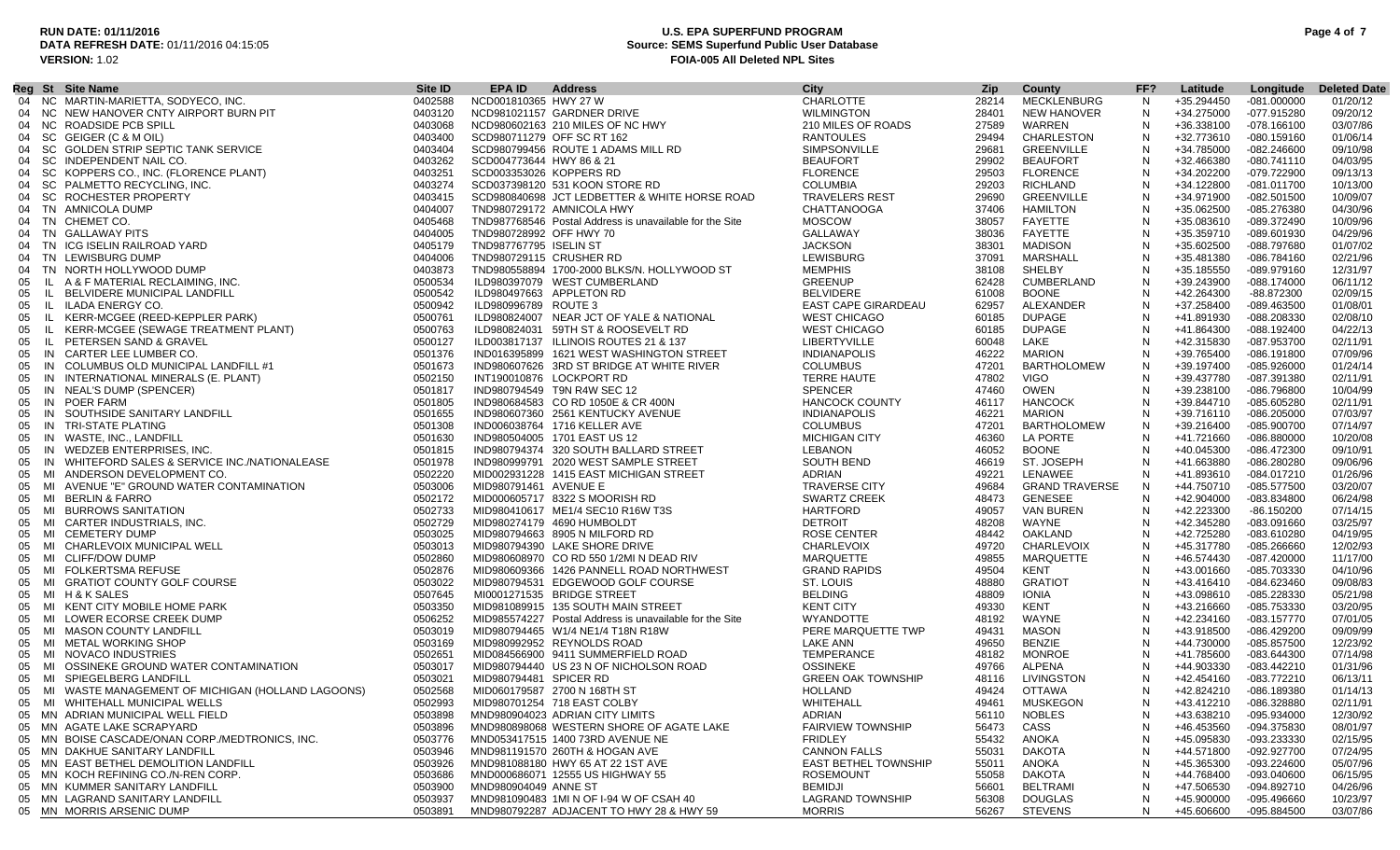### **RUN DATE: 01/11/2016 U.S. EPA SUPERFUND PROGRAM Page 4 of 7 Source: SEMS Superfund Public User Database VERSION:** 1.02 **FOIA-005 All Deleted NPL Sites**

|    |     | Reg St Site Name                                     | Site <b>ID</b> | EPA ID                   | <b>Address</b>                                          | City                        | Zip   | County                | FF?          | Latitude   | Longitude     | <b>Deleted Date</b> |
|----|-----|------------------------------------------------------|----------------|--------------------------|---------------------------------------------------------|-----------------------------|-------|-----------------------|--------------|------------|---------------|---------------------|
|    |     | 04 NC MARTIN-MARIETTA, SODYECO, INC.                 | 0402588        | NCD001810365 HWY 27 W    |                                                         | <b>CHARLOTTE</b>            | 28214 | MECKLENBURG           | N.           | +35.294450 | $-081.000000$ | 01/20/12            |
|    |     | 04 NC NEW HANOVER CNTY AIRPORT BURN PIT              | 0403120        |                          | NCD981021157 GARDNER DRIVE                              | <b>WILMINGTON</b>           | 28401 | NEW HANOVER           | N            | +34.275000 | -077.915280   | 09/20/12            |
|    |     | 04 NC ROADSIDE PCB SPILL                             | 0403068        |                          | NCD980602163 210 MILES OF NC HWY                        | 210 MILES OF ROADS          | 27589 | WARREN                | N            | +36.338100 | $-078.166100$ | 03/07/86            |
| 04 |     | SC GEIGER (C & M OIL)                                | 0403400        |                          | SCD980711279 OFF SC RT 162                              | <b>RANTOULES</b>            | 29494 | CHARLESTON            | N            | +32.773610 | -080.159160   | 01/06/14            |
|    |     | 04 SC GOLDEN STRIP SEPTIC TANK SERVICE               | 0403404        |                          | SCD980799456 ROUTE 1 ADAMS MILL RD                      | SIMPSONVILLE                | 29681 | <b>GREENVILLE</b>     | N            | +34.785000 | $-082.246600$ | 09/10/98            |
|    |     | SC INDEPENDENT NAIL CO.                              | 0403262        | SCD004773644 HWY 86 & 21 |                                                         | <b>BEAUFORT</b>             | 29902 | <b>BEAUFORT</b>       | N            | +32.466380 | $-080.741110$ | 04/03/95            |
| 04 |     | SC KOPPERS CO., INC. (FLORENCE PLANT)                | 0403251        | SCD003353026 KOPPERS RD  |                                                         | <b>FLORENCE</b>             | 29503 | <b>FLORENCE</b>       | N            | +34.202200 | -079.722900   | 09/13/13            |
|    |     |                                                      |                |                          | SCD037398120 531 KOON STORE RD                          | <b>COLUMBIA</b>             |       | RICHLAND              |              |            |               |                     |
| 04 |     | SC PALMETTO RECYCLING, INC.                          | 0403274        |                          |                                                         |                             | 29203 |                       | N            | +34.122800 | -081.011700   | 10/13/00            |
| 04 |     | SC ROCHESTER PROPERTY                                | 0403415        |                          | SCD980840698 JCT LEDBETTER & WHITE HORSE ROAD           | <b>TRAVELERS REST</b>       | 29690 | GREENVILLE            | N            | +34.971900 | $-082.501500$ | 10/09/07            |
|    |     | 04 TN AMNICOLA DUMP                                  | 0404007        |                          | TND980729172 AMNICOLA HWY                               | <b>CHATTANOOGA</b>          | 37406 | HAMILTON              | -N           | +35.062500 | -085.276380   | 04/30/96            |
|    |     | 04 TN CHEMET CO.                                     | 0405468        |                          | TND987768546 Postal Address is unavailable for the Site | <b>MOSCOW</b>               | 38057 | FAYETTE               | N            | +35.083610 | -089.372490   | 10/09/96            |
|    |     | 04 TN GALLAWAY PITS                                  | 0404005        | TND980728992 OFF HWY 70  |                                                         | GALLAWAY                    | 38036 | FAYETTE               | N            | +35.359710 | -089.601930   | 04/29/96            |
| 04 |     | TN ICG ISELIN RAILROAD YARD                          | 0405179        | TND987767795 ISELIN ST   |                                                         | <b>JACKSON</b>              | 38301 | MADISON               | N            | +35.602500 | -088.797680   | 01/07/02            |
|    |     | 04 TN LEWISBURG DUMP                                 | 0404006        | TND980729115 CRUSHER RD  |                                                         | LEWISBURG                   | 37091 | MARSHALL              | N            | +35.481380 | -086.784160   | 02/21/96            |
|    |     | 04 TN NORTH HOLLYWOOD DUMP                           | 0403873        |                          | TND980558894 1700-2000 BLKS/N. HOLLYWOOD ST             | <b>MEMPHIS</b>              | 38108 | SHELBY                | N            | +35.185550 | -089.979160   | 12/31/97            |
| 05 |     | IL A & F MATERIAL RECLAIMING, INC.                   | 0500534        |                          | ILD980397079 WEST CUMBERLAND                            | <b>GREENUP</b>              | 62428 | <b>CUMBERLAND</b>     | N            | +39.243900 | -088.174000   | 06/11/12            |
| 05 | IL. | BELVIDERE MUNICIPAL LANDFILL                         | 0500542        |                          | ILD980497663 APPLETON RD                                | <b>BELVIDERE</b>            | 61008 | <b>BOONE</b>          | N            | +42.264300 | -88.872300    | 02/09/15            |
| 05 |     | IL ILADA ENERGY CO.                                  | 0500942        | ILD980996789 ROUTE 3     |                                                         | EAST CAPE GIRARDEAU         | 62957 | ALEXANDER             | N            | +37.258400 | -089.463500   | 01/08/01            |
| 05 |     | IL KERR-MCGEE (REED-KEPPLER PARK)                    | 0500761        |                          | ILD980824007 NEAR JCT OF YALE & NATIONAL                | <b>WEST CHICAGO</b>         | 60185 | <b>DUPAGE</b>         | -N           | +41.891930 | -088.208330   | 02/08/10            |
| 05 | -lL | KERR-MCGEE (SEWAGE TREATMENT PLANT)                  | 0500763        |                          | ILD980824031 59TH ST & ROOSEVELT RD                     | <b>WEST CHICAGO</b>         | 60185 | <b>DUPAGE</b>         | N            | +41.864300 | -088.192400   | 04/22/13            |
| 05 |     | IL PETERSEN SAND & GRAVEL                            | 0500127        |                          | ILD003817137 ILLINOIS ROUTES 21 & 137                   | LIBERTYVILLE                | 60048 | LAKE                  | -N           | +42.315830 | -087.953700   | 02/11/91            |
| 05 |     | IN CARTER LEE LUMBER CO.                             | 0501376        |                          | IND016395899 1621 WEST WASHINGTON STREET                | <b>INDIANAPOLIS</b>         | 46222 | MARION                | N            | +39.765400 | -086.191800   | 07/09/96            |
|    |     |                                                      | 0501673        |                          |                                                         | <b>COLUMBUS</b>             | 47201 | <b>BARTHOLOMEW</b>    | N            |            | $-085.926000$ | 01/24/14            |
| 05 |     | IN COLUMBUS OLD MUNICIPAL LANDFILL #1                |                |                          | IND980607626 3RD ST BRIDGE AT WHITE RIVER               |                             |       |                       |              | +39.197400 |               |                     |
| 05 |     | IN INTERNATIONAL MINERALS (E. PLANT)                 | 0502150        |                          | INT190010876 LOCKPORT RD                                | <b>TERRE HAUTE</b>          | 47802 | <b>VIGO</b>           | N            | +39.437780 | -087.391380   | 02/11/91            |
| 05 |     | IN NEAL'S DUMP (SPENCER)                             | 0501817        |                          | IND980794549 T9N R4W SEC 12                             | <b>SPENCER</b>              | 47460 | OWEN                  | N            | +39.238100 | -086.796800   | 10/04/99            |
| 05 |     | IN POER FARM                                         | 0501805        |                          | IND980684583 CO RD 1050E & CR 400N                      | <b>HANCOCK COUNTY</b>       | 46117 | <b>HANCOCK</b>        | N.           | +39.844710 | -085.605280   | 02/11/91            |
| 05 |     | IN SOUTHSIDE SANITARY LANDFILL                       | 0501655        |                          | IND980607360 2561 KENTUCKY AVENUE                       | <b>INDIANAPOLIS</b>         | 46221 | MARION                | N            | +39.716110 | $-086.205000$ | 07/03/97            |
| 05 |     | IN TRI-STATE PLATING                                 | 0501308        |                          | IND006038764 1716 KELLER AVE                            | <b>COLUMBUS</b>             | 47201 | <b>BARTHOLOMEW</b>    | N            | +39.216400 | -085.900700   | 07/14/97            |
| 05 |     | IN WASTE, INC., LANDFILL                             | 0501630        |                          | IND980504005 1701 EAST US 12                            | <b>MICHIGAN CITY</b>        | 46360 | LA PORTE              | N            | +41.721660 | -086.880000   | 10/20/08            |
| 05 |     | IN WEDZEB ENTERPRISES, INC.                          | 0501815        |                          | IND980794374 320 SOUTH BALLARD STREET                   | LEBANON                     | 46052 | <b>BOONE</b>          | -N           | +40.045300 | -086.472300   | 09/10/91            |
| 05 |     | IN WHITEFORD SALES & SERVICE INC./NATIONALEASE       | 0501978        |                          | IND980999791 2020 WEST SAMPLE STREET                    | SOUTH BEND                  | 46619 | ST. JOSEPH            | N            | +41.663880 | -086.280280   | 09/06/96            |
| 05 |     | MI ANDERSON DEVELOPMENT CO.                          | 0502220        |                          | MID002931228 1415 EAST MICHIGAN STREET                  | ADRIAN                      | 49221 | LENAWEE               | N            | +41.893610 | -084.017210   | 01/26/96            |
| 05 |     | MI AVENUE "E" GROUND WATER CONTAMINATION             | 0503006        | MID980791461 AVENUE E    |                                                         | <b>TRAVERSE CITY</b>        | 49684 | <b>GRAND TRAVERSE</b> | N            | +44.750710 | -085.577500   | 03/20/07            |
| 05 |     | MI BERLIN & FARRO                                    | 0502172        |                          | MID000605717 8322 S MOORISH RD                          | <b>SWARTZ CREEK</b>         | 48473 | <b>GENESEE</b>        | N            | +42.904000 | -083.834800   | 06/24/98            |
| 05 |     | MI BURROWS SANITATION                                | 0502733        |                          | MID980410617 ME1/4 SEC10 R16W T3S                       | HARTFORD                    | 49057 | VAN BUREN             | N.           | +42.223300 | $-86.150200$  | 07/14/15            |
| 05 |     | MI CARTER INDUSTRIALS, INC.                          | 0502729        |                          | MID980274179 4690 HUMBOLDT                              | <b>DETROIT</b>              | 48208 | WAYNE                 | N            | +42.345280 | -083.091660   | 03/25/97            |
| 05 |     | MI CEMETERY DUMP                                     | 0503025        |                          | MID980794663 8905 N MILFORD RD                          | ROSE CENTER                 | 48442 | OAKLAND               | N            | +42.725280 | -083.610280   | 04/19/95            |
| 05 |     | MI CHARLEVOIX MUNICIPAL WELL                         | 0503013        |                          | MID980794390 LAKE SHORE DRIVE                           | <b>CHARLEVOIX</b>           | 49720 | CHARLEVOIX            | N            | +45.317780 | $-085.266660$ | 12/02/93            |
| 05 |     | MI CLIFF/DOW DUMP                                    | 0502860        |                          | MID980608970 CO RD 550 1/2MI N DEAD RIV                 | MARQUETTE                   | 49855 | MARQUETTE             | N.           | +46.574430 | -087.420000   | 11/17/00            |
| 05 |     | MI FOLKERTSMA REFUSE                                 | 0502876        |                          | MID980609366 1426 PANNELL ROAD NORTHWEST                | <b>GRAND RAPIDS</b>         | 49504 | KENT                  | N            | +43.001660 | -085.703330   | 04/10/96            |
|    |     | MI GRATIOT COUNTY GOLF COURSE                        |                |                          |                                                         | ST. LOUIS                   |       | <b>GRATIOT</b>        | N            |            | -084.623460   | 09/08/83            |
| 05 |     |                                                      | 0503022        |                          | MID980794531 EDGEWOOD GOLF COURSE                       |                             | 48880 |                       |              | +43.416410 |               |                     |
| 05 |     | MI H&KSALES                                          | 0507645        |                          | MI0001271535 BRIDGE STREET                              | <b>BELDING</b>              | 48809 | IONIA                 | N            | +43.098610 | -085.228330   | 05/21/98            |
| 05 |     | MI KENT CITY MOBILE HOME PARK                        | 0503350        |                          | MID981089915 135 SOUTH MAIN STREET                      | <b>KENT CITY</b>            | 49330 | KENT                  | N            | +43.216660 | -085.753330   | 03/20/95            |
| 05 |     | MI LOWER ECORSE CREEK DUMP                           | 0506252        |                          | MID985574227 Postal Address is unavailable for the Site | WYANDOTTE                   | 48192 | WAYNE                 | N.           | +42.234160 | $-083.157770$ | 07/01/05            |
| 05 |     | MI MASON COUNTY LANDFILL                             | 0503019        |                          | MID980794465 W1/4 NE1/4 T18N R18W                       | PERE MARQUETTE TWP          | 49431 | <b>MASON</b>          | N            | +43.918500 | -086.429200   | 09/09/99            |
|    |     | 05 MI METAL WORKING SHOP                             | 0503169        |                          | MID980992952 REYNOLDS ROAD                              | LAKE ANN                    | 49650 | <b>BENZIE</b>         | $\mathsf{N}$ | +44.730000 | -085.857500   | 12/23/92            |
| 05 |     | MI NOVACO INDUSTRIES                                 | 0502651        |                          | MID084566900 9411 SUMMERFIELD ROAD                      | TEMPERANCE                  | 48182 | MONROE                | N            | +41.785600 | -083.644300   | 07/14/98            |
|    |     | 05 MI OSSINEKE GROUND WATER CONTAMINATION            | 0503017        |                          | MID980794440 US 23 N OF NICHOLSON ROAD                  | <b>OSSINEKE</b>             | 49766 | ALPENA                | N            | +44.903330 | -083.442210   | 01/31/96            |
| 05 |     | MI SPIEGELBERG LANDFILL                              | 0503021        | MID980794481 SPICER RD   |                                                         | <b>GREEN OAK TOWNSHIP</b>   | 48116 | LIVINGSTON            | N            | +42.454160 | -083.772210   | 06/13/11            |
|    |     | 05 MI WASTE MANAGEMENT OF MICHIGAN (HOLLAND LAGOONS) | 0502568        |                          | MID060179587 2700 N 168TH ST                            | HOLLAND                     | 49424 | OTTAWA                | N            | +42.824210 | -086.189380   | 01/14/13            |
|    |     | 05 MI WHITEHALL MUNICIPAL WELLS                      | 0502993        |                          | MID980701254 718 EAST COLBY                             | WHITEHALL                   |       | 49461 MUSKEGON        | $\mathbf{N}$ | +43.412210 | -086.328880   | 02/11/91            |
|    |     | 05 MN ADRIAN MUNICIPAL WELL FIELD                    | 0503898        |                          | MND980904023 ADRIAN CITY LIMITS                         | ADRIAN                      | 56110 | <b>NOBLES</b>         | N            | +43.638210 | -095.934000   | 12/30/92            |
|    |     | 05 MN AGATE LAKE SCRAPYARD                           | 0503896        |                          | MND980898068 WESTERN SHORE OF AGATE LAKE                | <b>FAIRVIEW TOWNSHIP</b>    | 56473 | CASS                  |              | +46.453560 | -094.375830   | 08/01/97            |
|    |     | 05 MN BOISE CASCADE/ONAN CORP./MEDTRONICS, INC.      | 0503776        |                          | MND053417515 1400 73RD AVENUE NE                        | <b>FRIDLEY</b>              | 55432 | ANOKA                 |              | +45.095830 | -093.233330   | 02/15/95            |
|    |     | 05 MN DAKHUE SANITARY LANDFILL                       | 0503946        |                          | MND981191570 260TH & HOGAN AVE                          | <b>CANNON FALLS</b>         | 55031 | <b>DAKOTA</b>         | N            | +44.571800 | -092.927700   | 07/24/95            |
|    |     | 05 MN EAST BETHEL DEMOLITION LANDFILL                | 0503926        |                          | MND981088180 HWY 65 AT 22 1ST AVE                       | <b>EAST BETHEL TOWNSHIP</b> | 55011 | ANOKA                 |              | +45.365300 | -093.224600   | 05/07/96            |
|    |     | 05 MN KOCH REFINING CO./N-REN CORP.                  |                |                          |                                                         | <b>ROSEMOUNT</b>            | 55058 | <b>DAKOTA</b>         |              |            |               |                     |
|    |     |                                                      | 0503686        |                          | MND000686071 12555 US HIGHWAY 55                        |                             |       |                       |              | +44.768400 | -093.040600   | 06/15/95            |
|    |     | 05 MN KUMMER SANITARY LANDFILL                       | 0503900        | MND980904049 ANNE ST     |                                                         | <b>BEMIDJI</b>              | 56601 | <b>BELTRAMI</b>       |              | +47.506530 | -094.892710   | 04/26/96            |
|    |     | 05 MN LAGRAND SANITARY LANDFILL                      | 0503937        |                          | MND981090483 1MI N OF I-94 W OF CSAH 40                 | <b>LAGRAND TOWNSHIP</b>     | 56308 | <b>DOUGLAS</b>        | N            | +45.900000 | -095.496660   | 10/23/97            |
|    |     | 05 MN MORRIS ARSENIC DUMP                            | 0503891        |                          | MND980792287 ADJACENT TO HWY 28 & HWY 59                | <b>MORRIS</b>               | 56267 | <b>STEVENS</b>        | N            | +45.606600 | -095.884500   | 03/07/86            |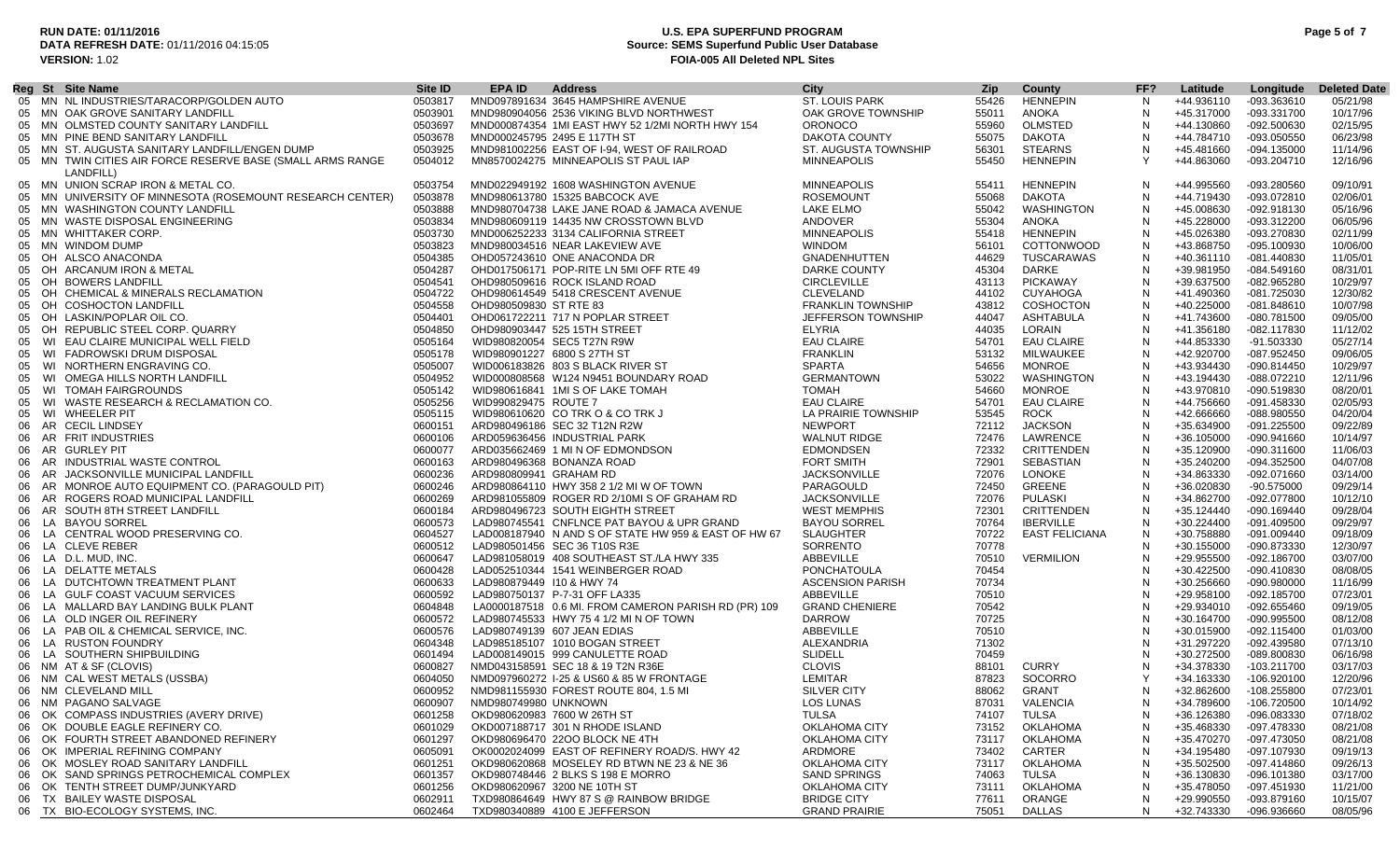### **RUN DATE: 01/11/2016 U.S. EPA SUPERFUND PROGRAM Page 5 of 7 Source: SEMS Superfund Public User Database VERSION:** 1.02 **FOIA-005 All Deleted NPL Sites**

|    | Reg St Site Name                                           | Site ID | EPA ID                 | <b>Address</b>                                       | City                     | <b>Zip</b> | County            | FF?        | Latitude   |               | <b>Deleted Date</b> |
|----|------------------------------------------------------------|---------|------------------------|------------------------------------------------------|--------------------------|------------|-------------------|------------|------------|---------------|---------------------|
|    | 05 MN NL INDUSTRIES/TARACORP/GOLDEN AUTO                   |         |                        |                                                      |                          |            |                   |            |            | Longitude     |                     |
|    |                                                            | 0503817 |                        | MND097891634 3645 HAMPSHIRE AVENUE                   | <b>ST. LOUIS PARK</b>    | 55426      | <b>HENNEPIN</b>   | N          | +44.936110 | -093.363610   | 05/21/98            |
|    | 05 MN OAK GROVE SANITARY LANDFILL                          | 0503901 |                        | MND980904056 2536 VIKING BLVD NORTHWEST              | OAK GROVE TOWNSHIP       | 55011      | ANOKA             | N          | +45.317000 | -093.331700   | 10/17/96            |
| 05 | MN OLMSTED COUNTY SANITARY LANDFILL                        | 0503697 |                        | MND000874354 1MI EAST HWY 52 1/2MI NORTH HWY 154     | <b>ORONOCO</b>           | 55960      | OLMSTED           | N          | +44.130860 | -092.500630   | 02/15/95            |
|    | 05 MN PINE BEND SANITARY LANDFILL                          | 0503678 |                        | MND000245795 2495 E 117TH ST                         | DAKOTA COUNTY            | 55075      | <b>DAKOTA</b>     | N          | +44.784710 | -093.050550   | 06/23/98            |
|    | 05 MN ST. AUGUSTA SANITARY LANDFILL/ENGEN DUMP             | 0503925 |                        | MND981002256 EAST OF I-94, WEST OF RAILROAD          | ST. AUGUSTA TOWNSHIP     | 56301      | <b>STEARNS</b>    | N          | +45.481660 | -094.135000   | 11/14/96            |
|    | 05 MN TWIN CITIES AIR FORCE RESERVE BASE (SMALL ARMS RANGE | 0504012 |                        | MN8570024275 MINNEAPOLIS ST PAUL IAP                 | <b>MINNEAPOLIS</b>       | 55450      | <b>HENNEPIN</b>   | Y          | +44.863060 | -093.204710   | 12/16/96            |
|    | LANDFILL)                                                  |         |                        |                                                      |                          |            |                   |            |            |               |                     |
|    | 05 MN UNION SCRAP IRON & METAL CO.                         | 0503754 |                        | MND022949192 1608 WASHINGTON AVENUE                  | <b>MINNEAPOLIS</b>       | 55411      | <b>HENNEPIN</b>   | N          | +44.995560 | -093.280560   | 09/10/91            |
|    | 05 MN UNIVERSITY OF MINNESOTA (ROSEMOUNT RESEARCH CENTER)  | 0503878 |                        | MND980613780 15325 BABCOCK AVE                       | <b>ROSEMOUNT</b>         | 55068      | DAKOTA            | N          | +44.719430 | -093.072810   | 02/06/01            |
| 05 | MN WASHINGTON COUNTY LANDFILL                              | 0503888 |                        | MND980704738 LAKE JANE ROAD & JAMACA AVENUE          | LAKE ELMO                | 55042      | WASHINGTON        | N          | +45.008630 | -092.918130   | 05/16/96            |
|    | 05 MN WASTE DISPOSAL ENGINEERING                           | 0503834 |                        | MND980609119 14435 NW CROSSTOWN BLVD                 | ANDOVER                  | 55304      | ANOKA             | -N         | +45.228000 | -093.312200   | 06/05/96            |
|    |                                                            |         |                        |                                                      |                          |            |                   |            |            |               |                     |
|    | 05 MN WHITTAKER CORP.                                      | 0503730 |                        | MND006252233 3134 CALIFORNIA STREET                  | <b>MINNEAPOLIS</b>       | 55418      | <b>HENNEPIN</b>   | N          | +45.026380 | -093.270830   | 02/11/99            |
|    | 05 MN WINDOM DUMP                                          | 0503823 |                        | MND980034516 NEAR LAKEVIEW AVE                       | <b>WINDOM</b>            | 56101      | COTTONWOOD        | N          | +43.868750 | -095.100930   | 10/06/00            |
| 05 | OH ALSCO ANACONDA                                          | 0504385 |                        | OHD057243610 ONE ANACONDA DR                         | <b>GNADENHUTTEN</b>      | 44629      | TUSCARAWAS        | N          | +40.361110 | -081.440830   | 11/05/01            |
| 05 | OH ARCANUM IRON & METAL                                    | 0504287 |                        | OHD017506171 POP-RITE LN 5MI OFF RTE 49              | DARKE COUNTY             | 45304      | DARKE             | N          | +39.981950 | -084.549160   | 08/31/01            |
| 05 | OH BOWERS LANDFILL                                         | 0504541 |                        | OHD980509616 ROCK ISLAND ROAD                        | <b>CIRCLEVILLE</b>       | 43113      | <b>PICKAWAY</b>   | N          | +39.637500 | -082.965280   | 10/29/97            |
| 05 | OH CHEMICAL & MINERALS RECLAMATION                         | 0504722 |                        | OHD980614549 5418 CRESCENT AVENUE                    | CLEVELAND                | 44102      | <b>CUYAHOGA</b>   | N          | +41.490360 | -081.725030   | 12/30/82            |
| 05 | OH COSHOCTON LANDFILL                                      | 0504558 | OHD980509830 ST RTE 83 |                                                      | <b>FRANKLIN TOWNSHIP</b> | 43812      | COSHOCTON         | N          | +40.225000 | $-081.848610$ | 10/07/98            |
| 05 | OH LASKIN/POPLAR OIL CO.                                   | 0504401 |                        | OHD061722211 717 N POPLAR STREET                     | JEFFERSON TOWNSHIP       | 44047      | ASHTABULA         | N          | +41.743600 | -080.781500   | 09/05/00            |
| 05 | OH REPUBLIC STEEL CORP. QUARRY                             | 0504850 |                        | OHD980903447 525 15TH STREET                         | ELYRIA                   | 44035      | LORAIN            | N          | +41.356180 | -082.117830   | 11/12/02            |
| 05 | WI EAU CLAIRE MUNICIPAL WELL FIELD                         | 0505164 |                        | WID980820054 SEC5 T27N R9W                           | <b>EAU CLAIRE</b>        | 54701      | <b>EAU CLAIRE</b> | N          | +44.853330 | -91.503330    | 05/27/14            |
|    | WI FADROWSKI DRUM DISPOSAL                                 | 0505178 |                        | WID980901227 6800 S 27TH ST                          | <b>FRANKLIN</b>          | 53132      | MILWAUKEE         | N          | +42.920700 | -087.952450   | 09/06/05            |
| 05 |                                                            |         |                        |                                                      |                          |            |                   |            |            |               |                     |
| 05 | WI NORTHERN ENGRAVING CO.                                  | 0505007 |                        | WID006183826 803 S BLACK RIVER ST                    | <b>SPARTA</b>            | 54656      | <b>MONROE</b>     | N          | +43.934430 | -090.814450   | 10/29/97            |
| 05 | WI OMEGA HILLS NORTH LANDFILL                              | 0504952 |                        | WID000808568 W124 N9451 BOUNDARY ROAD                | <b>GERMANTOWN</b>        | 53022      | WASHINGTON        | N          | +43.194430 | -088.072210   | 12/11/96            |
| 05 | <b>WI TOMAH FAIRGROUNDS</b>                                | 0505142 |                        | WID980616841 1MI S OF LAKE TOMAH                     | TOMAH                    | 54660      | <b>MONROE</b>     | N          | +43.970810 | -090.519830   | 08/20/01            |
| 05 | WI WASTE RESEARCH & RECLAMATION CO.                        | 0505256 | WID990829475 ROUTE 7   |                                                      | <b>EAU CLAIRE</b>        | 54701      | <b>EAU CLAIRE</b> | N          | +44.756660 | -091.458330   | 02/05/93            |
| 05 | WI WHEELER PIT                                             | 0505115 |                        | WID980610620 CO TRK O & CO TRK J                     | LA PRAIRIE TOWNSHIP      | 53545      | <b>ROCK</b>       | N          | +42.666660 | -088.980550   | 04/20/04            |
| 06 | AR CECIL LINDSEY                                           | 0600151 |                        | ARD980496186 SEC 32 T12N R2W                         | <b>NEWPORT</b>           | 72112      | <b>JACKSON</b>    | N          | +35.634900 | -091.225500   | 09/22/89            |
| 06 | AR FRIT INDUSTRIES                                         | 0600106 |                        | ARD059636456 INDUSTRIAL PARK                         | <b>WALNUT RIDGE</b>      | 72476      | LAWRENCE          | N          | +36.105000 | -090.941660   | 10/14/97            |
| 06 | AR GURLEY PIT                                              | 0600077 |                        | ARD035662469 1 MIN OF EDMONDSON                      | <b>EDMONDSEN</b>         | 72332      | <b>CRITTENDEN</b> | N          | +35.120900 | -090.311600   | 11/06/03            |
|    | 06 AR INDUSTRIAL WASTE CONTROL                             | 0600163 |                        | ARD980496368 BONANZA ROAD                            | <b>FORT SMITH</b>        | 72901      | SEBASTIAN         | N          | +35.240200 | -094.352500   | 04/07/08            |
| 06 | AR JACKSONVILLE MUNICIPAL LANDFILL                         | 0600236 |                        | ARD980809941 GRAHAM RD                               | <b>JACKSONVILLE</b>      | 72076      | LONOKE            | N          | +34.863330 | -092.071660   | 03/14/00            |
|    | 06 AR MONROE AUTO EQUIPMENT CO. (PARAGOULD PIT)            | 0600246 |                        | ARD980864110 HWY 358 2 1/2 MI W OF TOWN              | PARAGOULD                | 72450      | GREENE            | N          | +36.020830 | -90.575000    | 09/29/14            |
|    |                                                            |         |                        |                                                      |                          |            |                   |            |            |               |                     |
| 06 | AR ROGERS ROAD MUNICIPAL LANDFILL                          | 0600269 |                        | ARD981055809 ROGER RD 2/10MI S OF GRAHAM RD          | <b>JACKSONVILLE</b>      | 72076      | PULASKI           | N          | +34.862700 | -092.077800   | 10/12/10            |
| 06 | AR SOUTH 8TH STREET LANDFILL                               | 0600184 |                        | ARD980496723 SOUTH EIGHTH STREET                     | <b>WEST MEMPHIS</b>      | 72301      | CRITTENDEN        | N          | +35.124440 | -090.169440   | 09/28/04            |
|    | 06 LA BAYOU SORREL                                         | 0600573 |                        | LAD980745541 CNFLNCE PAT BAYOU & UPR GRAND           | <b>BAYOU SORREL</b>      | 70764      | <b>IBERVILLE</b>  | N          | +30.224400 | $-091.409500$ | 09/29/97            |
| 06 | LA CENTRAL WOOD PRESERVING CO.                             | 0604527 |                        | LAD008187940 N AND S OF STATE HW 959 & EAST OF HW 67 | <b>SLAUGHTER</b>         | 70722      | EAST FELICIANA    | N          | +30.758880 | -091.009440   | 09/18/09            |
| 06 | LA CLEVE REBER                                             | 0600512 |                        | LAD980501456 SEC 36 T10S R3E                         | SORRENTO                 | 70778      |                   | -N         | +30.155000 | -090.873330   | 12/30/97            |
| 06 | LA D.L. MUD, INC.                                          | 0600647 |                        | LAD981058019 408 SOUTHEAST ST./LA HWY 335            | ABBEVILLE                | 70510      | VERMILION         | N          | +29.955500 | -092.186700   | 03/07/00            |
| 06 | LA DELATTE METALS                                          | 0600428 |                        | LAD052510344 1541 WEINBERGER ROAD                    | PONCHATOULA              | 70454      |                   | N          | +30.422500 | -090.410830   | 08/08/05            |
| 06 | LA DUTCHTOWN TREATMENT PLANT                               | 0600633 |                        | LAD980879449 110 & HWY 74                            | <b>ASCENSION PARISH</b>  | 70734      |                   | <b>N</b>   | +30.256660 | $-090.980000$ | 11/16/99            |
| 06 | LA GULF COAST VACUUM SERVICES                              | 0600592 |                        | LAD980750137 P-7-31 OFF LA335                        | ABBEVILLE                | 70510      |                   | N          | +29.958100 | $-092.185700$ | 07/23/01            |
| 06 | LA MALLARD BAY LANDING BULK PLANT                          | 0604848 |                        | LA0000187518 0.6 MI. FROM CAMERON PARISH RD (PR) 109 | <b>GRAND CHENIERE</b>    | 70542      |                   | <b>N</b>   | +29.934010 | $-092.655460$ | 09/19/05            |
| 06 | LA OLD INGER OIL REFINERY                                  | 0600572 |                        | LAD980745533 HWY 75 4 1/2 MI N OF TOWN               | <b>DARROW</b>            | 70725      |                   | N          | +30.164700 | -090.995500   | 08/12/08            |
|    | 06 LA PAB OIL & CHEMICAL SERVICE, INC.                     | 0600576 |                        | LAD980749139 607 JEAN EDIAS                          | ABBEVILLE                | 70510      |                   | N          | +30.015900 | $-092.115400$ | 01/03/00            |
| 06 | LA RUSTON FOUNDRY                                          | 0604348 |                        | LAD985185107 1010 BOGAN STREET                       | ALEXANDRIA               | 71302      |                   | N          |            | -092.439580   | 07/13/10            |
|    |                                                            |         |                        |                                                      |                          |            |                   |            | +31.297220 |               |                     |
| 06 | LA SOUTHERN SHIPBUILDING                                   | 0601494 |                        | LAD008149015 999 CANULETTE ROAD                      | <b>SLIDELL</b>           | 70459      |                   | N          | +30.272500 | -089.800830   | 06/16/98            |
|    | 06 NM AT & SF (CLOVIS)                                     | 0600827 |                        | NMD043158591 SEC 18 & 19 T2N R36E                    | <b>CLOVIS</b>            | 88101      | <b>CURRY</b>      | N          | +34.378330 | -103.211700   | 03/17/03            |
|    | 06 NM CAL WEST METALS (USSBA)                              | 0604050 |                        | NMD097960272 1-25 & US60 & 85 W FRONTAGE             | LEMITAR                  | 87823      | SOCORRO           | Y          | +34.163330 | -106.920100   | 12/20/96            |
|    | 06 NM CLEVELAND MILL                                       | 0600952 |                        | NMD981155930 FOREST ROUTE 804, 1.5 MI                | <b>SILVER CITY</b>       | 88062      | GRANT             | N          | +32.862600 | -108.255800   | 07/23/01            |
|    | 06 NM PAGANO SALVAGE                                       | 0600907 | NMD980749980 UNKNOWN   |                                                      | LOS LUNAS                | 87031      | VALENCIA          | N          | +34.789600 | -106.720500   | 10/14/92            |
|    | 06 OK COMPASS INDUSTRIES (AVERY DRIVE)                     | 0601258 |                        | OKD980620983 7600 W 26TH ST                          | TULSA                    | 74107      | TULSA             | N          | +36.126380 | -096.083330   | 07/18/02            |
|    | 06 OK DOUBLE EAGLE REFINERY CO.                            | 0601029 |                        | OKD007188717 301 N RHODE ISLAND                      | OKLAHOMA CITY            | 73152      | OKLAHOMA          | -N         | +35.468330 | -097.478330   | 08/21/08            |
|    | 06 OK FOURTH STREET ABANDONED REFINERY                     | 0601297 |                        | OKD980696470 22OO BLOCK NE 4TH                       | OKLAHOMA CITY            | 73117      | OKLAHOMA          | -N         | +35.470270 | -097.473050   | 08/21/08            |
|    | 06 OK IMPERIAL REFINING COMPANY                            | 0605091 |                        | OK0002024099 EAST OF REFINERY ROAD/S. HWY 42         | ARDMORE                  | 73402      | CARTER            |            | +34.195480 | -097.107930   | 09/19/13            |
|    | 06 OK MOSLEY ROAD SANITARY LANDFILL                        | 0601251 |                        | OKD980620868 MOSELEY RD BTWN NE 23 & NE 36           | OKLAHOMA CITY            | 73117      | OKLAHOMA          | $\sqrt{ }$ | +35.502500 | -097.414860   | 09/26/13            |
|    |                                                            |         |                        |                                                      |                          |            |                   |            |            |               |                     |
|    | 06 OK SAND SPRINGS PETROCHEMICAL COMPLEX                   | 0601357 |                        | OKD980748446 2 BLKS S 198 E MORRO                    | <b>SAND SPRINGS</b>      | 74063      | TULSA             |            | +36.130830 | -096.101380   | 03/17/00            |
|    | 06 OK TENTH STREET DUMP/JUNKYARD                           | 0601256 |                        | OKD980620967 3200 NE 10TH ST                         | OKLAHOMA CITY            | 73111      | OKLAHOMA          | N          | +35.478050 | -097.451930   | 11/21/00            |
|    | 06 TX BAILEY WASTE DISPOSAL                                | 0602911 |                        | TXD980864649 HWY 87 S @ RAINBOW BRIDGE               | <b>BRIDGE CITY</b>       | 77611      | ORANGE            | N          | +29.990550 | -093.879160   | 10/15/07            |
|    | 06 TX BIO-ECOLOGY SYSTEMS, INC.                            | 0602464 |                        | TXD980340889 4100 E JEFFERSON                        | <b>GRAND PRAIRIE</b>     | 75051      | DALLAS            | -N         | +32.743330 | -096.936660   | 08/05/96            |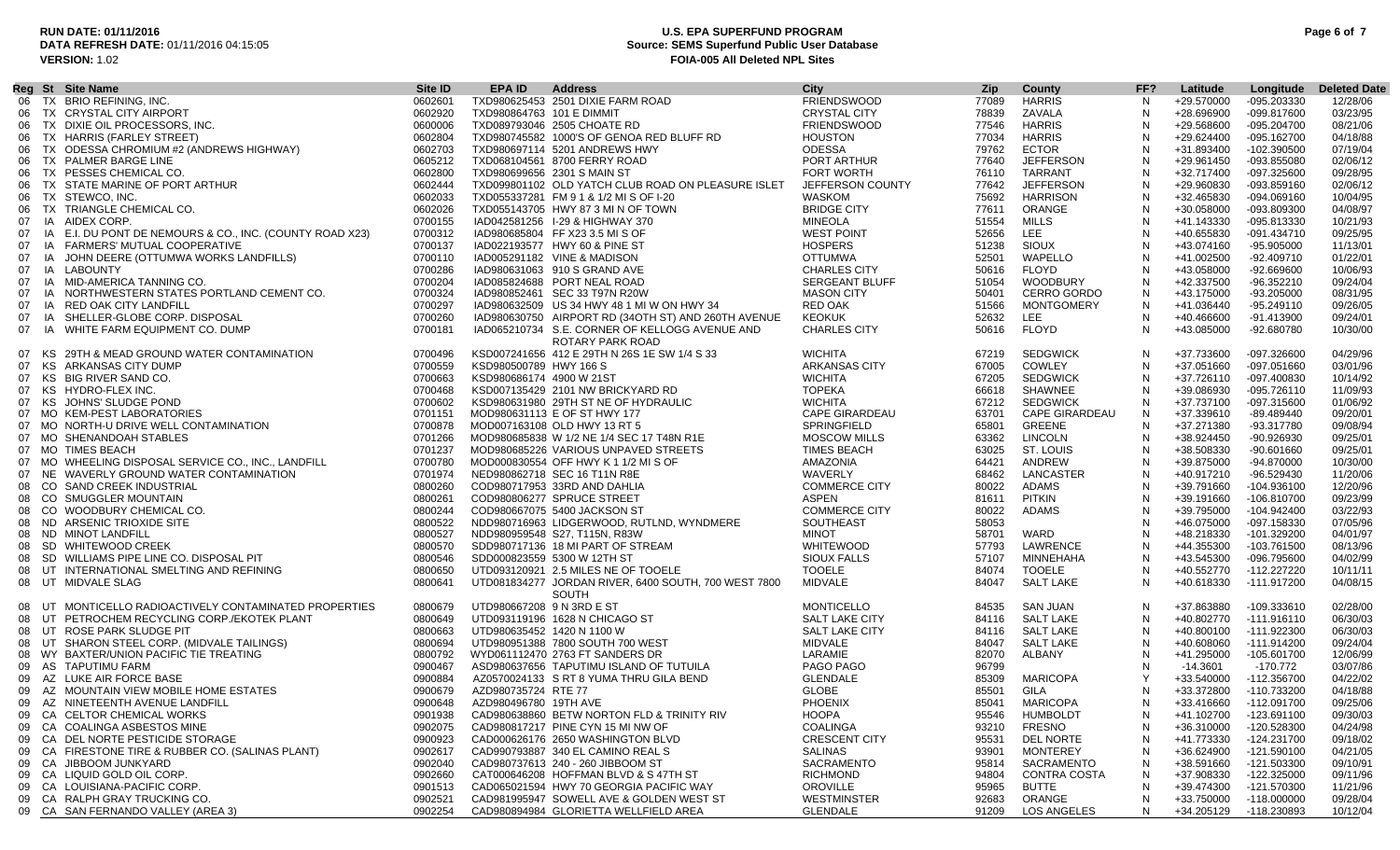### **RUN DATE: 01/11/2016 U.S. EPA SUPERFUND PROGRAM Page 6 of 7 Source: SEMS Superfund Public User Database VERSION:** 1.02 **FOIA-005 All Deleted NPL Sites**

|    |    | Reg St Site Name                                                          | Site <b>ID</b> | EPA ID                    | <b>Address</b>                                                    | City                                | <b>Zip</b>     | County                          | FF? | Latitude                 | Longitude                    | <b>Deleted Date</b>  |
|----|----|---------------------------------------------------------------------------|----------------|---------------------------|-------------------------------------------------------------------|-------------------------------------|----------------|---------------------------------|-----|--------------------------|------------------------------|----------------------|
| 06 |    | TX BRIO REFINING, INC.                                                    | 0602601        |                           | TXD980625453 2501 DIXIE FARM ROAD                                 | <b>FRIENDSWOOD</b>                  | 77089          | <b>HARRIS</b>                   | N.  | +29.570000               | -095.203330                  | 12/28/06             |
| 06 |    | TX CRYSTAL CITY AIRPORT                                                   | 0602920        | TXD980864763 101 E DIMMIT |                                                                   | <b>CRYSTAL CITY</b>                 | 78839          | ZAVALA                          | N   | +28.696900               | -099.817600                  | 03/23/95             |
| 06 |    | TX DIXIE OIL PROCESSORS. INC.                                             | 0600006        |                           | TXD089793046 2505 CHOATE RD                                       | <b>FRIENDSWOOD</b>                  | 77546          | <b>HARRIS</b>                   |     | +29.568600               | -095.204700                  | 08/21/06             |
| 06 |    | TX HARRIS (FARLEY STREET)                                                 | 0602804        |                           | TXD980745582 1000'S OF GENOA RED BLUFF RD                         | <b>HOUSTON</b>                      | 77034          | <b>HARRIS</b>                   | N   | +29.624400               | $-095.162700$                | 04/18/88             |
| 06 |    | TX ODESSA CHROMIUM #2 (ANDREWS HIGHWAY)                                   | 0602703        |                           | TXD980697114 5201 ANDREWS HWY                                     | <b>ODESSA</b>                       | 79762          | <b>ECTOR</b>                    | N   | +31.893400               | -102.390500                  | 07/19/04             |
| 06 |    | TX PALMER BARGE LINE                                                      | 0605212        |                           | TXD068104561 8700 FERRY ROAD                                      | PORT ARTHUR                         | 77640          | <b>JEFFERSON</b>                |     | +29.961450               | -093.855080                  | 02/06/12             |
| 06 |    | TX PESSES CHEMICAL CO.                                                    | 0602800        |                           | TXD980699656 2301 S MAIN ST                                       | FORT WORTH                          | 76110          | TARRANT                         |     | +32.717400               | -097.325600                  | 09/28/95             |
| 06 |    | TX STATE MARINE OF PORT ARTHUR                                            | 0602444        |                           | TXD099801102 OLD YATCH CLUB ROAD ON PLEASURE ISLET                | JEFFERSON COUNTY                    | 77642          | <b>JEFFERSON</b>                | N   | +29.960830               | $-093.859160$                | 02/06/12             |
| 06 |    | TX STEWCO, INC.                                                           | 0602033        |                           | TXD055337281 FM 9 1 & 1/2 MI S OF I-20                            | WASKOM                              | 75692          | <b>HARRISON</b>                 | N   | +32.465830               | $-094.069160$                | 10/04/95             |
| 06 |    | TX TRIANGLE CHEMICAL CO.                                                  | 0602026        |                           | TXD055143705 HWY 87 3 MI N OF TOWN                                | <b>BRIDGE CITY</b>                  | 77611          | ORANGE                          | N   | +30.058000               | -093.809300                  | 04/08/97             |
|    |    |                                                                           | 0700155        |                           |                                                                   |                                     |                | MILLS                           |     |                          |                              |                      |
| 07 |    | IA AIDEX CORP.                                                            | 0700312        |                           | IAD042581256 I-29 & HIGHWAY 370<br>IAD980685804 FF X23 3.5 MIS OF | <b>MINEOLA</b><br><b>WEST POINT</b> | 51554<br>52656 | LEE                             |     | +41.143330<br>+40.655830 | -095.813330<br>$-091.434710$ | 10/21/93<br>09/25/95 |
| 07 |    | IA E.I. DU PONT DE NEMOURS & CO., INC. (COUNTY ROAD X23)                  |                |                           |                                                                   | <b>HOSPERS</b>                      |                | <b>SIOUX</b>                    |     |                          |                              |                      |
| 07 |    | IA FARMERS' MUTUAL COOPERATIVE<br>IA JOHN DEERE (OTTUMWA WORKS LANDFILLS) | 0700137        |                           | IAD022193577 HWY 60 & PINE ST                                     |                                     | 51238          |                                 | N   | +43.074160               | -95.905000                   | 11/13/01             |
| 07 |    |                                                                           | 0700110        |                           | IAD005291182 VINE & MADISON                                       | <b>OTTUMWA</b>                      | 52501          | WAPELLO                         | N   | +41.002500               | $-92.409710$                 | 01/22/01             |
| 07 |    | IA LABOUNTY<br>IA MID-AMERICA TANNING CO.                                 | 0700286        |                           | IAD980631063 910 S GRAND AVE                                      | <b>CHARLES CITY</b>                 | 50616          | <b>FLOYD</b><br><b>WOODBURY</b> | N   | +43.058000               | $-92.669600$                 | 10/06/93             |
| 07 |    |                                                                           | 0700204        |                           | IAD085824688 PORT NEAL ROAD                                       | <b>SERGEANT BLUFF</b>               | 51054          |                                 | N   | +42.337500               | -96.352210                   | 09/24/04             |
| 07 |    | IA NORTHWESTERN STATES PORTLAND CEMENT CO.                                | 0700324        |                           | IAD980852461 SEC 33 T97N R20W                                     | <b>MASON CITY</b>                   | 50401          | <b>CERRO GORDO</b>              | N   | +43.175000               | -93.205000                   | 08/31/95             |
| 07 |    | IA RED OAK CITY LANDFILL                                                  | 0700297        |                           | IAD980632509 US 34 HWY 48 1 MI W ON HWY 34                        | <b>RED OAK</b>                      | 51566          | <b>MONTGOMERY</b>               | N   | +41.036440               | $-95.249110$                 | 09/26/05             |
| 07 | IA | SHELLER-GLOBE CORP. DISPOSAL                                              | 0700260        |                           | IAD980630750 AIRPORT RD (34OTH ST) AND 260TH AVENUE               | <b>KEOKUK</b>                       | 52632          | LEE.                            | N   | +40.466600               | -91.413900                   | 09/24/01             |
| 07 |    | IA WHITE FARM EQUIPMENT CO. DUMP                                          | 0700181        |                           | IAD065210734 S.E. CORNER OF KELLOGG AVENUE AND                    | <b>CHARLES CITY</b>                 | 50616          | <b>FLOYD</b>                    | N   | +43.085000               | -92.680780                   | 10/30/00             |
|    |    |                                                                           |                |                           | ROTARY PARK ROAD                                                  |                                     |                |                                 |     |                          |                              |                      |
|    |    | 07 KS 29TH & MEAD GROUND WATER CONTAMINATION                              | 0700496        |                           | KSD007241656 412 E 29TH N 26S 1E SW 1/4 S 33                      | <b>WICHITA</b>                      | 67219          | <b>SEDGWICK</b>                 | N   | +37.733600               | $-097.326600$                | 04/29/96             |
| 07 |    | KS ARKANSAS CITY DUMP                                                     | 0700559        | KSD980500789 HWY 166 S    |                                                                   | ARKANSAS CITY                       | 67005          | <b>COWLEY</b>                   | N   | +37.051660               | $-097.051660$                | 03/01/96             |
| 07 |    | KS BIG RIVER SAND CO.                                                     | 0700663        | KSD980686174 4900 W 21ST  |                                                                   | <b>WICHITA</b>                      | 67205          | <b>SEDGWICK</b>                 | N   | +37.726110               | -097.400830                  | 10/14/92             |
|    |    | 07 KS HYDRO-FLEX INC.                                                     | 0700468        |                           | KSD007135429 2101 NW BRICKYARD RD                                 | <b>TOPEKA</b>                       | 66618          | SHAWNEE                         |     | +39.086930               | $-095.726110$                | 11/09/93             |
| 07 |    | KS JOHNS' SLUDGE POND                                                     | 0700602        |                           | KSD980631980 29TH ST NE OF HYDRAULIC                              | <b>WICHITA</b>                      | 67212          | <b>SEDGWICK</b>                 | N   | +37.737100               | $-097.315600$                | 01/06/92             |
|    |    | 07 MO KEM-PEST LABORATORIES                                               | 0701151        |                           | MOD980631113 E OF ST HWY 177                                      | <b>CAPE GIRARDEAU</b>               | 63701          | <b>CAPE GIRARDEAU</b>           | N   | +37.339610               | -89.489440                   | 09/20/01             |
|    |    | 07 MO NORTH-U DRIVE WELL CONTAMINATION                                    | 0700878        |                           | MOD007163108 OLD HWY 13 RT 5                                      | SPRINGFIELD                         | 65801          | <b>GREENE</b>                   | N   | +37.271380               | -93.317780                   | 09/08/94             |
|    |    | 07 MO SHENANDOAH STABLES                                                  | 0701266        |                           | MOD980685838 W 1/2 NE 1/4 SEC 17 T48N R1E                         | <b>MOSCOW MILLS</b>                 | 63362          | LINCOLN                         | N   | +38.924450               | -90.926930                   | 09/25/01             |
|    |    | 07 MO TIMES BEACH                                                         | 0701237        |                           | MOD980685226 VARIOUS UNPAVED STREETS                              | <b>TIMES BEACH</b>                  | 63025          | ST. LOUIS                       | N   | +38.508330               | $-90.601660$                 | 09/25/01             |
|    |    | 07 MO WHEELING DISPOSAL SERVICE CO., INC., LANDFILL                       | 0700780        |                           | MOD000830554 OFF HWY K 1 1/2 MI S OF                              | AMAZONIA                            | 64421          | ANDREW                          | N   | +39.875000               | -94.870000                   | 10/30/00             |
|    |    | 07 NE WAVERLY GROUND WATER CONTAMINATION                                  | 0701974        |                           | NED980862718 SEC 16 T11N R8E                                      | WAVERLY                             | 68462          | LANCASTER                       | N   | +40.917210               | -96.529430                   | 11/20/06             |
|    |    | 08 CO SAND CREEK INDUSTRIAL                                               | 0800260        |                           | COD980717953 33RD AND DAHLIA                                      | <b>COMMERCE CITY</b>                | 80022          | ADAMS                           |     | +39.791660               | -104.936100                  | 12/20/96             |
|    |    | 08 CO SMUGGLER MOUNTAIN                                                   | 0800261        |                           | COD980806277 SPRUCE STREET                                        | <b>ASPEN</b>                        | 81611          | <b>PITKIN</b>                   | N   | +39.191660               | -106.810700                  | 09/23/99             |
| 08 |    | CO WOODBURY CHEMICAL CO.                                                  | 0800244        |                           | COD980667075 5400 JACKSON ST                                      | <b>COMMERCE CITY</b>                | 80022          | <b>ADAMS</b>                    |     | +39.795000               | -104.942400                  | 03/22/93             |
|    |    | 08 ND ARSENIC TRIOXIDE SITE                                               | 0800522        |                           | NDD980716963 LIDGERWOOD, RUTLND, WYNDMERE                         | <b>SOUTHEAST</b>                    | 58053          |                                 |     | +46.075000               | -097.158330                  | 07/05/96             |
| 08 |    | ND MINOT LANDFILL                                                         | 0800527        |                           | NDD980959548 S27, T115N, R83W                                     | <b>MINOT</b>                        | 58701          | WARD                            | N   | +48.218330               | -101.329200                  | 04/01/97             |
| 08 |    | SD WHITEWOOD CREEK                                                        | 0800570        |                           | SDD980717136 18 MI PART OF STREAM                                 | WHITEWOOD                           | 57793          | LAWRENCE                        | N   | +44.355300               | -103.761500                  | 08/13/96             |
| 08 |    | SD WILLIAMS PIPE LINE CO. DISPOSAL PIT                                    | 0800546        |                           | SDD000823559 5300 W 12TH ST                                       | <b>SIOUX FALLS</b>                  | 57107          | MINNEHAHA                       |     | +43.545300               | -096.795600                  | 04/02/99             |
| 08 |    | UT INTERNATIONAL SMELTING AND REFINING                                    | 0800650        |                           | UTD093120921 2.5 MILES NE OF TOOELE                               | <b>TOOELE</b>                       | 84074          | <b>TOOELE</b>                   |     | +40.552770               | -112.227220                  | 10/11/11             |
|    |    | 08 UT MIDVALE SLAG                                                        | 0800641        |                           | UTD081834277 JORDAN RIVER, 6400 SOUTH, 700 WEST 7800              | MIDVALE                             | 84047          | <b>SALT LAKE</b>                | N   | +40.618330               | -111.917200                  | 04/08/15             |
|    |    |                                                                           |                |                           | <b>SOUTH</b>                                                      |                                     |                |                                 |     |                          |                              |                      |
| 08 |    | UT MONTICELLO RADIOACTIVELY CONTAMINATED PROPERTIES                       | 0800679        | UTD980667208 9 N 3RD E ST |                                                                   | <b>MONTICELLO</b>                   | 84535          | SAN JUAN                        | N   | +37.863880               | -109.333610                  | 02/28/00             |
| 08 |    | UT PETROCHEM RECYCLING CORP./EKOTEK PLANT                                 | 0800649        |                           | UTD093119196 1628 N CHICAGO ST                                    | SALT LAKE CITY                      | 84116          | <b>SALT LAKE</b>                | N   | +40.802770               | -111.916110                  | 06/30/03             |
| 08 |    | UT ROSE PARK SLUDGE PIT                                                   | 0800663        |                           | UTD980635452 1420 N 1100 W                                        | SALT LAKE CITY                      | 84116          | <b>SALT LAKE</b>                | N.  | +40.800100               | -111.922300                  | 06/30/03             |
| 08 |    | UT SHARON STEEL CORP. (MIDVALE TAILINGS)                                  | 0800694        |                           | UTD980951388 7800 SOUTH 700 WEST                                  | MIDVALE                             | 84047          | <b>SALT LAKE</b>                | N   | +40.608060               | -111.914200                  | 09/24/04             |
|    |    | 08 WY BAXTER/UNION PACIFIC TIE TREATING                                   | 0800792        |                           | WYD061112470 2763 FT SANDERS DR                                   | LARAMIE                             | 82070          | ALBANY                          | N   | +41.295000               | -105.601700                  | 12/06/99             |
|    |    | 09 AS TAPUTIMU FARM                                                       | 0900467        |                           | ASD980637656 TAPUTIMU ISLAND OF TUTUILA                           | PAGO PAGO                           | 96799          |                                 |     | $-14.3601$               | -170.772                     | 03/07/86             |
| 09 |    | AZ LUKE AIR FORCE BASE                                                    | 0900884        |                           | AZ0570024133 S RT 8 YUMA THRU GILA BEND                           | <b>GLENDALE</b>                     | 85309          | <b>MARICOPA</b>                 |     | +33.540000               | $-112.356700$                | 04/22/02             |
| 09 |    | AZ MOUNTAIN VIEW MOBILE HOME ESTATES                                      | 0900679        | AZD980735724 RTE 77       |                                                                   | GLOBE                               | 85501          | GILA                            | N   | +33.372800               | -110.733200                  | 04/18/88             |
| 09 |    | AZ NINETEENTH AVENUE LANDFILL                                             | 0900648        | AZD980496780 19TH AVE     |                                                                   | PHOENIX                             | 85041          | <b>MARICOPA</b>                 | N   | +33.416660               | -112.091700                  | 09/25/06             |
| 09 |    | CA CELTOR CHEMICAL WORKS                                                  | 0901938        |                           | CAD980638860 BETW NORTON FLD & TRINITY RIV                        | <b>HOOPA</b>                        | 95546          | <b>HUMBOLDT</b>                 | N   | +41.102700               | -123.691100                  | 09/30/03             |
| 09 |    | CA COALINGA ASBESTOS MINE                                                 | 0902075        |                           | CAD980817217 PINE CYN 15 MI NW OF                                 | <b>COALINGA</b>                     | 93210          | <b>FRESNO</b>                   |     | +36.310000               | -120.528300                  | 04/24/98             |
|    |    | 09 CA DEL NORTE PESTICIDE STORAGE                                         | 0900923        |                           | CAD000626176 2650 WASHINGTON BLVD                                 | <b>CRESCENT CITY</b>                | 95531          | <b>DEL NORTE</b>                | N   | +41.773330               | -124.231700                  | 09/18/02             |
|    |    | 09 CA FIRESTONE TIRE & RUBBER CO. (SALINAS PLANT)                         | 0902617        |                           | CAD990793887 340 EL CAMINO REAL S                                 | <b>SALINAS</b>                      | 93901          | <b>MONTEREY</b>                 | N   | +36.624900               | -121.590100                  | 04/21/05             |
|    |    | 09 CA JIBBOOM JUNKYARD                                                    | 0902040        |                           | CAD980737613 240 - 260 JIBBOOM ST                                 | <b>SACRAMENTO</b>                   | 95814          | SACRAMENTO                      | N   | +38.591660               | -121.503300                  | 09/10/91             |
|    |    | 09 CA LIQUID GOLD OIL CORP.                                               |                |                           | CAT000646208 HOFFMAN BLVD & S47TH ST                              | <b>RICHMOND</b>                     | 94804          | CONTRA COSTA                    | N   |                          | -122.325000                  |                      |
|    |    | 09 CA LOUISIANA-PACIFIC CORP.                                             | 0902660        |                           | CAD065021594 HWY 70 GEORGIA PACIFIC WAY                           | <b>OROVILLE</b>                     | 95965          | <b>BUTTE</b>                    | N   | +37.908330<br>+39.474300 | -121.570300                  | 09/11/96<br>11/21/96 |
|    |    |                                                                           | 0901513        |                           |                                                                   |                                     |                |                                 |     |                          |                              |                      |
|    |    | 09 CA RALPH GRAY TRUCKING CO                                              | 0902521        |                           | CAD981995947 SOWELL AVE & GOLDEN WEST ST                          | <b>WESTMINSTER</b>                  | 92683          | ORANGE                          | N   | +33.750000               | $-118.000000$                | 09/28/04             |
|    |    | 09 CA SAN FERNANDO VALLEY (AREA 3)                                        | 0902254        |                           | CAD980894984 GLORIETTA WELLFIELD AREA                             | <b>GLENDALE</b>                     | 91209          | LOS ANGELES                     | N   |                          | +34.205129 -118.230893       | 10/12/04             |